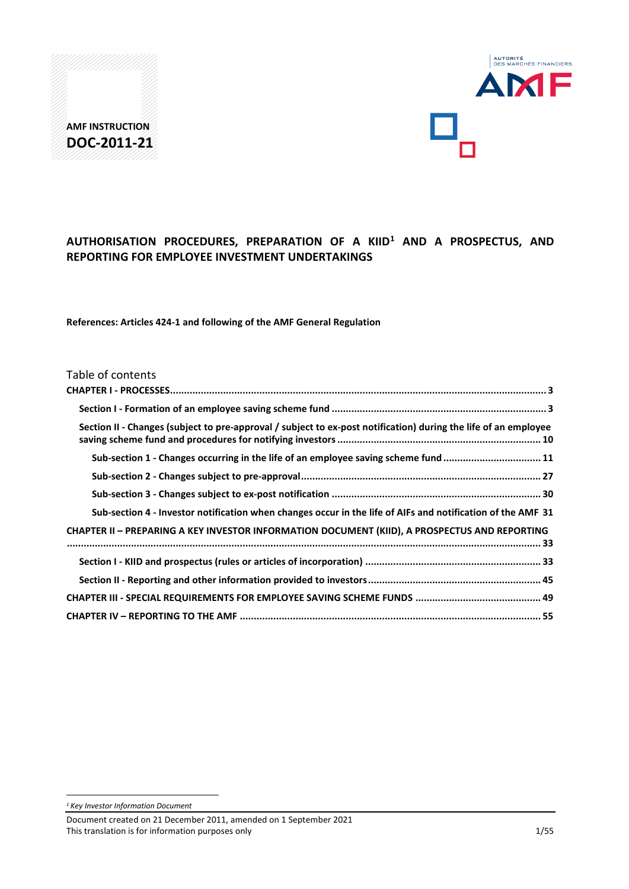



# **AUTHORISATION PROCEDURES, PREPARATION OF A KIID[1](#page-0-0) AND A PROSPECTUS, AND REPORTING FOR EMPLOYEE INVESTMENT UNDERTAKINGS**

**References: Articles 424-1 and following of the AMF General Regulation**

## Table of contents

| Section II - Changes (subject to pre-approval / subject to ex-post notification) during the life of an employee |
|-----------------------------------------------------------------------------------------------------------------|
| Sub-section 1 - Changes occurring in the life of an employee saving scheme fund 11                              |
|                                                                                                                 |
|                                                                                                                 |
| Sub-section 4 - Investor notification when changes occur in the life of AIFs and notification of the AMF 31     |
| <b>CHAPTER II - PREPARING A KEY INVESTOR INFORMATION DOCUMENT (KIID), A PROSPECTUS AND REPORTING</b>            |
|                                                                                                                 |
|                                                                                                                 |
|                                                                                                                 |
|                                                                                                                 |

<span id="page-0-0"></span>*<sup>1</sup> Key Investor Information Document*

<u>.</u>

Document created on 21 December 2011, amended on 1 September 2021 This translation is for information purposes only 1/55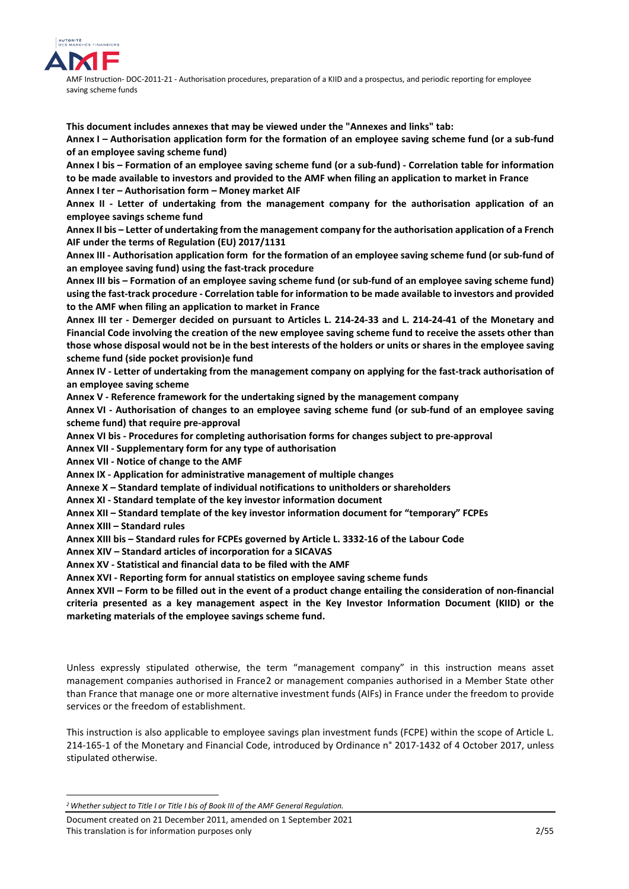

**This document includes annexes that may be viewed under the "Annexes and links" tab:**

**Annex I – Authorisation application form for the formation of an employee saving scheme fund (or a sub-fund of an employee saving scheme fund)** 

**Annex I bis – Formation of an employee saving scheme fund (or a sub-fund) - Correlation table for information to be made available to investors and provided to the AMF when filing an application to market in France Annex I ter – Authorisation form – Money market AIF** 

**Annex II - Letter of undertaking from the management company for the authorisation application of an employee savings scheme fund** 

**Annex II bis – Letter of undertaking from the management company for the authorisation application of a French AIF under the terms of Regulation (EU) 2017/1131**

**Annex III - Authorisation application form for the formation of an employee saving scheme fund (or sub-fund of an employee saving fund) using the fast-track procedure**

**Annex III bis – Formation of an employee saving scheme fund (or sub-fund of an employee saving scheme fund) using the fast-track procedure - Correlation table for information to be made available to investors and provided to the AMF when filing an application to market in France**

**Annex III ter - Demerger decided on pursuant to Articles L. 214-24-33 and L. 214-24-41 of the Monetary and Financial Code involving the creation of the new employee saving scheme fund to receive the assets other than those whose disposal would not be in the best interests of the holders or units or shares in the employee saving scheme fund (side pocket provision)e fund** 

**Annex IV - Letter of undertaking from the management company on applying for the fast-track authorisation of an employee saving scheme**

**Annex V - Reference framework for the undertaking signed by the management company** 

**Annex VI - Authorisation of changes to an employee saving scheme fund (or sub-fund of an employee saving scheme fund) that require pre-approval**

**Annex VI bis - Procedures for completing authorisation forms for changes subject to pre-approval**

**Annex VII - Supplementary form for any type of authorisation**

**Annex VII - Notice of change to the AMF** 

**Annex IX - Application for administrative management of multiple changes**

**Annexe X – Standard template of individual notifications to unitholders or shareholders**

**Annex XI - Standard template of the key investor information document** 

**Annex XII – Standard template of the key investor information document for "temporary" FCPEs** 

**Annex XIII – Standard rules** 

<u>.</u>

**Annex XIII bis – Standard rules for FCPEs governed by Article L. 3332-16 of the Labour Code**

**Annex XIV – Standard articles of incorporation for a SICAVAS** 

**Annex XV - Statistical and financial data to be filed with the AMF**

**Annex XVI - Reporting form for annual statistics on employee saving scheme funds**

**Annex XVII – Form to be filled out in the event of a product change entailing the consideration of non-financial criteria presented as a key management aspect in the Key Investor Information Document (KIID) or the marketing materials of the employee savings scheme fund.**

Unless expressly stipulated otherwise, the term "management company" in this instruction means asset management companies authorised in France[2](#page-1-0) or management companies authorised in a Member State other than France that manage one or more alternative investment funds (AIFs) in France under the freedom to provide services or the freedom of establishment.

This instruction is also applicable to employee savings plan investment funds (FCPE) within the scope of Article L. 214-165-1 of the Monetary and Financial Code, introduced by Ordinance n° 2017-1432 of 4 October 2017, unless stipulated otherwise.

<span id="page-1-0"></span>*<sup>2</sup>Whether subject to Title I or Title I bis of Book III of the AMF General Regulation.* 

Document created on 21 December 2011, amended on 1 September 2021 This translation is for information purposes only 2/55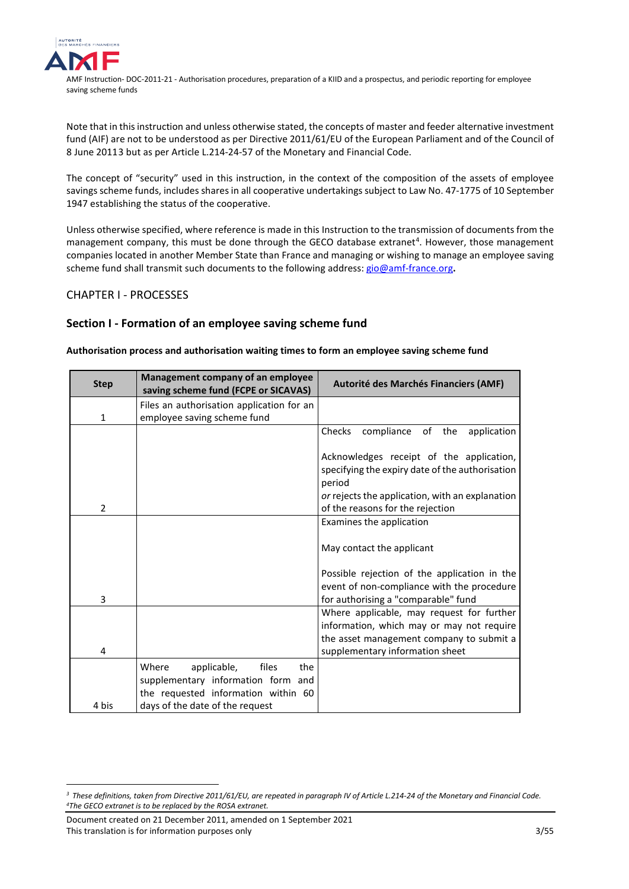

Note that in this instruction and unless otherwise stated, the concepts of master and feeder alternative investment fund (AIF) are not to be understood as per Directive 2011/61/EU of the European Parliament and of the Council of 8 June 2011[3](#page-2-2) but as per Article L.214-24-57 of the Monetary and Financial Code.

The concept of "security" used in this instruction, in the context of the composition of the assets of employee savings scheme funds, includes shares in all cooperative undertakings subject t[o Law No. 47-1775 of 10 September](https://www.legifrance.gouv.fr/affichTexte.do?cidTexte=JORFTEXT000000684004&fastPos=1&fastReqId=1067861450&categorieLien=cid&oldAction=rechTexte)  [1947](https://www.legifrance.gouv.fr/affichTexte.do?cidTexte=JORFTEXT000000684004&fastPos=1&fastReqId=1067861450&categorieLien=cid&oldAction=rechTexte) establishing the status of the cooperative.

Unless otherwise specified, where reference is made in this Instruction to the transmission of documents from the management company, this must be done through the GECO database extranet<sup>[4](#page-2-3)</sup>. However, those management companies located in another Member State than France and managing or wishing to manage an employee saving scheme fund shall transmit such documents to the following address: [gio@amf-france.org](mailto:gio@amf-france.org)**.**

# <span id="page-2-0"></span>CHAPTER I - PROCESSES

# <span id="page-2-1"></span>**Section I - Formation of an employee saving scheme fund**

## **Authorisation process and authorisation waiting times to form an employee saving scheme fund**

| <b>Step</b>    | Management company of an employee<br>saving scheme fund (FCPE or SICAVAS) | Autorité des Marchés Financiers (AMF)                                                                 |
|----------------|---------------------------------------------------------------------------|-------------------------------------------------------------------------------------------------------|
| 1              | Files an authorisation application for an<br>employee saving scheme fund  |                                                                                                       |
|                |                                                                           | Checks<br>compliance of the<br>application                                                            |
|                |                                                                           | Acknowledges receipt of the application,<br>specifying the expiry date of the authorisation<br>period |
|                |                                                                           | or rejects the application, with an explanation                                                       |
| $\overline{2}$ |                                                                           | of the reasons for the rejection                                                                      |
|                |                                                                           | Examines the application                                                                              |
|                |                                                                           | May contact the applicant                                                                             |
|                |                                                                           | Possible rejection of the application in the                                                          |
|                |                                                                           | event of non-compliance with the procedure                                                            |
| 3              |                                                                           | for authorising a "comparable" fund                                                                   |
|                |                                                                           | Where applicable, may request for further                                                             |
|                |                                                                           | information, which may or may not require                                                             |
|                |                                                                           | the asset management company to submit a                                                              |
| 4              |                                                                           | supplementary information sheet                                                                       |
|                | Where<br>files<br>the<br>applicable,                                      |                                                                                                       |
|                | supplementary information form and                                        |                                                                                                       |
|                | the requested information within 60                                       |                                                                                                       |
| 4 bis          | days of the date of the request                                           |                                                                                                       |

Document created on 21 December 2011, amended on 1 September 2021 This translation is for information purposes only 3/55

<u>.</u>

<span id="page-2-3"></span><span id="page-2-2"></span>*<sup>3</sup> These definitions, taken from Directive 2011/61/EU, are repeated in paragraph IV of Article L.214-24 of the Monetary and Financial Code. 4 The GECO extranet is to be replaced by the ROSA extranet.*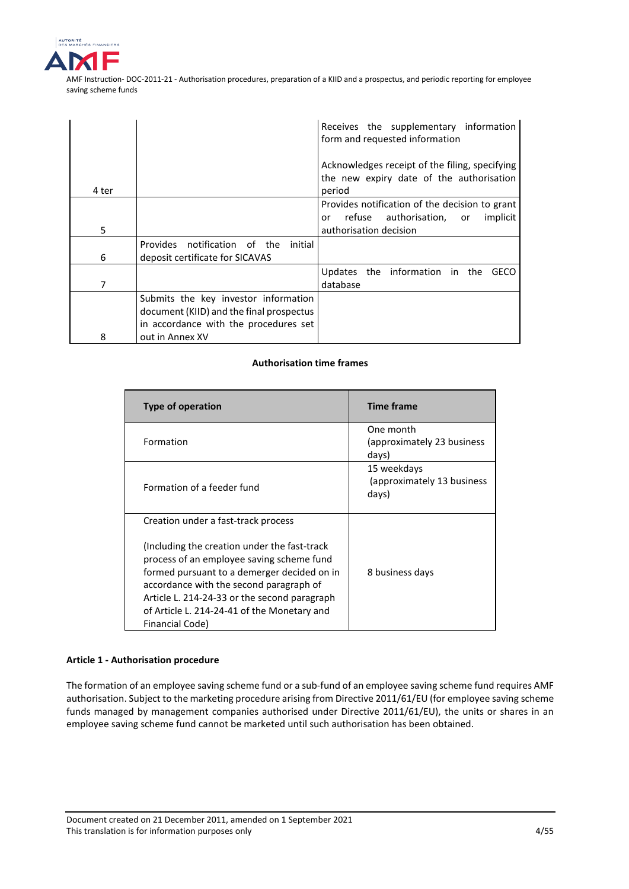

|       |                                          | Receives the supplementary information<br>form and requested information                             |
|-------|------------------------------------------|------------------------------------------------------------------------------------------------------|
| 4 ter |                                          | Acknowledges receipt of the filing, specifying<br>the new expiry date of the authorisation<br>period |
|       |                                          | Provides notification of the decision to grant<br>refuse authorisation, or<br>implicit<br>or         |
| 5     |                                          | authorisation decision                                                                               |
|       | Provides notification of the<br>initial  |                                                                                                      |
| 6     | deposit certificate for SICAVAS          |                                                                                                      |
| 7     |                                          | the information in the<br>Updates<br>GECO<br>database                                                |
|       | Submits the key investor information     |                                                                                                      |
|       | document (KIID) and the final prospectus |                                                                                                      |
|       | in accordance with the procedures set    |                                                                                                      |
| 8     | out in Annex XV                          |                                                                                                      |

## **Authorisation time frames**

| Type of operation                                                                                                                                                                                                                                                                                      | <b>Time frame</b>                                   |
|--------------------------------------------------------------------------------------------------------------------------------------------------------------------------------------------------------------------------------------------------------------------------------------------------------|-----------------------------------------------------|
| Formation                                                                                                                                                                                                                                                                                              | One month<br>(approximately 23 business)<br>days)   |
| Formation of a feeder fund                                                                                                                                                                                                                                                                             | 15 weekdays<br>(approximately 13 business)<br>days) |
| Creation under a fast-track process                                                                                                                                                                                                                                                                    |                                                     |
| (Including the creation under the fast-track)<br>process of an employee saving scheme fund<br>formed pursuant to a demerger decided on in<br>accordance with the second paragraph of<br>Article L. 214-24-33 or the second paragraph<br>of Article L. 214-24-41 of the Monetary and<br>Financial Code) | 8 business days                                     |

## **Article 1 - Authorisation procedure**

The formation of an employee saving scheme fund or a sub-fund of an employee saving scheme fund requires AMF authorisation. Subject to the marketing procedure arising from Directive 2011/61/EU (for employee saving scheme funds managed by management companies authorised under Directive 2011/61/EU), the units or shares in an employee saving scheme fund cannot be marketed until such authorisation has been obtained.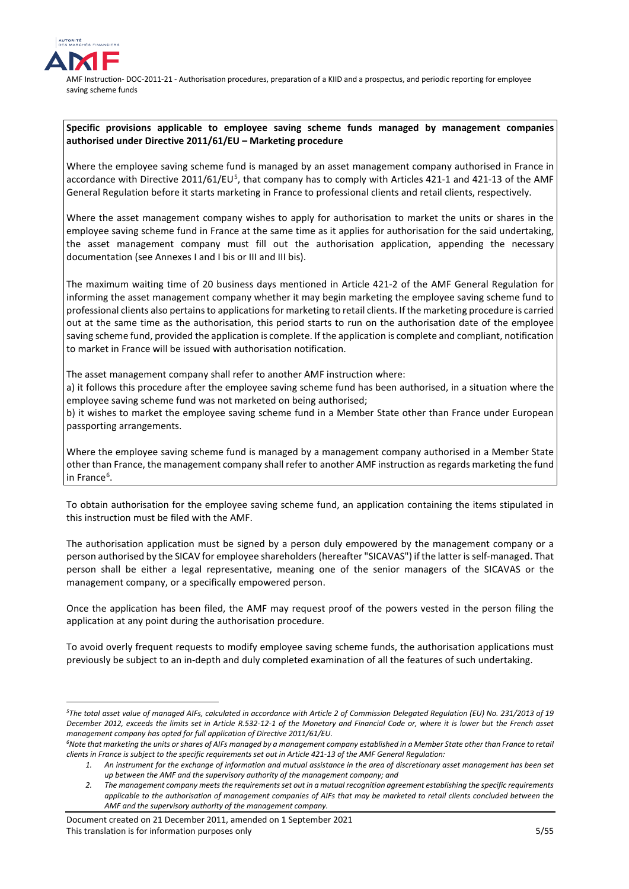

<u>.</u>

AMF Instruction- DOC-2011-21 - Authorisation procedures, preparation of a KIID and a prospectus, and periodic reporting for employee saving scheme funds

## **Specific provisions applicable to employee saving scheme funds managed by management companies authorised under Directive 2011/61/EU – Marketing procedure**

Where the employee saving scheme fund is managed by an asset management company authorised in France in accordance with Directive 2011/61/EU<sup>[5](#page-4-0)</sup>, that company has to comply with Articles 421-1 and 421-13 of the AMF General Regulation before it starts marketing in France to professional clients and retail clients, respectively.

Where the asset management company wishes to apply for authorisation to market the units or shares in the employee saving scheme fund in France at the same time as it applies for authorisation for the said undertaking, the asset management company must fill out the authorisation application, appending the necessary documentation (see Annexes I and I bis or III and III bis).

The maximum waiting time of 20 business days mentioned in Article 421-2 of the AMF General Regulation for informing the asset management company whether it may begin marketing the employee saving scheme fund to professional clients also pertains to applications for marketing to retail clients. If the marketing procedure is carried out at the same time as the authorisation, this period starts to run on the authorisation date of the employee saving scheme fund, provided the application is complete. If the application is complete and compliant, notification to market in France will be issued with authorisation notification.

The asset management company shall refer to another AMF instruction where:

a) it follows this procedure after the employee saving scheme fund has been authorised, in a situation where the employee saving scheme fund was not marketed on being authorised;

b) it wishes to market the employee saving scheme fund in a Member State other than France under European passporting arrangements.

Where the employee saving scheme fund is managed by a management company authorised in a Member State other than France, the management company shall refer to another AMF instruction as regards marketing the fund in France<sup>[6](#page-4-1)</sup>.

To obtain authorisation for the employee saving scheme fund, an application containing the items stipulated in this instruction must be filed with the AMF.

The authorisation application must be signed by a person duly empowered by the management company or a person authorised by the SICAV for employee shareholders (hereafter "SICAVAS") if the latter is self-managed. That person shall be either a legal representative, meaning one of the senior managers of the SICAVAS or the management company, or a specifically empowered person.

Once the application has been filed, the AMF may request proof of the powers vested in the person filing the application at any point during the authorisation procedure.

To avoid overly frequent requests to modify employee saving scheme funds, the authorisation applications must previously be subject to an in-depth and duly completed examination of all the features of such undertaking.

<span id="page-4-0"></span>*<sup>5</sup>The total asset value of managed AIFs, calculated in accordance with Article 2 of Commission Delegated Regulation (EU) No. 231/2013 of 19 December 2012, exceeds the limits set in Article R.532-12-1 of the Monetary and Financial Code or, where it is lower but the French asset management company has opted for full application of Directive 2011/61/EU.*

<span id="page-4-1"></span>*<sup>6</sup>Note that marketing the units or shares of AIFs managed by a management company established in a Member State other than France to retail clients in France is subject to the specific requirements set out in Article 421-13 of the AMF General Regulation:*

*<sup>1.</sup> An instrument for the exchange of information and mutual assistance in the area of discretionary asset management has been set up between the AMF and the supervisory authority of the management company; and* 

*<sup>2.</sup> The management company meets the requirements set out in a mutual recognition agreement establishing the specific requirements applicable to the authorisation of management companies of AIFs that may be marketed to retail clients concluded between the AMF and the supervisory authority of the management company.*

Document created on 21 December 2011, amended on 1 September 2021 This translation is for information purposes only 5/65 the state of the state of the state of the S/55 the S/55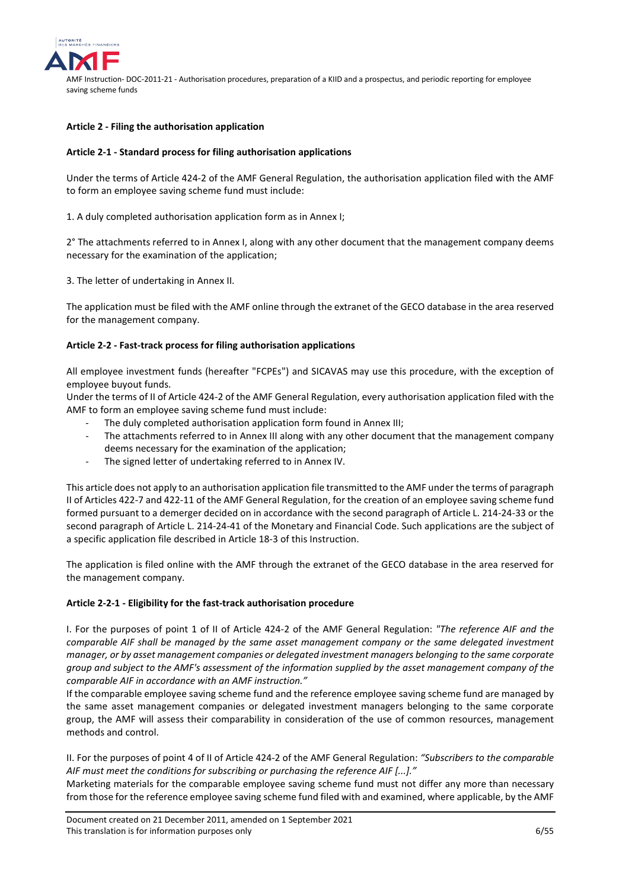

## **Article 2 - Filing the authorisation application**

## **Article 2-1 - Standard process for filing authorisation applications**

Under the terms of Article 424-2 of the AMF General Regulation, the authorisation application filed with the AMF to form an employee saving scheme fund must include:

1. A duly completed authorisation application form as in Annex I;

2° The attachments referred to in Annex I, along with any other document that the management company deems necessary for the examination of the application;

3. The letter of undertaking in Annex II.

The application must be filed with the AMF online through the extranet of the GECO database in the area reserved for the management company.

## **Article 2-2 - Fast-track process for filing authorisation applications**

All employee investment funds (hereafter "FCPEs") and SICAVAS may use this procedure, with the exception of employee buyout funds.

Under the terms of II of Article 424-2 of the AMF General Regulation, every authorisation application filed with the AMF to form an employee saving scheme fund must include:

- The duly completed authorisation application form found in Annex III;
- The attachments referred to in Annex III along with any other document that the management company deems necessary for the examination of the application;
- The signed letter of undertaking referred to in Annex IV.

This article does not apply to an authorisation application file transmitted to the AMF under the terms of paragraph II of Articles 422-7 and 422-11 of the AMF General Regulation, for the creation of an employee saving scheme fund formed pursuant to a demerger decided on in accordance with the second paragraph of Article L. 214-24-33 or the second paragraph of Article L. 214-24-41 of the Monetary and Financial Code. Such applications are the subject of a specific application file described in Article 18-3 of this Instruction.

The application is filed online with the AMF through the extranet of the GECO database in the area reserved for the management company.

## **Article 2-2-1 - Eligibility for the fast-track authorisation procedure**

I. For the purposes of point 1 of II of Article 424-2 of the AMF General Regulation: *"The reference AIF and the comparable AIF shall be managed by the same asset management company or the same delegated investment manager, or by asset management companies or delegated investment managers belonging to the same corporate group and subject to the AMF's assessment of the information supplied by the asset management company of the comparable AIF in accordance with an AMF instruction."*

If the comparable employee saving scheme fund and the reference employee saving scheme fund are managed by the same asset management companies or delegated investment managers belonging to the same corporate group, the AMF will assess their comparability in consideration of the use of common resources, management methods and control.

II. For the purposes of point 4 of II of Article 424-2 of the AMF General Regulation: *"Subscribers to the comparable AIF must meet the conditions for subscribing or purchasing the reference AIF [...]."*

Marketing materials for the comparable employee saving scheme fund must not differ any more than necessary from those for the reference employee saving scheme fund filed with and examined, where applicable, by the AMF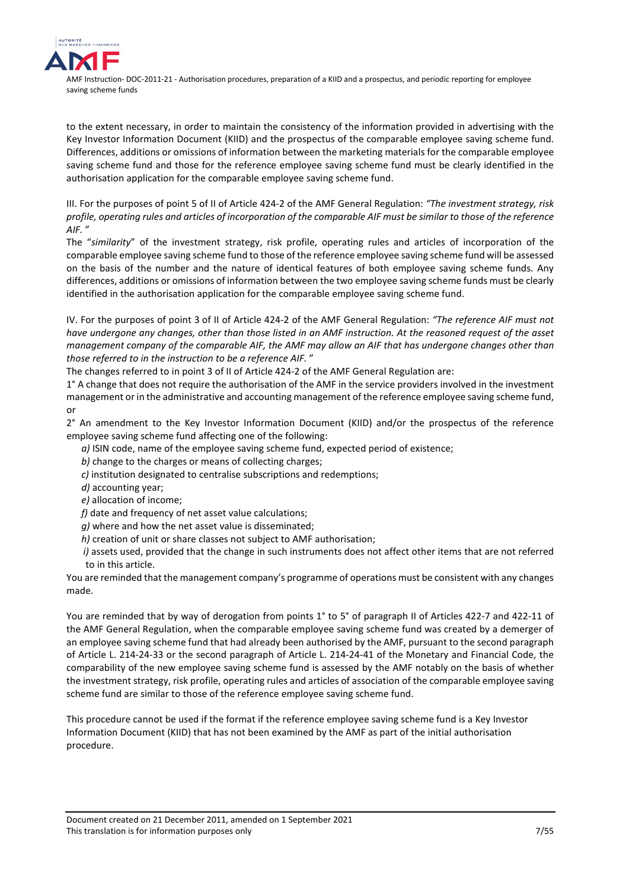

to the extent necessary, in order to maintain the consistency of the information provided in advertising with the Key Investor Information Document (KIID) and the prospectus of the comparable employee saving scheme fund. Differences, additions or omissions of information between the marketing materials for the comparable employee saving scheme fund and those for the reference employee saving scheme fund must be clearly identified in the authorisation application for the comparable employee saving scheme fund.

III. For the purposes of point 5 of II of Article 424-2 of the AMF General Regulation: *"The investment strategy, risk profile, operating rules and articles of incorporation of the comparable AIF must be similar to those of the reference AIF.* "

The "*similarity*" of the investment strategy, risk profile, operating rules and articles of incorporation of the comparable employee saving scheme fund to those of the reference employee saving scheme fund will be assessed on the basis of the number and the nature of identical features of both employee saving scheme funds. Any differences, additions or omissions of information between the two employee saving scheme funds must be clearly identified in the authorisation application for the comparable employee saving scheme fund.

IV. For the purposes of point 3 of II of Article 424-2 of the AMF General Regulation: *"The reference AIF must not have undergone any changes, other than those listed in an AMF instruction. At the reasoned request of the asset management company of the comparable AIF, the AMF may allow an AIF that has undergone changes other than those referred to in the instruction to be a reference AIF.* "

The changes referred to in point 3 of II of Article 424-2 of the AMF General Regulation are:

1° A change that does not require the authorisation of the AMF in the service providers involved in the investment management or in the administrative and accounting management of the reference employee saving scheme fund, or

2° An amendment to the Key Investor Information Document (KIID) and/or the prospectus of the reference employee saving scheme fund affecting one of the following:

- *a)* ISIN code, name of the employee saving scheme fund, expected period of existence;
- *b)* change to the charges or means of collecting charges;
- *c)* institution designated to centralise subscriptions and redemptions;
- *d)* accounting year;
- *e)* allocation of income;
- *f)* date and frequency of net asset value calculations;
- *g)* where and how the net asset value is disseminated;
- *h)* creation of unit or share classes not subject to AMF authorisation;
- *i)* assets used, provided that the change in such instruments does not affect other items that are not referred to in this article.

You are reminded that the management company's programme of operations must be consistent with any changes made.

You are reminded that by way of derogation from points 1° to 5° of paragraph II of Articles 422-7 and 422-11 of the AMF General Regulation, when the comparable employee saving scheme fund was created by a demerger of an employee saving scheme fund that had already been authorised by the AMF, pursuant to the second paragraph of Article L. 214-24-33 or the second paragraph of Article L. 214-24-41 of the Monetary and Financial Code, the comparability of the new employee saving scheme fund is assessed by the AMF notably on the basis of whether the investment strategy, risk profile, operating rules and articles of association of the comparable employee saving scheme fund are similar to those of the reference employee saving scheme fund.

This procedure cannot be used if the format if the reference employee saving scheme fund is a Key Investor Information Document (KIID) that has not been examined by the AMF as part of the initial authorisation procedure.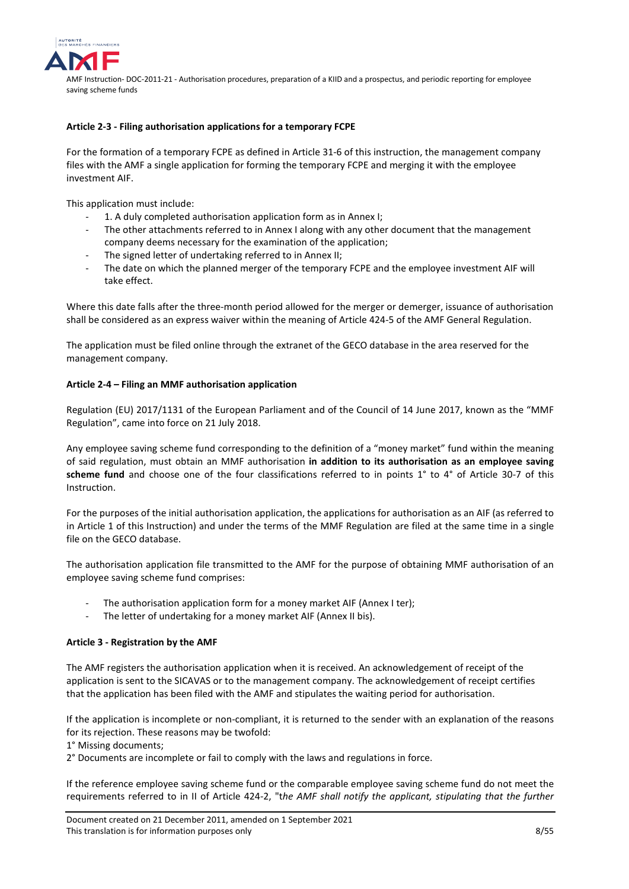

## **Article 2-3 - Filing authorisation applications for a temporary FCPE**

For the formation of a temporary FCPE as defined in Article 31-6 of this instruction, the management company files with the AMF a single application for forming the temporary FCPE and merging it with the employee investment AIF.

This application must include:

- 1. A duly completed authorisation application form as in Annex I;
- The other attachments referred to in Annex I along with any other document that the management company deems necessary for the examination of the application;
- The signed letter of undertaking referred to in Annex II;
- The date on which the planned merger of the temporary FCPE and the employee investment AIF will take effect.

Where this date falls after the three-month period allowed for the merger or demerger, issuance of authorisation shall be considered as an express waiver within the meaning of Article 424-5 of the AMF General Regulation.

The application must be filed online through the extranet of the GECO database in the area reserved for the management company.

#### **Article 2-4 – Filing an MMF authorisation application**

Regulation (EU) 2017/1131 of the European Parliament and of the Council of 14 June 2017, known as the "MMF Regulation", came into force on 21 July 2018.

Any employee saving scheme fund corresponding to the definition of a "money market" fund within the meaning of said regulation, must obtain an MMF authorisation **in addition to its authorisation as an employee saving scheme fund** and choose one of the four classifications referred to in points 1° to 4° of Article 30-7 of this Instruction.

For the purposes of the initial authorisation application, the applications for authorisation as an AIF (as referred to in Article 1 of this Instruction) and under the terms of the MMF Regulation are filed at the same time in a single file on the GECO database.

The authorisation application file transmitted to the AMF for the purpose of obtaining MMF authorisation of an employee saving scheme fund comprises:

- The authorisation application form for a money market AIF (Annex I ter);
- The letter of undertaking for a money market AIF (Annex II bis).

## **Article 3 - Registration by the AMF**

The AMF registers the authorisation application when it is received. An acknowledgement of receipt of the application is sent to the SICAVAS or to the management company. The acknowledgement of receipt certifies that the application has been filed with the AMF and stipulates the waiting period for authorisation.

If the application is incomplete or non-compliant, it is returned to the sender with an explanation of the reasons for its rejection. These reasons may be twofold:

1° Missing documents;

2° Documents are incomplete or fail to comply with the laws and regulations in force.

If the reference employee saving scheme fund or the comparable employee saving scheme fund do not meet the requirements referred to in II of Article 424-2, "t*he AMF shall notify the applicant, stipulating that the further*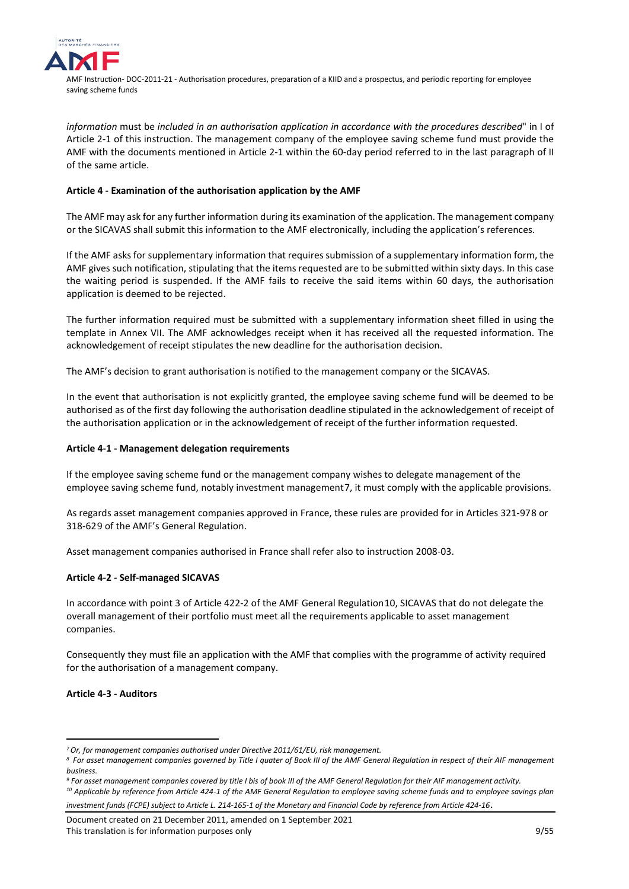

*information* must be *included in an authorisation application in accordance with the procedures described*" in I of Article 2-1 of this instruction. The management company of the employee saving scheme fund must provide the AMF with the documents mentioned in Article 2-1 within the 60-day period referred to in the last paragraph of II of the same article.

## **Article 4 - Examination of the authorisation application by the AMF**

The AMF may ask for any further information during its examination of the application. The management company or the SICAVAS shall submit this information to the AMF electronically, including the application's references.

If the AMF asks for supplementary information that requires submission of a supplementary information form, the AMF gives such notification, stipulating that the items requested are to be submitted within sixty days. In this case the waiting period is suspended. If the AMF fails to receive the said items within 60 days, the authorisation application is deemed to be rejected.

The further information required must be submitted with a supplementary information sheet filled in using the template in Annex VII. The AMF acknowledges receipt when it has received all the requested information. The acknowledgement of receipt stipulates the new deadline for the authorisation decision.

The AMF's decision to grant authorisation is notified to the management company or the SICAVAS.

In the event that authorisation is not explicitly granted, the employee saving scheme fund will be deemed to be authorised as of the first day following the authorisation deadline stipulated in the acknowledgement of receipt of the authorisation application or in the acknowledgement of receipt of the further information requested.

## **Article 4-1 - Management delegation requirements**

If the employee saving scheme fund or the management company wishes to delegate management of the employee saving scheme fund, notably investment management[7](#page-8-0), it must comply with the applicable provisions.

As regards asset management companies approved in France, these rules are provided for in Articles 321-97[8](#page-8-1) or 318-62[9](#page-8-2) of the AMF's General Regulation.

Asset management companies authorised in France shall refer also to instruction 2008-03.

## **Article 4-2 - Self-managed SICAVAS**

In accordance with point 3 of Article 422-2 of the AMF General Regulation[10](#page-8-3), SICAVAS that do not delegate the overall management of their portfolio must meet all the requirements applicable to asset management companies.

Consequently they must file an application with the AMF that complies with the programme of activity required for the authorisation of a management company.

**Article 4-3 - Auditors**

<span id="page-8-3"></span>*investment funds (FCPE) subject to Article L. 214-165-1 of the Monetary and Financial Code by reference from Article 424-16*.

Document created on 21 December 2011, amended on 1 September 2021 This translation is for information purposes only **1994** Section 2008 1995 1995 1995 1996 1996 1997 1997 1997 199

<sup>&</sup>lt;u>.</u> *7Or, for management companies authorised under Directive 2011/61/EU, risk management.*

<span id="page-8-1"></span><span id="page-8-0"></span>*<sup>8</sup> For asset management companies governed by Title I quater of Book III of the AMF General Regulation in respect of their AIF management business.*

<span id="page-8-2"></span>*<sup>9</sup> For asset management companies covered by title I bis of book III of the AMF General Regulation for their AIF management activity. <sup>10</sup> Applicable by reference from Article 424-1 of the AMF General Regulation to employee saving scheme funds and to employee savings plan*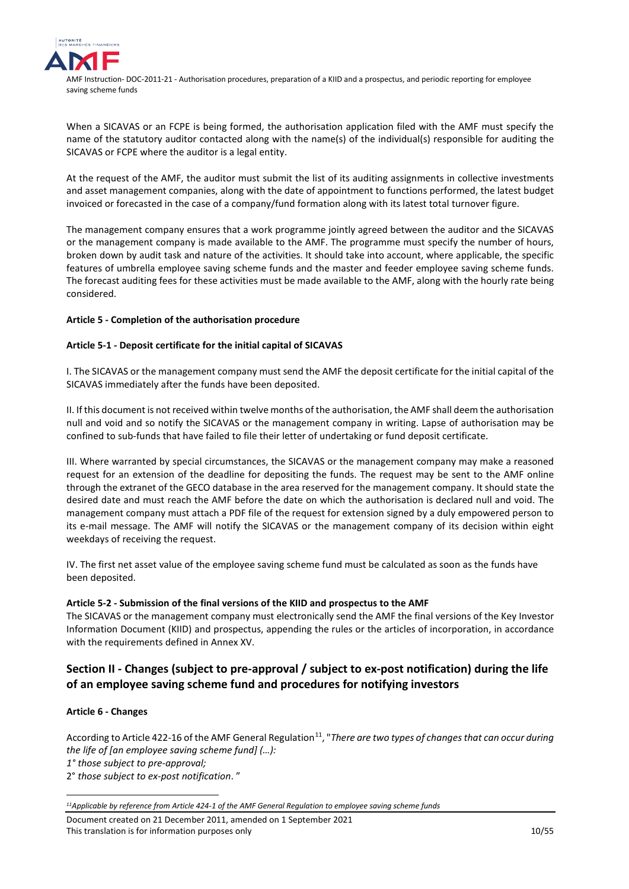

When a SICAVAS or an FCPE is being formed, the authorisation application filed with the AMF must specify the name of the statutory auditor contacted along with the name(s) of the individual(s) responsible for auditing the SICAVAS or FCPE where the auditor is a legal entity.

At the request of the AMF, the auditor must submit the list of its auditing assignments in collective investments and asset management companies, along with the date of appointment to functions performed, the latest budget invoiced or forecasted in the case of a company/fund formation along with its latest total turnover figure.

The management company ensures that a work programme jointly agreed between the auditor and the SICAVAS or the management company is made available to the AMF. The programme must specify the number of hours, broken down by audit task and nature of the activities. It should take into account, where applicable, the specific features of umbrella employee saving scheme funds and the master and feeder employee saving scheme funds. The forecast auditing fees for these activities must be made available to the AMF, along with the hourly rate being considered.

## **Article 5 - Completion of the authorisation procedure**

## **Article 5-1 - Deposit certificate for the initial capital of SICAVAS**

I. The SICAVAS or the management company must send the AMF the deposit certificate for the initial capital of the SICAVAS immediately after the funds have been deposited.

II. If this document is not received within twelve months of the authorisation, the AMF shall deem the authorisation null and void and so notify the SICAVAS or the management company in writing. Lapse of authorisation may be confined to sub-funds that have failed to file their letter of undertaking or fund deposit certificate.

III. Where warranted by special circumstances, the SICAVAS or the management company may make a reasoned request for an extension of the deadline for depositing the funds. The request may be sent to the AMF online through the extranet of the GECO database in the area reserved for the management company. It should state the desired date and must reach the AMF before the date on which the authorisation is declared null and void. The management company must attach a PDF file of the request for extension signed by a duly empowered person to its e-mail message. The AMF will notify the SICAVAS or the management company of its decision within eight weekdays of receiving the request.

IV. The first net asset value of the employee saving scheme fund must be calculated as soon as the funds have been deposited.

## **Article 5-2 - Submission of the final versions of the KIID and prospectus to the AMF**

The SICAVAS or the management company must electronically send the AMF the final versions of the Key Investor Information Document (KIID) and prospectus, appending the rules or the articles of incorporation, in accordance with the requirements defined in Annex XV.

# <span id="page-9-0"></span>**Section II - Changes (subject to pre-approval / subject to ex-post notification) during the life of an employee saving scheme fund and procedures for notifying investors**

## **Article 6 - Changes**

<u>.</u>

According to Article 422-16 of the AMF General Regulation<sup>11</sup>, "There are two types of changes that can occur during *the life of [an employee saving scheme fund] (…):*

*1° those subject to pre-approval;* 

2° *those subject to ex-post notification*. "

<span id="page-9-1"></span>*<sup>11</sup>Applicable by reference from Article 424-1 of the AMF General Regulation to employee saving scheme funds*

Document created on 21 December 2011, amended on 1 September 2021 This translation is for information purposes only 10/55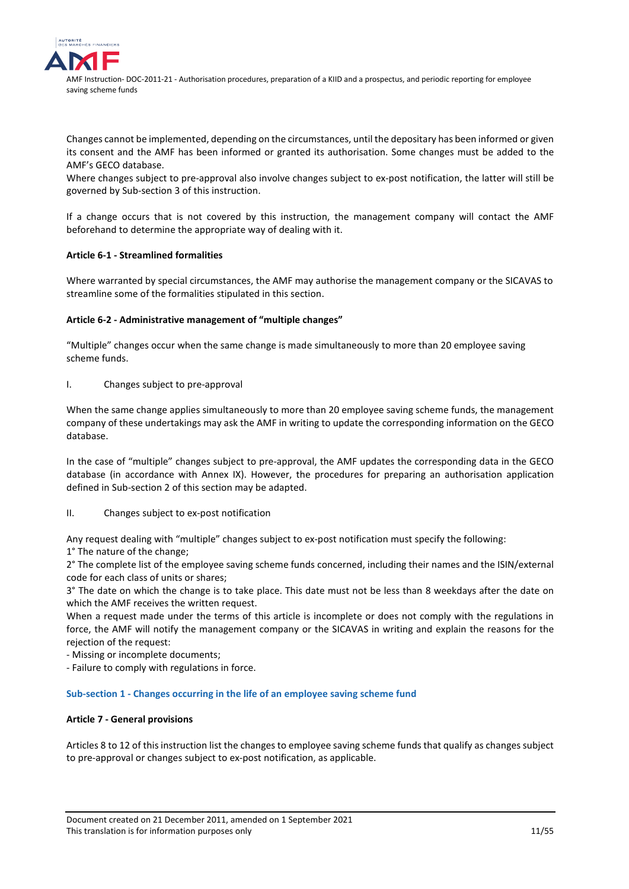

Changes cannot be implemented, depending on the circumstances, until the depositary has been informed or given its consent and the AMF has been informed or granted its authorisation. Some changes must be added to the AMF's GECO database.

Where changes subject to pre-approval also involve changes subject to ex-post notification, the latter will still be governed by Sub-section 3 of this instruction.

If a change occurs that is not covered by this instruction, the management company will contact the AMF beforehand to determine the appropriate way of dealing with it.

## **Article 6-1 - Streamlined formalities**

Where warranted by special circumstances, the AMF may authorise the management company or the SICAVAS to streamline some of the formalities stipulated in this section.

## **Article 6-2 - Administrative management of "multiple changes"**

"Multiple" changes occur when the same change is made simultaneously to more than 20 employee saving scheme funds.

I. Changes subject to pre-approval

When the same change applies simultaneously to more than 20 employee saving scheme funds, the management company of these undertakings may ask the AMF in writing to update the corresponding information on the GECO database.

In the case of "multiple" changes subject to pre-approval, the AMF updates the corresponding data in the GECO database (in accordance with Annex IX). However, the procedures for preparing an authorisation application defined in Sub-section 2 of this section may be adapted.

## II. Changes subject to ex-post notification

Any request dealing with "multiple" changes subject to ex-post notification must specify the following: 1° The nature of the change;

2° The complete list of the employee saving scheme funds concerned, including their names and the ISIN/external code for each class of units or shares;

3° The date on which the change is to take place. This date must not be less than 8 weekdays after the date on which the AMF receives the written request.

When a request made under the terms of this article is incomplete or does not comply with the regulations in force, the AMF will notify the management company or the SICAVAS in writing and explain the reasons for the rejection of the request:

- Missing or incomplete documents;

- Failure to comply with regulations in force.

## <span id="page-10-0"></span>**Sub-section 1 - Changes occurring in the life of an employee saving scheme fund**

## **Article 7 - General provisions**

Articles 8 to 12 of this instruction list the changes to employee saving scheme funds that qualify as changes subject to pre-approval or changes subject to ex-post notification, as applicable.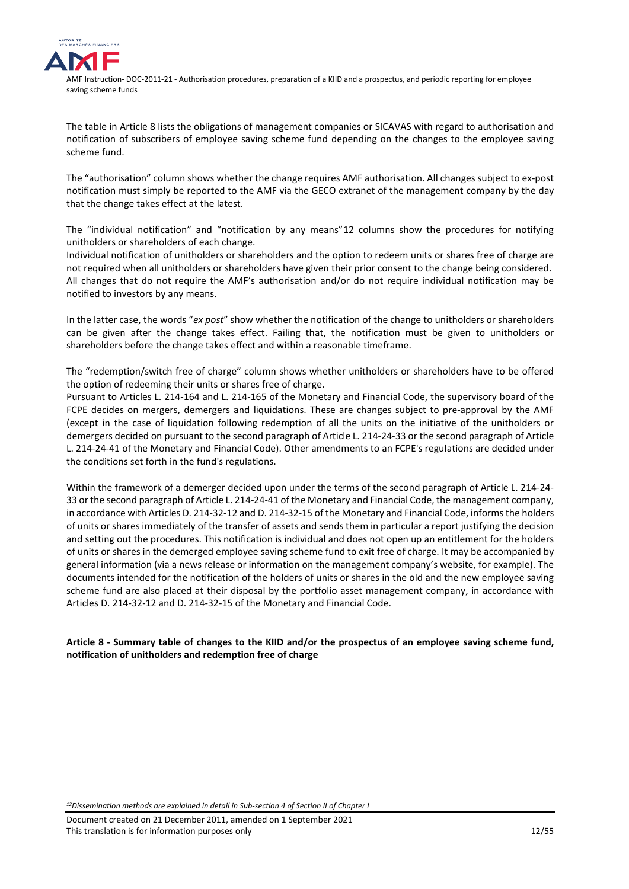

The table in Article 8 lists the obligations of management companies or SICAVAS with regard to authorisation and notification of subscribers of employee saving scheme fund depending on the changes to the employee saving scheme fund.

The "authorisation" column shows whether the change requires AMF authorisation. All changes subject to ex-post notification must simply be reported to the AMF via the GECO extranet of the management company by the day that the change takes effect at the latest.

The "individual notification" and "notification by any means"[12](#page-11-0) columns show the procedures for notifying unitholders or shareholders of each change.

Individual notification of unitholders or shareholders and the option to redeem units or shares free of charge are not required when all unitholders or shareholders have given their prior consent to the change being considered. All changes that do not require the AMF's authorisation and/or do not require individual notification may be notified to investors by any means.

In the latter case, the words "*ex post*" show whether the notification of the change to unitholders or shareholders can be given after the change takes effect. Failing that, the notification must be given to unitholders or shareholders before the change takes effect and within a reasonable timeframe.

The "redemption/switch free of charge" column shows whether unitholders or shareholders have to be offered the option of redeeming their units or shares free of charge.

Pursuant to Articles L. 214-164 and L. 214-165 of the Monetary and Financial Code, the supervisory board of the FCPE decides on mergers, demergers and liquidations. These are changes subject to pre-approval by the AMF (except in the case of liquidation following redemption of all the units on the initiative of the unitholders or demergers decided on pursuant to the second paragraph of Article L. 214-24-33 or the second paragraph of Article L. 214-24-41 of the Monetary and Financial Code). Other amendments to an FCPE's regulations are decided under the conditions set forth in the fund's regulations.

Within the framework of a demerger decided upon under the terms of the second paragraph of Article L. 214-24- 33 or the second paragraph of Article L. 214-24-41 of the Monetary and Financial Code, the management company, in accordance with Articles D. 214-32-12 and D. 214-32-15 of the Monetary and Financial Code, informs the holders of units or shares immediately of the transfer of assets and sends them in particular a report justifying the decision and setting out the procedures. This notification is individual and does not open up an entitlement for the holders of units or shares in the demerged employee saving scheme fund to exit free of charge. It may be accompanied by general information (via a news release or information on the management company's website, for example). The documents intended for the notification of the holders of units or shares in the old and the new employee saving scheme fund are also placed at their disposal by the portfolio asset management company, in accordance with Articles D. 214-32-12 and D. 214-32-15 of the Monetary and Financial Code.

**Article 8 - Summary table of changes to the KIID and/or the prospectus of an employee saving scheme fund, notification of unitholders and redemption free of charge**

<u>.</u>

<span id="page-11-0"></span>*<sup>12</sup>Dissemination methods are explained in detail in Sub-section 4 of Section II of Chapter I*

Document created on 21 December 2011, amended on 1 September 2021 This translation is for information purposes only 12/55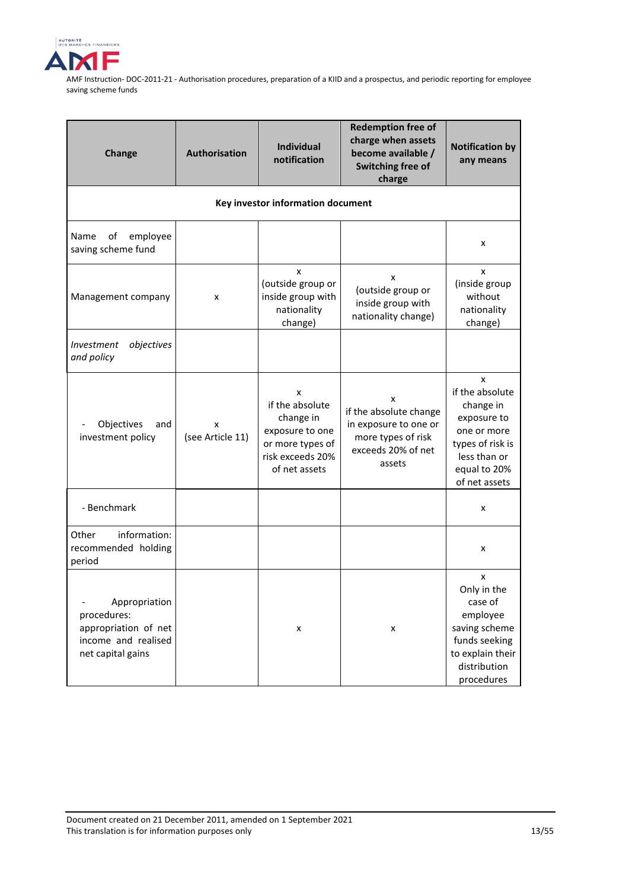

| Change                                                                                           | Authorisation         | <b>Individual</b><br>notification                                                                             | <b>Redemption free of</b><br>charge when assets<br>become available /<br>Switching free of<br>charge       | <b>Notification by</b><br>any means                                                                                                  |
|--------------------------------------------------------------------------------------------------|-----------------------|---------------------------------------------------------------------------------------------------------------|------------------------------------------------------------------------------------------------------------|--------------------------------------------------------------------------------------------------------------------------------------|
|                                                                                                  |                       | Key investor information document                                                                             |                                                                                                            |                                                                                                                                      |
| employee<br>Name<br>of<br>saving scheme fund                                                     |                       |                                                                                                               |                                                                                                            | x                                                                                                                                    |
| Management company                                                                               | х                     | x<br>(outside group or<br>inside group with<br>nationality<br>change)                                         | x<br>(outside group or<br>inside group with<br>nationality change)                                         | x<br>(inside group<br>without<br>nationality<br>change)                                                                              |
| Investment<br>objectives<br>and policy                                                           |                       |                                                                                                               |                                                                                                            |                                                                                                                                      |
| Objectives<br>and<br>investment policy                                                           | x<br>(see Article 11) | x<br>if the absolute<br>change in<br>exposure to one<br>or more types of<br>risk exceeds 20%<br>of net assets | x<br>if the absolute change<br>in exposure to one or<br>more types of risk<br>exceeds 20% of net<br>assets | x<br>if the absolute<br>change in<br>exposure to<br>one or more<br>types of risk is<br>less than or<br>equal to 20%<br>of net assets |
| - Benchmark                                                                                      |                       |                                                                                                               |                                                                                                            | x                                                                                                                                    |
| information:<br>Other<br>recommended holding<br>period                                           |                       |                                                                                                               |                                                                                                            | x                                                                                                                                    |
| Appropriation<br>procedures:<br>appropriation of net<br>income and realised<br>net capital gains |                       | x                                                                                                             | x                                                                                                          | x<br>Only in the<br>case of<br>employee<br>saving scheme<br>funds seeking<br>to explain their<br>distribution<br>procedures          |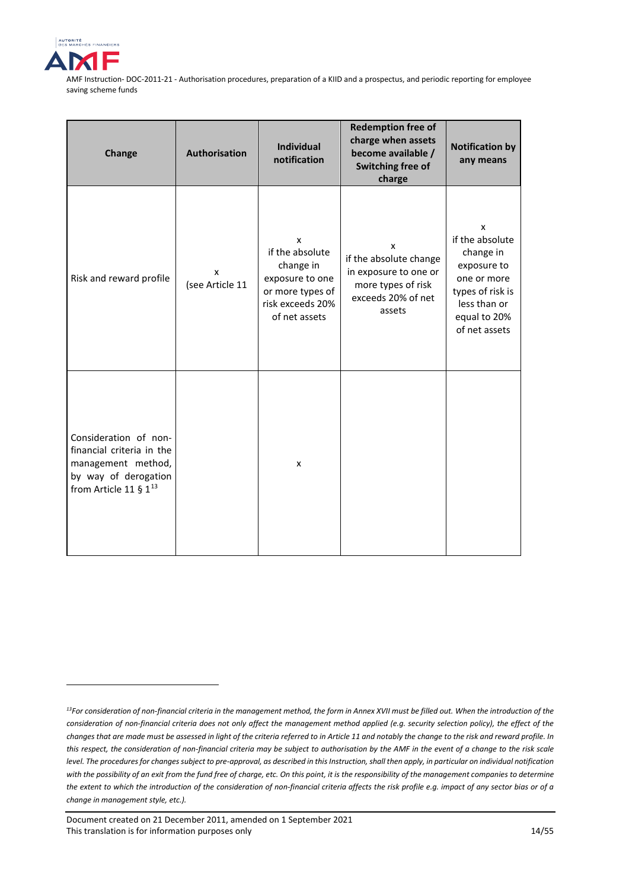

<u>.</u>

| Change                                                                                                                         | Authorisation        | <b>Individual</b><br>notification                                                                             | <b>Redemption free of</b><br>charge when assets<br>become available /<br>Switching free of<br>charge       | <b>Notification by</b><br>any means                                                                                                  |
|--------------------------------------------------------------------------------------------------------------------------------|----------------------|---------------------------------------------------------------------------------------------------------------|------------------------------------------------------------------------------------------------------------|--------------------------------------------------------------------------------------------------------------------------------------|
| Risk and reward profile                                                                                                        | x<br>(see Article 11 | X<br>if the absolute<br>change in<br>exposure to one<br>or more types of<br>risk exceeds 20%<br>of net assets | x<br>if the absolute change<br>in exposure to one or<br>more types of risk<br>exceeds 20% of net<br>assets | X<br>if the absolute<br>change in<br>exposure to<br>one or more<br>types of risk is<br>less than or<br>equal to 20%<br>of net assets |
| Consideration of non-<br>financial criteria in the<br>management method,<br>by way of derogation<br>from Article 11 § $1^{13}$ |                      | x                                                                                                             |                                                                                                            |                                                                                                                                      |

<span id="page-13-0"></span>*<sup>13</sup>For consideration of non-financial criteria in the management method, the form in Annex XVII must be filled out. When the introduction of the consideration of non-financial criteria does not only affect the management method applied (e.g. security selection policy), the effect of the changes that are made must be assessed in light of the criteria referred to in Article 11 and notably the change to the risk and reward profile. In this respect, the consideration of non-financial criteria may be subject to authorisation by the AMF in the event of a change to the risk scale level. The procedures for changes subject to pre-approval, as described in this Instruction, shall then apply, in particular on individual notification with the possibility of an exit from the fund free of charge, etc. On this point, it is the responsibility of the management companies to determine the extent to which the introduction of the consideration of non-financial criteria affects the risk profile e.g. impact of any sector bias or of a change in management style, etc.).* 

Document created on 21 December 2011, amended on 1 September 2021 This translation is for information purposes only 14/55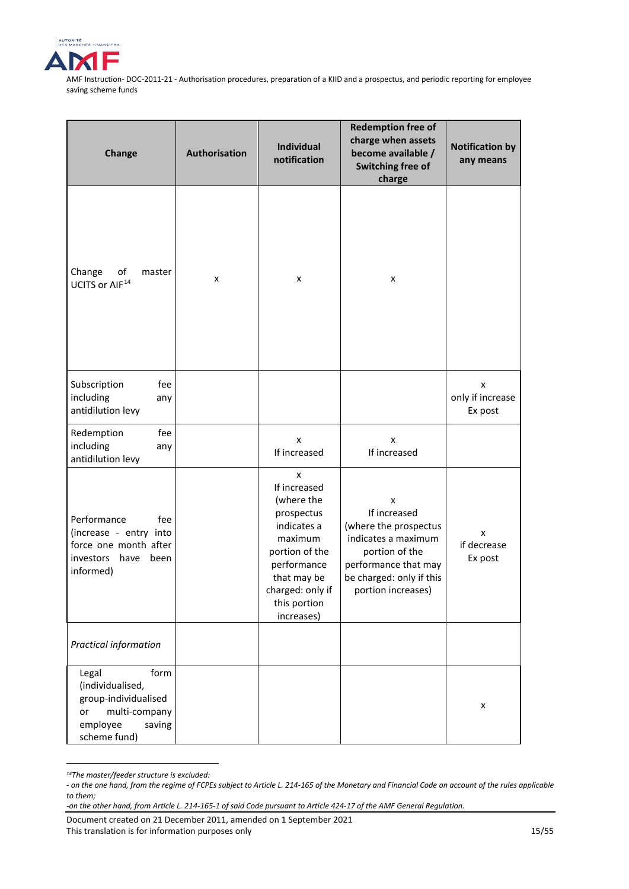

| Change                                                                                                                 | Authorisation | <b>Individual</b><br>notification                                                                                                                                         | <b>Redemption free of</b><br>charge when assets<br>become available /<br>Switching free of<br>charge                                                          | <b>Notification by</b><br>any means |
|------------------------------------------------------------------------------------------------------------------------|---------------|---------------------------------------------------------------------------------------------------------------------------------------------------------------------------|---------------------------------------------------------------------------------------------------------------------------------------------------------------|-------------------------------------|
| of<br>Change<br>master<br>UCITS or AIF <sup>14</sup>                                                                   | x             | x                                                                                                                                                                         | x                                                                                                                                                             |                                     |
| Subscription<br>fee<br>including<br>any<br>antidilution levy                                                           |               |                                                                                                                                                                           |                                                                                                                                                               | x<br>only if increase<br>Ex post    |
| Redemption<br>fee<br>including<br>any<br>antidilution levy                                                             |               | X<br>If increased                                                                                                                                                         | x<br>If increased                                                                                                                                             |                                     |
| Performance<br>fee<br>(increase - entry into<br>force one month after<br>investors<br>have<br>been<br>informed)        |               | X<br>If increased<br>(where the<br>prospectus<br>indicates a<br>maximum<br>portion of the<br>performance<br>that may be<br>charged: only if<br>this portion<br>increases) | X<br>If increased<br>(where the prospectus<br>indicates a maximum<br>portion of the<br>performance that may<br>be charged: only if this<br>portion increases) | x<br>if decrease<br>Ex post         |
| Practical information                                                                                                  |               |                                                                                                                                                                           |                                                                                                                                                               |                                     |
| form<br>Legal<br>(individualised,<br>group-individualised<br>multi-company<br>or<br>employee<br>saving<br>scheme fund) |               |                                                                                                                                                                           |                                                                                                                                                               | $\pmb{\times}$                      |

<span id="page-14-0"></span>*<sup>14</sup>The master/feeder structure is excluded:* 

<u>.</u>

*<sup>-</sup> on the one hand, from the regime of FCPEs subject to Article L. 214-165 of the Monetary and Financial Code on account of the rules applicable to them;* 

*<sup>-</sup>on the other hand, from Article L. 214-165-1 of said Code pursuant to Article 424-17 of the AMF General Regulation.*

Document created on 21 December 2011, amended on 1 September 2021 This translation is for information purposes only 15/55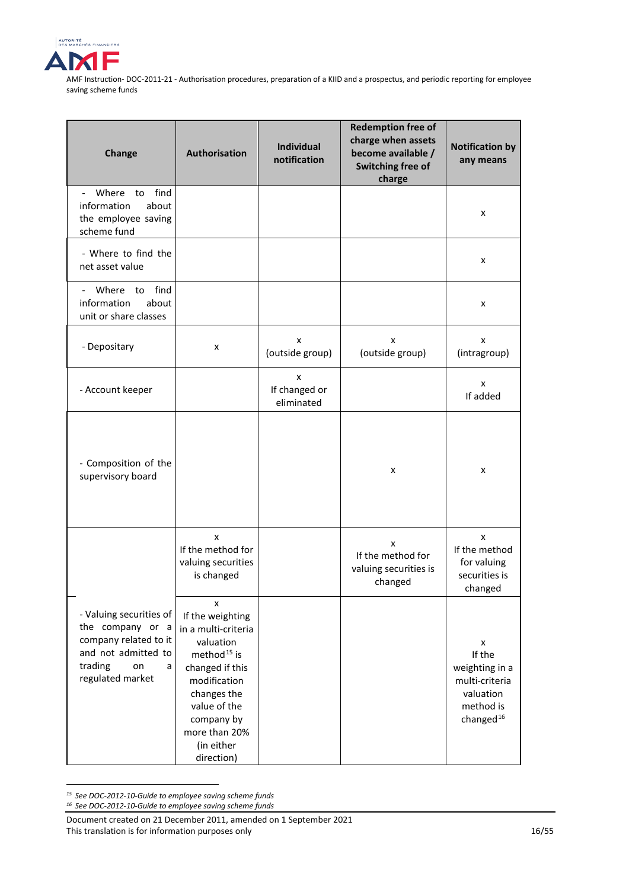

| Change                                                                                                                                | Authorisation                                                                                                                                                                                                     | <b>Individual</b><br>notification | <b>Redemption free of</b><br>charge when assets<br>become available /<br>Switching free of<br>charge | <b>Notification by</b><br>any means                                                       |
|---------------------------------------------------------------------------------------------------------------------------------------|-------------------------------------------------------------------------------------------------------------------------------------------------------------------------------------------------------------------|-----------------------------------|------------------------------------------------------------------------------------------------------|-------------------------------------------------------------------------------------------|
| find<br>Where<br>to<br>$\mathbf{L}$<br>information<br>about<br>the employee saving<br>scheme fund                                     |                                                                                                                                                                                                                   |                                   |                                                                                                      | x                                                                                         |
| - Where to find the<br>net asset value                                                                                                |                                                                                                                                                                                                                   |                                   |                                                                                                      | x                                                                                         |
| find<br>Where<br>to<br>information<br>about<br>unit or share classes                                                                  |                                                                                                                                                                                                                   |                                   |                                                                                                      | x                                                                                         |
| - Depositary                                                                                                                          | x                                                                                                                                                                                                                 | x<br>(outside group)              | x<br>(outside group)                                                                                 | x<br>(intragroup)                                                                         |
| - Account keeper                                                                                                                      |                                                                                                                                                                                                                   | x<br>If changed or<br>eliminated  |                                                                                                      | X<br>If added                                                                             |
| - Composition of the<br>supervisory board                                                                                             |                                                                                                                                                                                                                   |                                   | x                                                                                                    | x                                                                                         |
|                                                                                                                                       | X<br>If the method for<br>valuing securities<br>is changed                                                                                                                                                        |                                   | X<br>If the method for<br>valuing securities is<br>changed                                           | X<br>If the method<br>for valuing<br>securities is<br>changed                             |
| - Valuing securities of<br>the company or a<br>company related to it<br>and not admitted to<br>trading<br>on<br>a<br>regulated market | x<br>If the weighting<br>in a multi-criteria<br>valuation<br>method <sup>15</sup> is<br>changed if this<br>modification<br>changes the<br>value of the<br>company by<br>more than 20%<br>(in either<br>direction) |                                   |                                                                                                      | x<br>If the<br>weighting in a<br>multi-criteria<br>valuation<br>method is<br>changed $16$ |

*<sup>15</sup> See DOC-2012-10-Guide to employee saving scheme funds*

<u>.</u>

<span id="page-15-1"></span><span id="page-15-0"></span>*<sup>16</sup> See DOC-2012-10-Guide to employee saving scheme funds*

Document created on 21 December 2011, amended on 1 September 2021 This translation is for information purposes only 16/55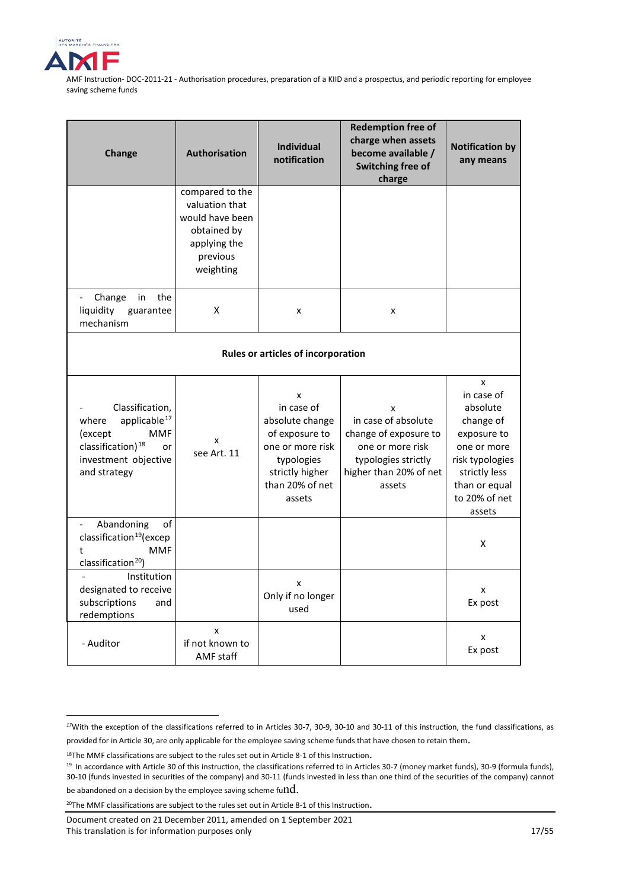

<u>.</u>

| Change                                                                                                                                                       | <b>Authorisation</b>                                                                                         | <b>Individual</b><br>notification                                                                                                      | <b>Redemption free of</b><br>charge when assets<br>become available /<br>Switching free of<br>charge                             | <b>Notification by</b><br>any means                                                                                                                    |  |
|--------------------------------------------------------------------------------------------------------------------------------------------------------------|--------------------------------------------------------------------------------------------------------------|----------------------------------------------------------------------------------------------------------------------------------------|----------------------------------------------------------------------------------------------------------------------------------|--------------------------------------------------------------------------------------------------------------------------------------------------------|--|
|                                                                                                                                                              | compared to the<br>valuation that<br>would have been<br>obtained by<br>applying the<br>previous<br>weighting |                                                                                                                                        |                                                                                                                                  |                                                                                                                                                        |  |
| the<br>Change<br>in<br>$\overline{\phantom{a}}$<br>liquidity<br>guarantee<br>mechanism                                                                       | Χ                                                                                                            | x                                                                                                                                      | x                                                                                                                                |                                                                                                                                                        |  |
| Rules or articles of incorporation                                                                                                                           |                                                                                                              |                                                                                                                                        |                                                                                                                                  |                                                                                                                                                        |  |
| Classification,<br>applicable <sup>17</sup><br>where<br>(except<br><b>MMF</b><br>classification) <sup>18</sup><br>or<br>investment objective<br>and strategy | x<br>see Art. 11                                                                                             | x<br>in case of<br>absolute change<br>of exposure to<br>one or more risk<br>typologies<br>strictly higher<br>than 20% of net<br>assets | x<br>in case of absolute<br>change of exposure to<br>one or more risk<br>typologies strictly<br>higher than 20% of net<br>assets | X<br>in case of<br>absolute<br>change of<br>exposure to<br>one or more<br>risk typologies<br>strictly less<br>than or equal<br>to 20% of net<br>assets |  |
| Abandoning<br>of<br>classification <sup>19</sup> (excep<br><b>MMF</b><br>t<br>classification <sup>20</sup> )                                                 |                                                                                                              |                                                                                                                                        |                                                                                                                                  | X                                                                                                                                                      |  |
| Institution<br>designated to receive<br>subscriptions<br>and<br>redemptions                                                                                  |                                                                                                              | x<br>Only if no longer<br>used                                                                                                         |                                                                                                                                  | X<br>Ex post                                                                                                                                           |  |
| - Auditor                                                                                                                                                    | x<br>if not known to<br><b>AMF</b> staff                                                                     |                                                                                                                                        |                                                                                                                                  | x<br>Ex post                                                                                                                                           |  |

<span id="page-16-0"></span>*<sup>17</sup>*With the exception of the classifications referred to in Articles 30-7, 30-9, 30-10 and 30-11 of this instruction, the fund classifications, as provided for in Article 30, are only applicable for the employee saving scheme funds that have chosen to retain them.

<span id="page-16-1"></span><sup>&</sup>lt;sup>18</sup>The MMF classifications are subject to the rules set out in Article 8-1 of this Instruction.

<span id="page-16-2"></span><sup>&</sup>lt;sup>19</sup> In accordance with Article 30 of this instruction, the classifications referred to in Articles 30-7 (money market funds), 30-9 (formula funds), 30-10 (funds invested in securities of the company) and 30-11 (funds invested in less than one third of the securities of the company) cannot be abandoned on a decision by the employee saving scheme fu $\mathrm{nd.}$ 

<span id="page-16-3"></span> $20$ The MMF classifications are subject to the rules set out in Article 8-1 of this Instruction.

Document created on 21 December 2011, amended on 1 September 2021 This translation is for information purposes only 17/55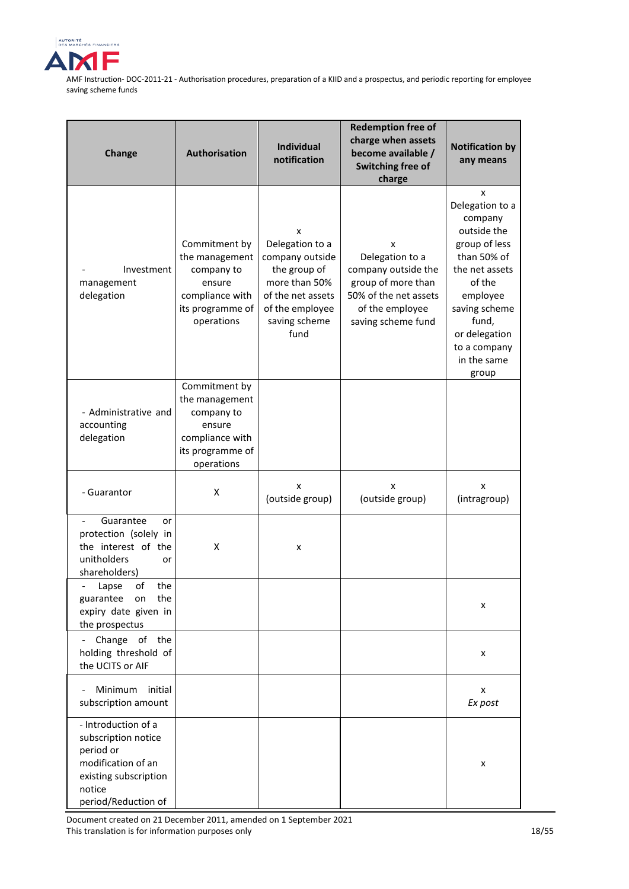

| Change                                                                                                                                  | Authorisation                                                                                                | <b>Individual</b><br>notification                                                                                                         | <b>Redemption free of</b><br>charge when assets<br>become available /<br>Switching free of<br>charge                                | <b>Notification by</b><br>any means                                                                                                                                                                       |
|-----------------------------------------------------------------------------------------------------------------------------------------|--------------------------------------------------------------------------------------------------------------|-------------------------------------------------------------------------------------------------------------------------------------------|-------------------------------------------------------------------------------------------------------------------------------------|-----------------------------------------------------------------------------------------------------------------------------------------------------------------------------------------------------------|
| Investment<br>management<br>delegation                                                                                                  | Commitment by<br>the management<br>company to<br>ensure<br>compliance with<br>its programme of<br>operations | x<br>Delegation to a<br>company outside<br>the group of<br>more than 50%<br>of the net assets<br>of the employee<br>saving scheme<br>fund | x<br>Delegation to a<br>company outside the<br>group of more than<br>50% of the net assets<br>of the employee<br>saving scheme fund | x<br>Delegation to a<br>company<br>outside the<br>group of less<br>than 50% of<br>the net assets<br>of the<br>employee<br>saving scheme<br>fund,<br>or delegation<br>to a company<br>in the same<br>group |
| - Administrative and<br>accounting<br>delegation                                                                                        | Commitment by<br>the management<br>company to<br>ensure<br>compliance with<br>its programme of<br>operations |                                                                                                                                           |                                                                                                                                     |                                                                                                                                                                                                           |
| - Guarantor                                                                                                                             | X                                                                                                            | x<br>(outside group)                                                                                                                      | x<br>(outside group)                                                                                                                | x<br>(intragroup)                                                                                                                                                                                         |
| Guarantee<br>or<br>protection (solely in<br>the interest of the<br>unitholders<br>or<br>shareholders)                                   | X                                                                                                            | x                                                                                                                                         |                                                                                                                                     |                                                                                                                                                                                                           |
| of<br>the<br>Lapse<br>$\overline{\phantom{a}}$<br>guarantee<br>on<br>the<br>expiry date given in<br>the prospectus                      |                                                                                                              |                                                                                                                                           |                                                                                                                                     | x                                                                                                                                                                                                         |
| Change of the<br>holding threshold of<br>the UCITS or AIF                                                                               |                                                                                                              |                                                                                                                                           |                                                                                                                                     | x                                                                                                                                                                                                         |
| Minimum<br>initial<br>subscription amount                                                                                               |                                                                                                              |                                                                                                                                           |                                                                                                                                     | x<br>Ex post                                                                                                                                                                                              |
| - Introduction of a<br>subscription notice<br>period or<br>modification of an<br>existing subscription<br>notice<br>period/Reduction of |                                                                                                              |                                                                                                                                           |                                                                                                                                     | x                                                                                                                                                                                                         |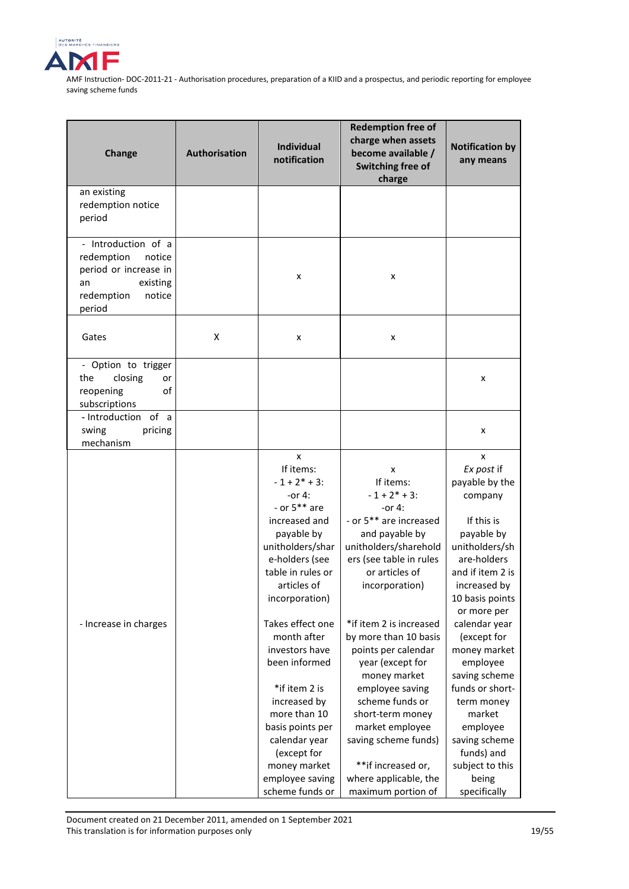

| Change                                                                                                                   | Authorisation | <b>Individual</b><br>notification                                                                                                                                                                                             | <b>Redemption free of</b><br>charge when assets<br>become available /<br>Switching free of<br>charge                                                                                                                                                                                  | <b>Notification by</b><br>any means                                                                                                                                                                         |
|--------------------------------------------------------------------------------------------------------------------------|---------------|-------------------------------------------------------------------------------------------------------------------------------------------------------------------------------------------------------------------------------|---------------------------------------------------------------------------------------------------------------------------------------------------------------------------------------------------------------------------------------------------------------------------------------|-------------------------------------------------------------------------------------------------------------------------------------------------------------------------------------------------------------|
| an existing<br>redemption notice<br>period                                                                               |               |                                                                                                                                                                                                                               |                                                                                                                                                                                                                                                                                       |                                                                                                                                                                                                             |
| - Introduction of a<br>redemption<br>notice<br>period or increase in<br>existing<br>an<br>redemption<br>notice<br>period |               | x                                                                                                                                                                                                                             | x                                                                                                                                                                                                                                                                                     |                                                                                                                                                                                                             |
| Gates                                                                                                                    | X             | x                                                                                                                                                                                                                             | x                                                                                                                                                                                                                                                                                     |                                                                                                                                                                                                             |
| - Option to trigger<br>the<br>closing<br>or<br>of<br>reopening<br>subscriptions                                          |               |                                                                                                                                                                                                                               |                                                                                                                                                                                                                                                                                       | x                                                                                                                                                                                                           |
| - Introduction of a<br>swing<br>pricing<br>mechanism                                                                     |               |                                                                                                                                                                                                                               |                                                                                                                                                                                                                                                                                       | x                                                                                                                                                                                                           |
|                                                                                                                          |               | x<br>If items:<br>$-1 + 2^* + 3$ :<br>-or 4:<br>- or $5**$ are<br>increased and<br>payable by<br>unitholders/shar<br>e-holders (see<br>table in rules or<br>articles of<br>incorporation)                                     | x<br>If items:<br>$-1 + 2^* + 3$ :<br>-or 4:<br>- or 5 <sup>**</sup> are increased<br>and payable by<br>unitholders/sharehold<br>ers (see table in rules<br>or articles of<br>incorporation)                                                                                          | x<br>Ex post if<br>payable by the<br>company<br>If this is<br>payable by<br>unitholders/sh<br>are-holders<br>and if item 2 is<br>increased by<br>10 basis points<br>or more per                             |
| - Increase in charges                                                                                                    |               | Takes effect one<br>month after<br>investors have<br>been informed<br>*if item 2 is<br>increased by<br>more than 10<br>basis points per<br>calendar year<br>(except for<br>money market<br>employee saving<br>scheme funds or | *if item 2 is increased<br>by more than 10 basis<br>points per calendar<br>year (except for<br>money market<br>employee saving<br>scheme funds or<br>short-term money<br>market employee<br>saving scheme funds)<br>**if increased or,<br>where applicable, the<br>maximum portion of | calendar year<br>(except for<br>money market<br>employee<br>saving scheme<br>funds or short-<br>term money<br>market<br>employee<br>saving scheme<br>funds) and<br>subject to this<br>being<br>specifically |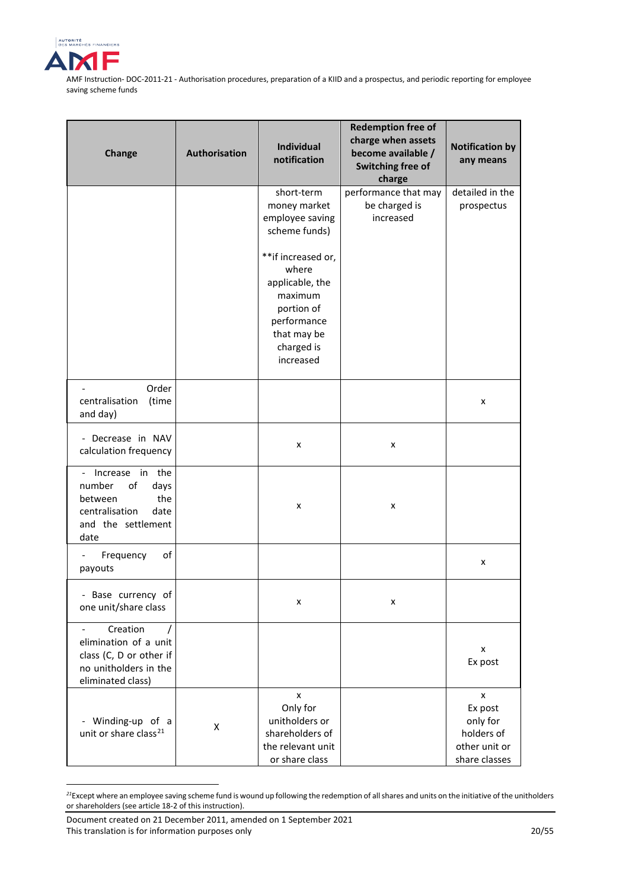

| Change                                                                                                            | Authorisation | <b>Individual</b><br>notification                                                                                                                                                                  | <b>Redemption free of</b><br>charge when assets<br>become available /<br>Switching free of<br>charge | <b>Notification by</b><br>any means                                      |
|-------------------------------------------------------------------------------------------------------------------|---------------|----------------------------------------------------------------------------------------------------------------------------------------------------------------------------------------------------|------------------------------------------------------------------------------------------------------|--------------------------------------------------------------------------|
|                                                                                                                   |               | short-term<br>money market<br>employee saving<br>scheme funds)<br>**if increased or,<br>where<br>applicable, the<br>maximum<br>portion of<br>performance<br>that may be<br>charged is<br>increased | performance that may<br>be charged is<br>increased                                                   | detailed in the<br>prospectus                                            |
| Order<br>centralisation<br>(time<br>and day)                                                                      |               |                                                                                                                                                                                                    |                                                                                                      | x                                                                        |
| - Decrease in NAV<br>calculation frequency                                                                        |               | x                                                                                                                                                                                                  | x                                                                                                    |                                                                          |
| Increase in the<br>number<br>of<br>days<br>the<br>between<br>centralisation<br>date<br>and the settlement<br>date |               | x                                                                                                                                                                                                  | x                                                                                                    |                                                                          |
| Frequency<br>of<br>payouts                                                                                        |               |                                                                                                                                                                                                    |                                                                                                      | x                                                                        |
| - Base currency of<br>one unit/share class                                                                        |               | x                                                                                                                                                                                                  | x                                                                                                    |                                                                          |
| Creation<br>elimination of a unit<br>class (C, D or other if<br>no unitholders in the<br>eliminated class)        |               |                                                                                                                                                                                                    |                                                                                                      | x<br>Ex post                                                             |
| Winding-up of a<br>unit or share class <sup>21</sup>                                                              | Χ             | x<br>Only for<br>unitholders or<br>shareholders of<br>the relevant unit<br>or share class                                                                                                          |                                                                                                      | x<br>Ex post<br>only for<br>holders of<br>other unit or<br>share classes |

<span id="page-19-0"></span>*<sup>21</sup>*Except where an employee saving scheme fund is wound up following the redemption of all shares and units on the initiative of the unitholders or shareholders (see article 18-2 of this instruction).

<u>.</u>

Document created on 21 December 2011, amended on 1 September 2021 This translation is for information purposes only 20/55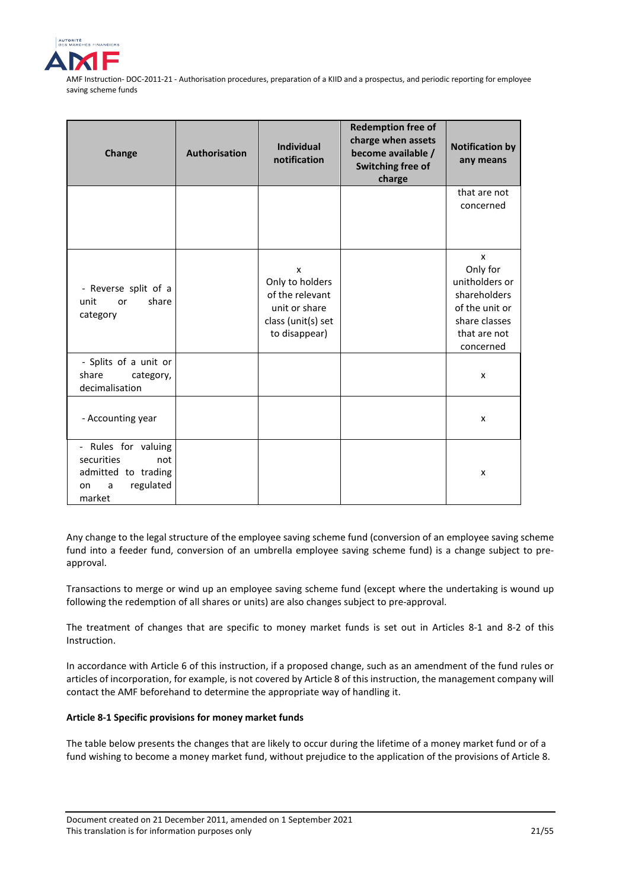

| Change                                                                                            | <b>Authorisation</b> | <b>Individual</b><br>notification                                                               | <b>Redemption free of</b><br>charge when assets<br>become available /<br>Switching free of<br>charge | <b>Notification by</b><br>any means                                                                             |
|---------------------------------------------------------------------------------------------------|----------------------|-------------------------------------------------------------------------------------------------|------------------------------------------------------------------------------------------------------|-----------------------------------------------------------------------------------------------------------------|
|                                                                                                   |                      |                                                                                                 |                                                                                                      | that are not<br>concerned                                                                                       |
| - Reverse split of a<br>share<br>unit<br>or<br>category                                           |                      | x<br>Only to holders<br>of the relevant<br>unit or share<br>class (unit(s) set<br>to disappear) |                                                                                                      | X<br>Only for<br>unitholders or<br>shareholders<br>of the unit or<br>share classes<br>that are not<br>concerned |
| - Splits of a unit or<br>share<br>category,<br>decimalisation                                     |                      |                                                                                                 |                                                                                                      | X                                                                                                               |
| - Accounting year                                                                                 |                      |                                                                                                 |                                                                                                      | x                                                                                                               |
| - Rules for valuing<br>securities<br>not<br>admitted to trading<br>regulated<br>a<br>on<br>market |                      |                                                                                                 |                                                                                                      | x                                                                                                               |

Any change to the legal structure of the employee saving scheme fund (conversion of an employee saving scheme fund into a feeder fund, conversion of an umbrella employee saving scheme fund) is a change subject to preapproval.

Transactions to merge or wind up an employee saving scheme fund (except where the undertaking is wound up following the redemption of all shares or units) are also changes subject to pre-approval.

The treatment of changes that are specific to money market funds is set out in Articles 8-1 and 8-2 of this Instruction.

In accordance with Article 6 of this instruction, if a proposed change, such as an amendment of the fund rules or articles of incorporation, for example, is not covered by Article 8 of this instruction, the management company will contact the AMF beforehand to determine the appropriate way of handling it.

## **Article 8-1 Specific provisions for money market funds**

The table below presents the changes that are likely to occur during the lifetime of a money market fund or of a fund wishing to become a money market fund, without prejudice to the application of the provisions of Article 8.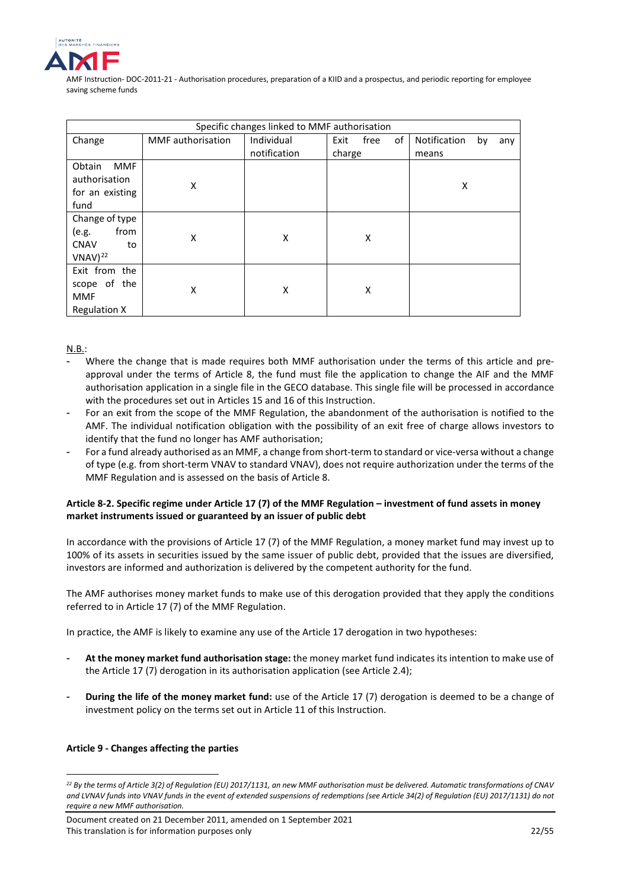

|                                                                      | Specific changes linked to MMF authorisation |              |                    |                           |  |
|----------------------------------------------------------------------|----------------------------------------------|--------------|--------------------|---------------------------|--|
| Change                                                               | MMF authorisation                            | Individual   | of<br>Exit<br>free | Notification<br>by<br>any |  |
|                                                                      |                                              | notification | charge             | means                     |  |
| Obtain<br><b>MMF</b><br>authorisation<br>for an existing<br>fund     | X                                            |              |                    | Χ                         |  |
| Change of type<br>from<br>(e.g.<br><b>CNAV</b><br>to<br>$VNAV)^{22}$ | X                                            | X            | X                  |                           |  |
| Exit from the<br>scope of the<br><b>MMF</b><br><b>Regulation X</b>   | x                                            | X            | X                  |                           |  |

N.B.:

- Where the change that is made requires both MMF authorisation under the terms of this article and preapproval under the terms of Article 8, the fund must file the application to change the AIF and the MMF authorisation application in a single file in the GECO database. This single file will be processed in accordance with the procedures set out in Articles 15 and 16 of this Instruction.
- For an exit from the scope of the MMF Regulation, the abandonment of the authorisation is notified to the AMF. The individual notification obligation with the possibility of an exit free of charge allows investors to identify that the fund no longer has AMF authorisation;
- For a fund already authorised as an MMF, a change from short-term to standard or vice-versa without a change of type (e.g. from short-term VNAV to standard VNAV), does not require authorization under the terms of the MMF Regulation and is assessed on the basis of Article 8.

## **Article 8-2. Specific regime under Article 17 (7) of the MMF Regulation – investment of fund assets in money market instruments issued or guaranteed by an issuer of public debt**

In accordance with the provisions of Article 17 (7) of the MMF Regulation, a money market fund may invest up to 100% of its assets in securities issued by the same issuer of public debt, provided that the issues are diversified, investors are informed and authorization is delivered by the competent authority for the fund.

The AMF authorises money market funds to make use of this derogation provided that they apply the conditions referred to in Article 17 (7) of the MMF Regulation.

In practice, the AMF is likely to examine any use of the Article 17 derogation in two hypotheses:

- **At the money market fund authorisation stage:** the money market fund indicates its intention to make use of the Article 17 (7) derogation in its authorisation application (see Article 2.4);
- **During the life of the money market fund:** use of the Article 17 (7) derogation is deemed to be a change of investment policy on the terms set out in Article 11 of this Instruction.

## **Article 9 - Changes affecting the parties**

<u>.</u>

<span id="page-21-0"></span>*<sup>22</sup> By the terms of Article 3(2) of Regulatio[n \(EU\) 2017/1131,](https://eur-lex.europa.eu/legal-content/FR/TXT/PDF/?uri=CELEX:32017R1131&from=FR) an new MMF authorisation must be delivered. Automatic transformations of CNAV and LVNAV funds into VNAV funds in the event of extended suspensions of redemptions (see Article 34(2) o[f Regulation \(EU\) 2017/1131\)](https://eur-lex.europa.eu/legal-content/FR/TXT/PDF/?uri=CELEX:32017R1131&from=FR) do not require a new MMF authorisation.*

Document created on 21 December 2011, amended on 1 September 2021 This translation is for information purposes only 22/55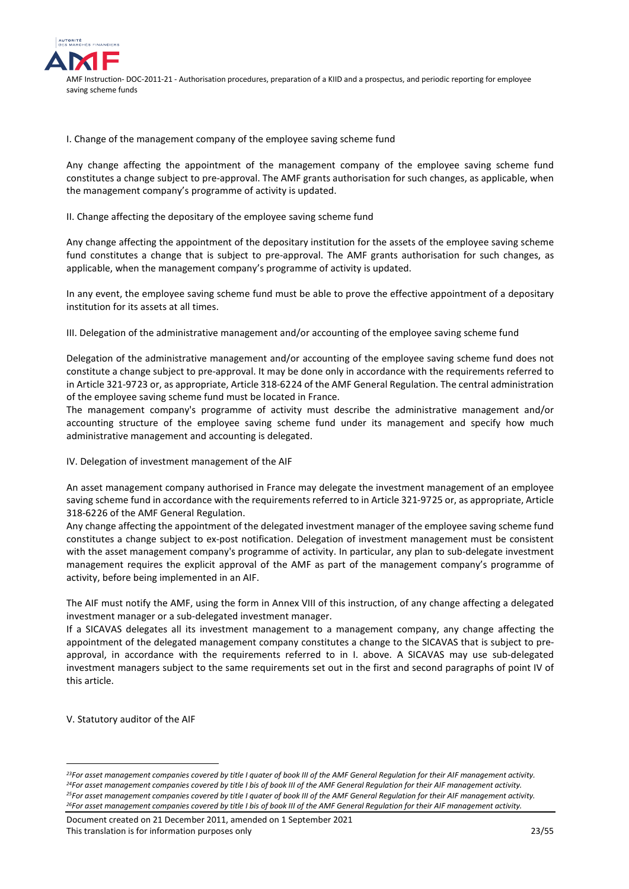

I. Change of the management company of the employee saving scheme fund

Any change affecting the appointment of the management company of the employee saving scheme fund constitutes a change subject to pre-approval. The AMF grants authorisation for such changes, as applicable, when the management company's programme of activity is updated.

II. Change affecting the depositary of the employee saving scheme fund

Any change affecting the appointment of the depositary institution for the assets of the employee saving scheme fund constitutes a change that is subject to pre-approval. The AMF grants authorisation for such changes, as applicable, when the management company's programme of activity is updated.

In any event, the employee saving scheme fund must be able to prove the effective appointment of a depositary institution for its assets at all times.

III. Delegation of the administrative management and/or accounting of the employee saving scheme fund

Delegation of the administrative management and/or accounting of the employee saving scheme fund does not constitute a change subject to pre-approval. It may be done only in accordance with the requirements referred to in Article 321-97[23](#page-22-0) or, as appropriate, Article 318-62[24](#page-22-1) of the AMF General Regulation. The central administration of the employee saving scheme fund must be located in France.

The management company's programme of activity must describe the administrative management and/or accounting structure of the employee saving scheme fund under its management and specify how much administrative management and accounting is delegated.

IV. Delegation of investment management of the AIF

An asset management company authorised in France may delegate the investment management of an employee saving scheme fund in accordance with the requirements referred to in Article 321-97[25](#page-22-2) or, as appropriate, Article 318-62[26](#page-22-3) of the AMF General Regulation.

Any change affecting the appointment of the delegated investment manager of the employee saving scheme fund constitutes a change subject to ex-post notification. Delegation of investment management must be consistent with the asset management company's programme of activity. In particular, any plan to sub-delegate investment management requires the explicit approval of the AMF as part of the management company's programme of activity, before being implemented in an AIF.

The AIF must notify the AMF, using the form in Annex VIII of this instruction, of any change affecting a delegated investment manager or a sub-delegated investment manager.

If a SICAVAS delegates all its investment management to a management company, any change affecting the appointment of the delegated management company constitutes a change to the SICAVAS that is subject to preapproval, in accordance with the requirements referred to in I. above. A SICAVAS may use sub-delegated investment managers subject to the same requirements set out in the first and second paragraphs of point IV of this article.

V. Statutory auditor of the AIF

<u>.</u>

<span id="page-22-3"></span>Document created on 21 December 2011, amended on 1 September 2021 This translation is for information purposes only 23/55

<span id="page-22-2"></span><span id="page-22-1"></span><span id="page-22-0"></span>*<sup>23</sup>For asset management companies covered by title I quater of book III of the AMF General Regulation for their AIF management activity. 24For asset management companies covered by title I bis of book III of the AMF General Regulation for their AIF management activity. 25For asset management companies covered by title I quater of book III of the AMF General Regulation for their AIF management activity. 26For asset management companies covered by title I bis of book III of the AMF General Regulation for their AIF management activity.*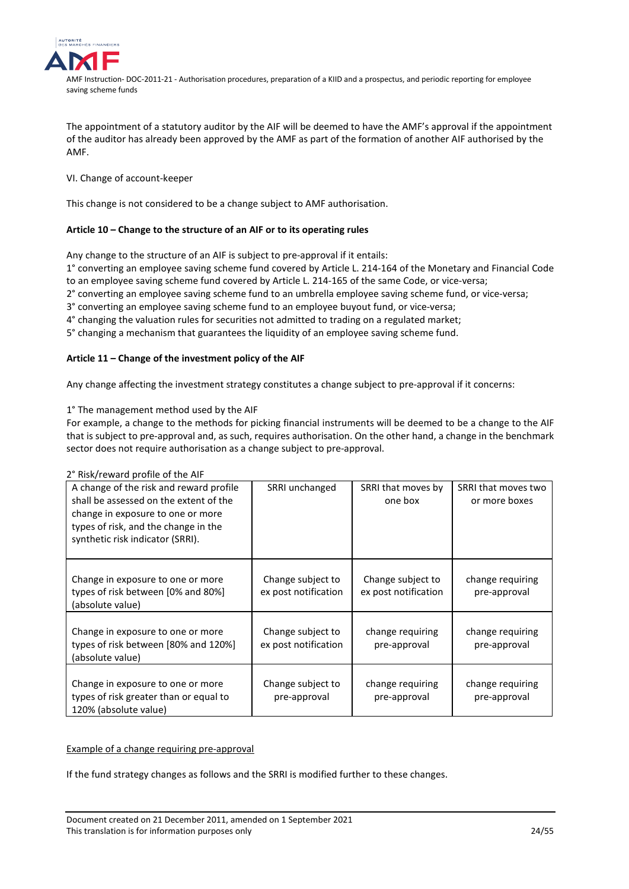

The appointment of a statutory auditor by the AIF will be deemed to have the AMF's approval if the appointment of the auditor has already been approved by the AMF as part of the formation of another AIF authorised by the AMF.

## VI. Change of account-keeper

This change is not considered to be a change subject to AMF authorisation.

## **Article 10 – Change to the structure of an AIF or to its operating rules**

Any change to the structure of an AIF is subject to pre-approval if it entails:

1° converting an employee saving scheme fund covered by Article L. 214-164 of the Monetary and Financial Code to an employee saving scheme fund covered by Article L. 214-165 of the same Code, or vice-versa;

2° converting an employee saving scheme fund to an umbrella employee saving scheme fund, or vice-versa;

- 3° converting an employee saving scheme fund to an employee buyout fund, or vice-versa;
- 4° changing the valuation rules for securities not admitted to trading on a regulated market;

5° changing a mechanism that guarantees the liquidity of an employee saving scheme fund.

## **Article 11 – Change of the investment policy of the AIF**

Any change affecting the investment strategy constitutes a change subject to pre-approval if it concerns:

1° The management method used by the AIF

For example, a change to the methods for picking financial instruments will be deemed to be a change to the AIF that is subject to pre-approval and, as such, requires authorisation. On the other hand, a change in the benchmark sector does not require authorisation as a change subject to pre-approval.

## 2° Risk/reward profile of the AIF

| A change of the risk and reward profile<br>shall be assessed on the extent of the<br>change in exposure to one or more<br>types of risk, and the change in the<br>synthetic risk indicator (SRRI). | SRRI unchanged                            | SRRI that moves by<br>one box             | SRRI that moves two<br>or more boxes |
|----------------------------------------------------------------------------------------------------------------------------------------------------------------------------------------------------|-------------------------------------------|-------------------------------------------|--------------------------------------|
| Change in exposure to one or more<br>types of risk between [0% and 80%]<br>(absolute value)                                                                                                        | Change subject to<br>ex post notification | Change subject to<br>ex post notification | change requiring<br>pre-approval     |
| Change in exposure to one or more<br>types of risk between [80% and 120%]<br>(absolute value)                                                                                                      | Change subject to<br>ex post notification | change requiring<br>pre-approval          | change requiring<br>pre-approval     |
| Change in exposure to one or more<br>types of risk greater than or equal to<br>120% (absolute value)                                                                                               | Change subject to<br>pre-approval         | change requiring<br>pre-approval          | change requiring<br>pre-approval     |

## Example of a change requiring pre-approval

If the fund strategy changes as follows and the SRRI is modified further to these changes.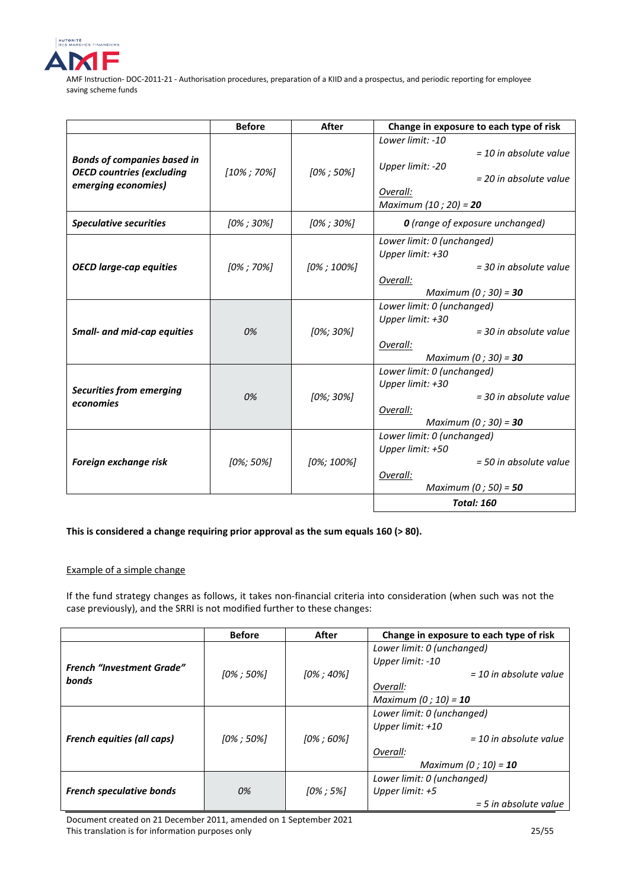

|                                    | <b>Before</b>  | After          | Change in exposure to each type of risk        |
|------------------------------------|----------------|----------------|------------------------------------------------|
|                                    |                |                | Lower limit: -10                               |
| <b>Bonds of companies based in</b> |                |                | $=$ 10 in absolute value                       |
| <b>OECD countries (excluding</b>   | $[10\%; 70\%]$ | $[0\%; 50\%]$  | Upper limit: -20                               |
| emerging economies)                |                |                | = 20 in absolute value                         |
|                                    |                |                | Overall:                                       |
|                                    |                |                | Maximum (10 ; 20) = 20                         |
| <b>Speculative securities</b>      | $[0\%; 30\%]$  | $[0\%; 30\%]$  | O (range of exposure unchanged)                |
|                                    |                |                | Lower limit: 0 (unchanged)                     |
|                                    |                |                | Upper limit: +30                               |
| <b>OECD large-cap equities</b>     | $[0\%; 70\%]$  | $[0\%$ ; 100%] | = 30 in absolute value                         |
|                                    |                |                | Overall:                                       |
|                                    |                |                | Maximum $(0; 30) = 30$                         |
|                                    |                |                | Lower limit: 0 (unchanged)                     |
|                                    |                |                | Upper limit: +30                               |
| <b>Small- and mid-cap equities</b> | 0%             | $[0\%; 30\%]$  | $=$ 30 in absolute value                       |
|                                    |                |                | Overall:                                       |
|                                    |                |                | Maximum (0; 30) = 30                           |
|                                    |                |                | Lower limit: 0 (unchanged)<br>Upper limit: +30 |
| <b>Securities from emerging</b>    | 0%             | [0%; 30%]      | = 30 in absolute value                         |
| economies                          |                |                | Overall:                                       |
|                                    |                |                | Maximum (0; 30) = 30                           |
|                                    |                |                | Lower limit: 0 (unchanged)                     |
|                                    |                |                | Upper limit: +50                               |
| Foreign exchange risk              | $[0\%; 50\%]$  | $[0\%; 100\%]$ | $=$ 50 in absolute value                       |
|                                    |                |                | Overall:                                       |
|                                    |                |                | Maximum (0; 50) = 50                           |
|                                    |                |                | <b>Total: 160</b>                              |

## **This is considered a change requiring prior approval as the sum equals 160 (> 80).**

## Example of a simple change

If the fund strategy changes as follows, it takes non-financial criteria into consideration (when such was not the case previously), and the SRRI is not modified further to these changes:

|                                   | <b>Before</b>  | After          | Change in exposure to each type of risk |
|-----------------------------------|----------------|----------------|-----------------------------------------|
|                                   |                |                | Lower limit: 0 (unchanged)              |
| <b>French "Investment Grade"</b>  |                |                | Upper limit: -10                        |
| bonds                             | $[0\% : 50\%]$ | $[0\% : 40\%]$ | $=$ 10 in absolute value                |
|                                   |                |                | Overall:                                |
|                                   |                |                | Maximum (0 ; 10) = $10$                 |
|                                   |                | $[0\%; 60\%]$  | Lower limit: 0 (unchanged)              |
| <b>French equities (all caps)</b> | $[0\%; 50\%]$  |                | Upper limit: +10                        |
|                                   |                |                | $=$ 10 in absolute value                |
|                                   |                |                | Overall:                                |
|                                   |                |                | Maximum (0 ; 10) = $10$                 |
|                                   |                |                | Lower limit: 0 (unchanged)              |
| <b>French speculative bonds</b>   | 0%             | $[0\% : 5\%]$  | Upper limit: $+5$                       |
|                                   |                |                | $=$ 5 in absolute value                 |

Document created on 21 December 2011, amended on 1 September 2021 This translation is for information purposes only 25/55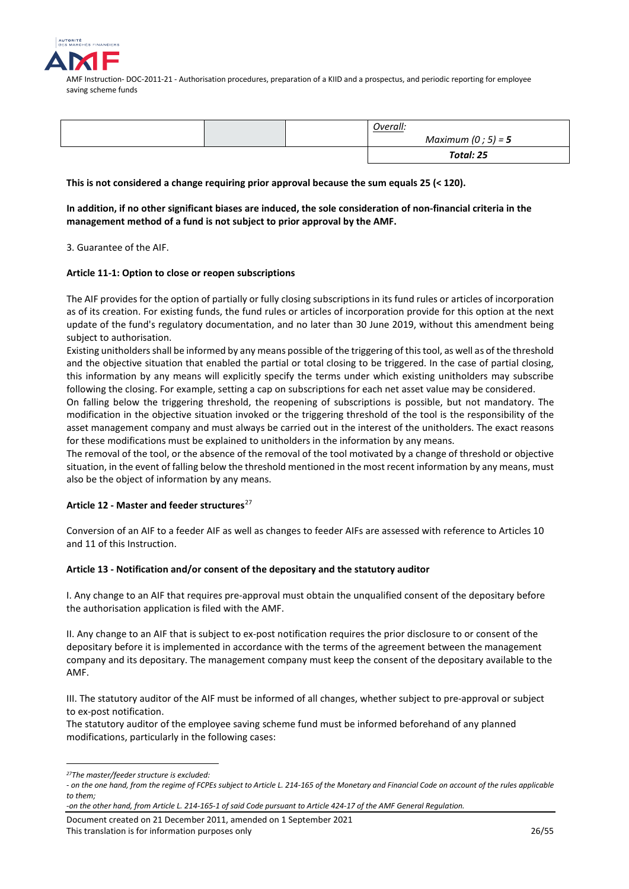

|  | Overall:           |
|--|--------------------|
|  | Maximum (0; 5) = 5 |
|  | Total: 25          |

## **This is not considered a change requiring prior approval because the sum equals 25 (< 120).**

**In addition, if no other significant biases are induced, the sole consideration of non-financial criteria in the management method of a fund is not subject to prior approval by the AMF.**

3. Guarantee of the AIF.

## **Article 11-1: Option to close or reopen subscriptions**

The AIF provides for the option of partially or fully closing subscriptions in its fund rules or articles of incorporation as of its creation. For existing funds, the fund rules or articles of incorporation provide for this option at the next update of the fund's regulatory documentation, and no later than 30 June 2019, without this amendment being subject to authorisation.

Existing unitholders shall be informed by any means possible of the triggering of this tool, as well as of the threshold and the objective situation that enabled the partial or total closing to be triggered. In the case of partial closing, this information by any means will explicitly specify the terms under which existing unitholders may subscribe following the closing. For example, setting a cap on subscriptions for each net asset value may be considered.

On falling below the triggering threshold, the reopening of subscriptions is possible, but not mandatory. The modification in the objective situation invoked or the triggering threshold of the tool is the responsibility of the asset management company and must always be carried out in the interest of the unitholders. The exact reasons for these modifications must be explained to unitholders in the information by any means.

The removal of the tool, or the absence of the removal of the tool motivated by a change of threshold or objective situation, in the event of falling below the threshold mentioned in the most recent information by any means, must also be the object of information by any means.

## **Article 12 - Master and feeder structures**[27](#page-25-0)

Conversion of an AIF to a feeder AIF as well as changes to feeder AIFs are assessed with reference to Articles 10 and 11 of this Instruction.

## **Article 13 - Notification and/or consent of the depositary and the statutory auditor**

I. Any change to an AIF that requires pre-approval must obtain the unqualified consent of the depositary before the authorisation application is filed with the AMF.

II. Any change to an AIF that is subject to ex-post notification requires the prior disclosure to or consent of the depositary before it is implemented in accordance with the terms of the agreement between the management company and its depositary. The management company must keep the consent of the depositary available to the AMF.

III. The statutory auditor of the AIF must be informed of all changes, whether subject to pre-approval or subject to ex-post notification.

The statutory auditor of the employee saving scheme fund must be informed beforehand of any planned modifications, particularly in the following cases:

<sup>&</sup>lt;u>.</u> *27The master/feeder structure is excluded:* 

<span id="page-25-0"></span>*<sup>-</sup> on the one hand, from the regime of FCPEs subject to Article L. 214-165 of the Monetary and Financial Code on account of the rules applicable to them;* 

*<sup>-</sup>on the other hand, from Article L. 214-165-1 of said Code pursuant to Article 424-17 of the AMF General Regulation.*

Document created on 21 December 2011, amended on 1 September 2021 This translation is for information purposes only 26/55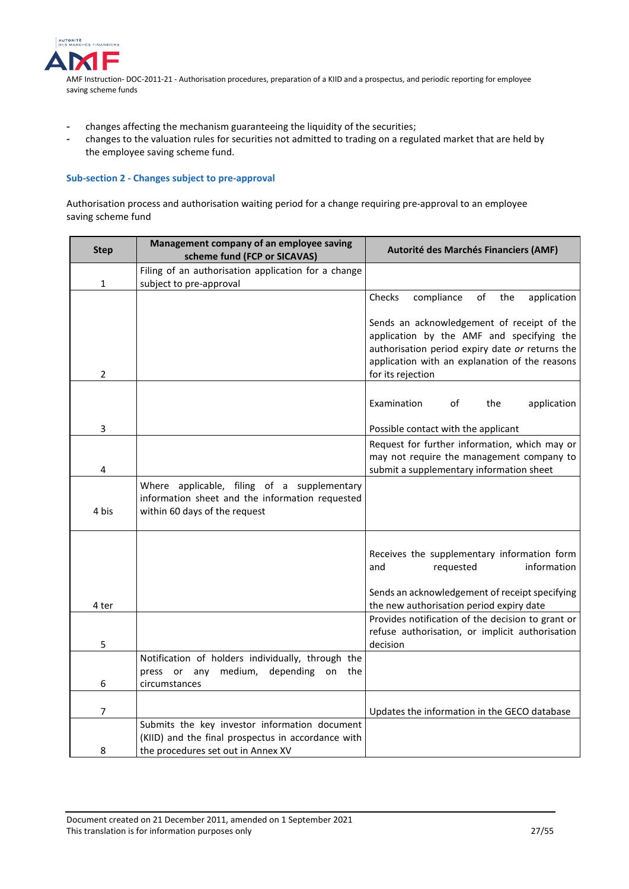

- changes affecting the mechanism guaranteeing the liquidity of the securities;
- changes to the valuation rules for securities not admitted to trading on a regulated market that are held by the employee saving scheme fund.

## <span id="page-26-0"></span>**Sub-section 2 - Changes subject to pre-approval**

Authorisation process and authorisation waiting period for a change requiring pre-approval to an employee saving scheme fund

| <b>Step</b> | Management company of an employee saving<br>scheme fund (FCP or SICAVAS)                                                                  | Autorité des Marchés Financiers (AMF)                                                                                                                                                                             |
|-------------|-------------------------------------------------------------------------------------------------------------------------------------------|-------------------------------------------------------------------------------------------------------------------------------------------------------------------------------------------------------------------|
| 1           | Filing of an authorisation application for a change<br>subject to pre-approval                                                            |                                                                                                                                                                                                                   |
|             |                                                                                                                                           | Checks<br>compliance<br>of<br>application<br>the                                                                                                                                                                  |
| 2           |                                                                                                                                           | Sends an acknowledgement of receipt of the<br>application by the AMF and specifying the<br>authorisation period expiry date or returns the<br>application with an explanation of the reasons<br>for its rejection |
|             |                                                                                                                                           | Examination<br>application<br>οf<br>the                                                                                                                                                                           |
| 3           |                                                                                                                                           | Possible contact with the applicant                                                                                                                                                                               |
| 4           |                                                                                                                                           | Request for further information, which may or<br>may not require the management company to<br>submit a supplementary information sheet                                                                            |
| 4 bis       | Where applicable, filing of a supplementary<br>information sheet and the information requested<br>within 60 days of the request           |                                                                                                                                                                                                                   |
|             |                                                                                                                                           | Receives the supplementary information form<br>information<br>requested<br>and                                                                                                                                    |
| 4 ter       |                                                                                                                                           | Sends an acknowledgement of receipt specifying<br>the new authorisation period expiry date                                                                                                                        |
| 5           |                                                                                                                                           | Provides notification of the decision to grant or<br>refuse authorisation, or implicit authorisation<br>decision                                                                                                  |
|             | Notification of holders individually, through the<br>press or any medium,<br>depending<br>on<br>the                                       |                                                                                                                                                                                                                   |
| 6           | circumstances                                                                                                                             |                                                                                                                                                                                                                   |
| 7           |                                                                                                                                           | Updates the information in the GECO database                                                                                                                                                                      |
| 8           | Submits the key investor information document<br>(KIID) and the final prospectus in accordance with<br>the procedures set out in Annex XV |                                                                                                                                                                                                                   |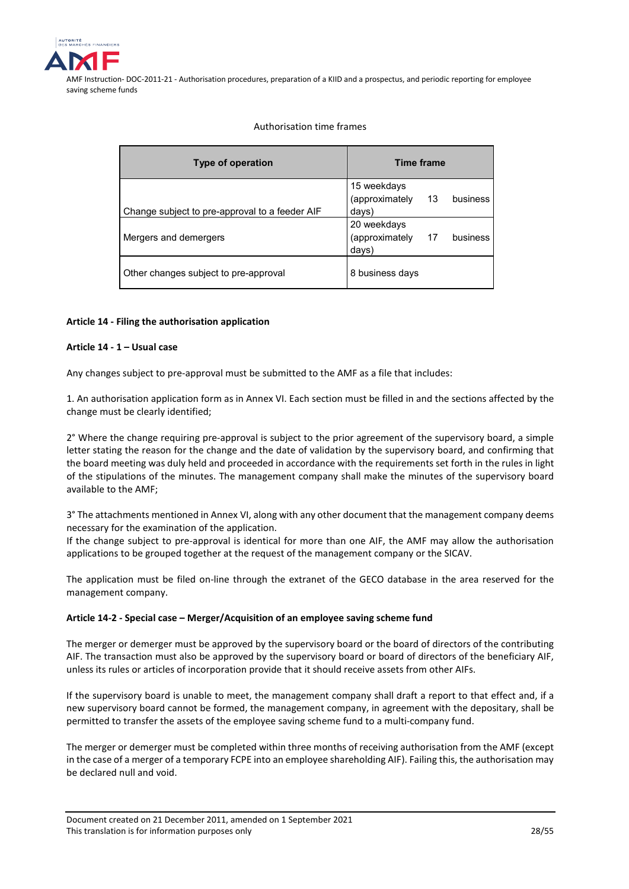

Authorisation time frames

| Type of operation                              | <b>Time frame</b>                                          |
|------------------------------------------------|------------------------------------------------------------|
| Change subject to pre-approval to a feeder AIF | 15 weekdays<br>(approximately<br>- 13<br>business<br>days) |
| Mergers and demergers                          | 20 weekdays<br>(approximately<br>17<br>business<br>days)   |
| Other changes subject to pre-approval          | 8 business days                                            |

## **Article 14 - Filing the authorisation application**

## **Article 14 - 1 – Usual case**

Any changes subject to pre-approval must be submitted to the AMF as a file that includes:

1. An authorisation application form as in Annex VI. Each section must be filled in and the sections affected by the change must be clearly identified;

2° Where the change requiring pre-approval is subject to the prior agreement of the supervisory board, a simple letter stating the reason for the change and the date of validation by the supervisory board, and confirming that the board meeting was duly held and proceeded in accordance with the requirements set forth in the rules in light of the stipulations of the minutes. The management company shall make the minutes of the supervisory board available to the AMF;

3° The attachments mentioned in Annex VI, along with any other document that the management company deems necessary for the examination of the application.

If the change subject to pre-approval is identical for more than one AIF, the AMF may allow the authorisation applications to be grouped together at the request of the management company or the SICAV.

The application must be filed on-line through the extranet of the GECO database in the area reserved for the management company.

## **Article 14-2 - Special case – Merger/Acquisition of an employee saving scheme fund**

The merger or demerger must be approved by the supervisory board or the board of directors of the contributing AIF. The transaction must also be approved by the supervisory board or board of directors of the beneficiary AIF, unless its rules or articles of incorporation provide that it should receive assets from other AIFs.

If the supervisory board is unable to meet, the management company shall draft a report to that effect and, if a new supervisory board cannot be formed, the management company, in agreement with the depositary, shall be permitted to transfer the assets of the employee saving scheme fund to a multi-company fund.

The merger or demerger must be completed within three months of receiving authorisation from the AMF (except in the case of a merger of a temporary FCPE into an employee shareholding AIF). Failing this, the authorisation may be declared null and void.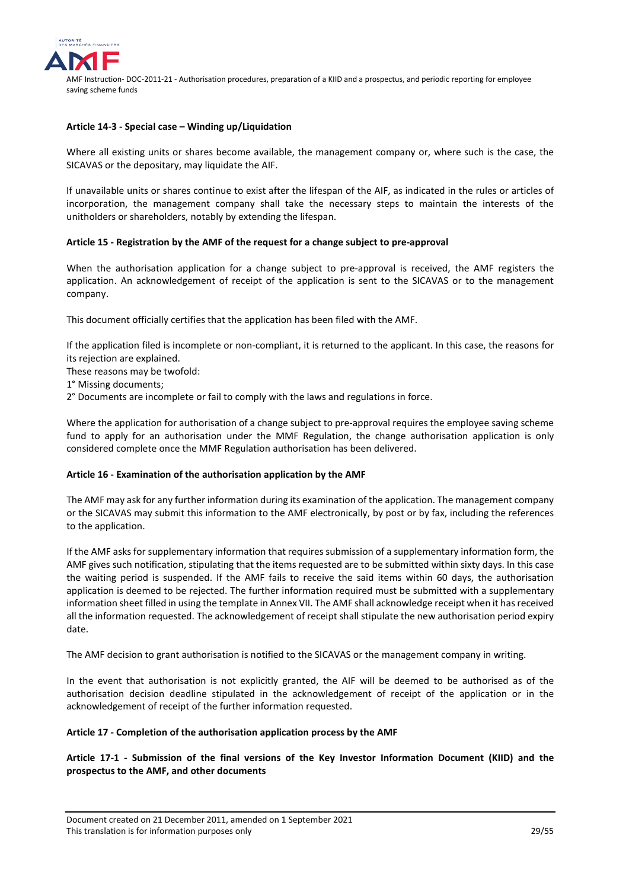

#### **Article 14-3 - Special case – Winding up/Liquidation**

Where all existing units or shares become available, the management company or, where such is the case, the SICAVAS or the depositary, may liquidate the AIF.

If unavailable units or shares continue to exist after the lifespan of the AIF, as indicated in the rules or articles of incorporation, the management company shall take the necessary steps to maintain the interests of the unitholders or shareholders, notably by extending the lifespan.

## **Article 15 - Registration by the AMF of the request for a change subject to pre-approval**

When the authorisation application for a change subject to pre-approval is received, the AMF registers the application. An acknowledgement of receipt of the application is sent to the SICAVAS or to the management company.

This document officially certifies that the application has been filed with the AMF.

If the application filed is incomplete or non-compliant, it is returned to the applicant. In this case, the reasons for its rejection are explained.

These reasons may be twofold:

1° Missing documents;

2° Documents are incomplete or fail to comply with the laws and regulations in force.

Where the application for authorisation of a change subject to pre-approval requires the employee saving scheme fund to apply for an authorisation under the MMF Regulation, the change authorisation application is only considered complete once the MMF Regulation authorisation has been delivered.

#### **Article 16 - Examination of the authorisation application by the AMF**

The AMF may ask for any further information during its examination of the application. The management company or the SICAVAS may submit this information to the AMF electronically, by post or by fax, including the references to the application.

If the AMF asks for supplementary information that requires submission of a supplementary information form, the AMF gives such notification, stipulating that the items requested are to be submitted within sixty days. In this case the waiting period is suspended. If the AMF fails to receive the said items within 60 days, the authorisation application is deemed to be rejected. The further information required must be submitted with a supplementary information sheet filled in using the template in Annex VII. The AMF shall acknowledge receipt when it has received all the information requested. The acknowledgement of receipt shall stipulate the new authorisation period expiry date.

The AMF decision to grant authorisation is notified to the SICAVAS or the management company in writing.

In the event that authorisation is not explicitly granted, the AIF will be deemed to be authorised as of the authorisation decision deadline stipulated in the acknowledgement of receipt of the application or in the acknowledgement of receipt of the further information requested.

#### **Article 17 - Completion of the authorisation application process by the AMF**

**Article 17-1 - Submission of the final versions of the Key Investor Information Document (KIID) and the prospectus to the AMF, and other documents**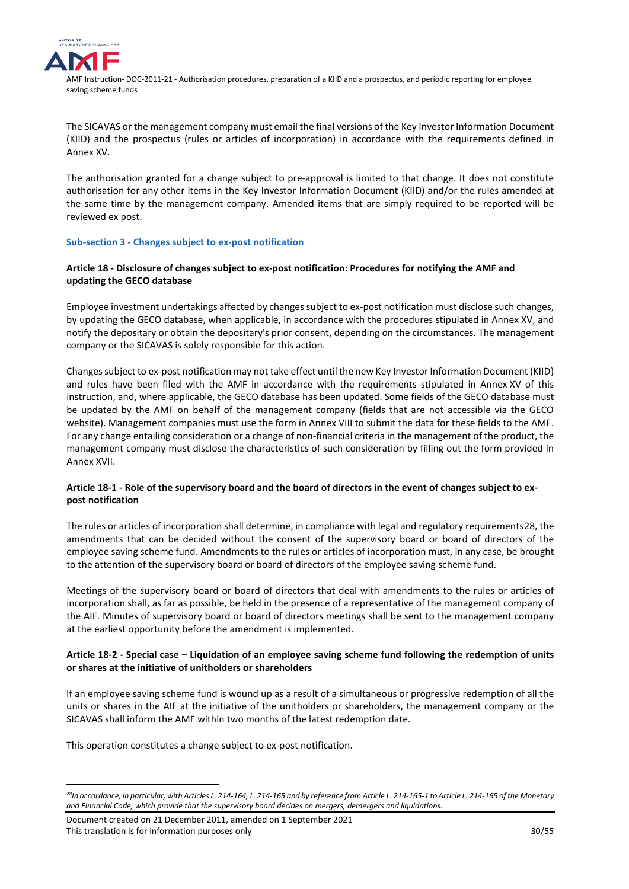

The SICAVAS or the management company must email the final versions of the Key Investor Information Document (KIID) and the prospectus (rules or articles of incorporation) in accordance with the requirements defined in Annex XV.

The authorisation granted for a change subject to pre-approval is limited to that change. It does not constitute authorisation for any other items in the Key Investor Information Document (KIID) and/or the rules amended at the same time by the management company. Amended items that are simply required to be reported will be reviewed ex post.

## <span id="page-29-0"></span>**Sub-section 3 - Changes subject to ex-post notification**

## **Article 18 - Disclosure of changes subject to ex-post notification: Procedures for notifying the AMF and updating the GECO database**

Employee investment undertakings affected by changes subject to ex-post notification must disclose such changes, by updating the GECO database, when applicable, in accordance with the procedures stipulated in Annex XV, and notify the depositary or obtain the depositary's prior consent, depending on the circumstances. The management company or the SICAVAS is solely responsible for this action.

Changes subject to ex-post notification may not take effect until the new Key Investor Information Document (KIID) and rules have been filed with the AMF in accordance with the requirements stipulated in Annex XV of this instruction, and, where applicable, the GECO database has been updated. Some fields of the GECO database must be updated by the AMF on behalf of the management company (fields that are not accessible via the GECO website). Management companies must use the form in Annex VIII to submit the data for these fields to the AMF. For any change entailing consideration or a change of non-financial criteria in the management of the product, the management company must disclose the characteristics of such consideration by filling out the form provided in Annex XVII.

## **Article 18-1 - Role of the supervisory board and the board of directors in the event of changes subject to expost notification**

The rules or articles of incorporation shall determine, in compliance with legal and regulatory requirements[28](#page-29-1), the amendments that can be decided without the consent of the supervisory board or board of directors of the employee saving scheme fund. Amendments to the rules or articles of incorporation must, in any case, be brought to the attention of the supervisory board or board of directors of the employee saving scheme fund.

Meetings of the supervisory board or board of directors that deal with amendments to the rules or articles of incorporation shall, as far as possible, be held in the presence of a representative of the management company of the AIF. Minutes of supervisory board or board of directors meetings shall be sent to the management company at the earliest opportunity before the amendment is implemented.

## **Article 18-2 - Special case – Liquidation of an employee saving scheme fund following the redemption of units or shares at the initiative of unitholders or shareholders**

If an employee saving scheme fund is wound up as a result of a simultaneous or progressive redemption of all the units or shares in the AIF at the initiative of the unitholders or shareholders, the management company or the SICAVAS shall inform the AMF within two months of the latest redemption date.

This operation constitutes a change subject to ex-post notification.

<u>.</u>

Document created on 21 December 2011, amended on 1 September 2021 This translation is for information purposes only 30/55

<span id="page-29-1"></span>*<sup>28</sup>In accordance, in particular, with Articles L. 214-164, L. 214-165 and by reference from Article L. 214-165-1 to Article L. 214-165 of the Monetary and Financial Code, which provide that the supervisory board decides on mergers, demergers and liquidations.*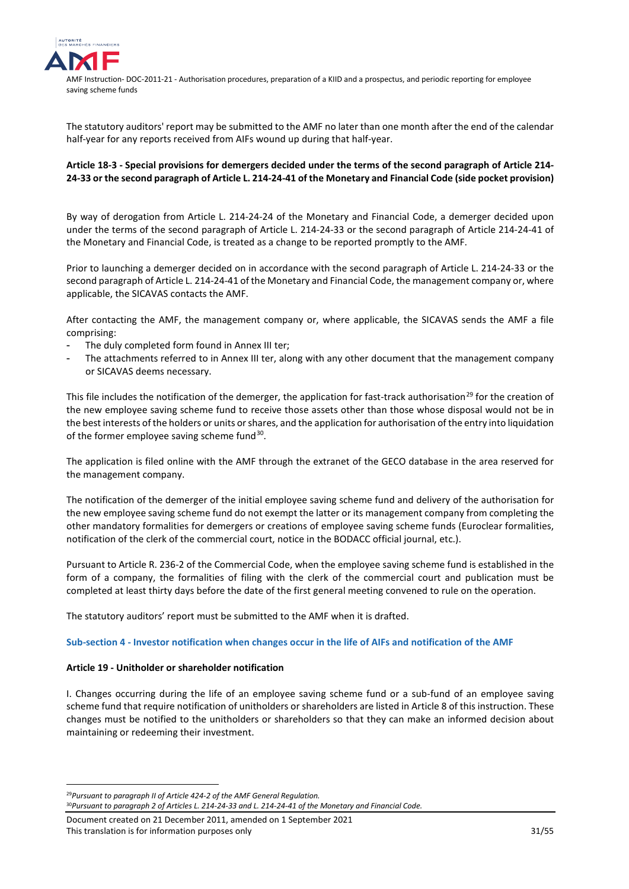

The statutory auditors' report may be submitted to the AMF no later than one month after the end of the calendar half-year for any reports received from AIFs wound up during that half-year.

## **Article 18-3 - Special provisions for demergers decided under the terms of the second paragraph of Article 214- 24-33 or the second paragraph of Article L. 214-24-41 of the Monetary and Financial Code (side pocket provision)**

By way of derogation from Article L. 214-24-24 of the Monetary and Financial Code, a demerger decided upon under the terms of the second paragraph of Article L. 214-24-33 or the second paragraph of Article 214-24-41 of the Monetary and Financial Code, is treated as a change to be reported promptly to the AMF.

Prior to launching a demerger decided on in accordance with the second paragraph of Article L. 214-24-33 or the second paragraph of Article L. 214-24-41 of the Monetary and Financial Code, the management company or, where applicable, the SICAVAS contacts the AMF.

After contacting the AMF, the management company or, where applicable, the SICAVAS sends the AMF a file comprising:

- The duly completed form found in Annex III ter;
- The attachments referred to in Annex III ter, along with any other document that the management company or SICAVAS deems necessary.

This file includes the notification of the demerger, the application for fast-track authorisation<sup>[29](#page-30-1)</sup> for the creation of the new employee saving scheme fund to receive those assets other than those whose disposal would not be in the best interests of the holders or units or shares, and the application for authorisation of the entry into liquidation of the former employee saving scheme fund $30$ .

The application is filed online with the AMF through the extranet of the GECO database in the area reserved for the management company.

The notification of the demerger of the initial employee saving scheme fund and delivery of the authorisation for the new employee saving scheme fund do not exempt the latter or its management company from completing the other mandatory formalities for demergers or creations of employee saving scheme funds (Euroclear formalities, notification of the clerk of the commercial court, notice in the BODACC official journal, etc.).

Pursuant to Article R. 236-2 of the Commercial Code, when the employee saving scheme fund is established in the form of a company, the formalities of filing with the clerk of the commercial court and publication must be completed at least thirty days before the date of the first general meeting convened to rule on the operation.

The statutory auditors' report must be submitted to the AMF when it is drafted.

## <span id="page-30-0"></span>**Sub-section 4 - Investor notification when changes occur in the life of AIFs and notification of the AMF**

## **Article 19 - Unitholder or shareholder notification**

I. Changes occurring during the life of an employee saving scheme fund or a sub-fund of an employee saving scheme fund that require notification of unitholders or shareholders are listed in Article 8 of this instruction. These changes must be notified to the unitholders or shareholders so that they can make an informed decision about maintaining or redeeming their investment.

<span id="page-30-1"></span><sup>29</sup>*Pursuant to paragraph II of Article 424-2 of the AMF General Regulation.*

<u>.</u>

<span id="page-30-2"></span>30*Pursuant to paragraph 2 of Articles L. 214-24-33 and L. 214-24-41 of the Monetary and Financial Code.*

Document created on 21 December 2011, amended on 1 September 2021 This translation is for information purposes only 31/55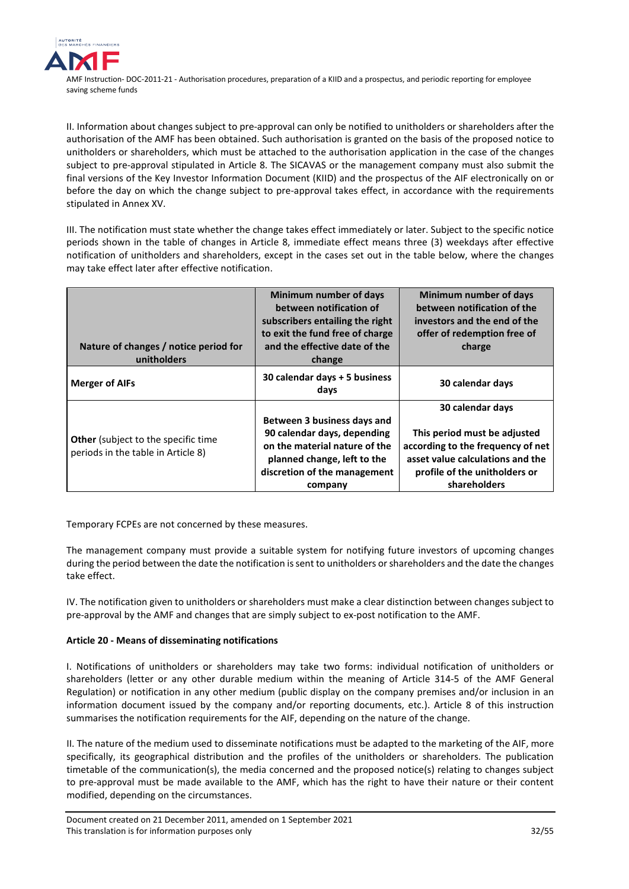

II. Information about changes subject to pre-approval can only be notified to unitholders or shareholders after the authorisation of the AMF has been obtained. Such authorisation is granted on the basis of the proposed notice to unitholders or shareholders, which must be attached to the authorisation application in the case of the changes subject to pre-approval stipulated in Article 8. The SICAVAS or the management company must also submit the final versions of the Key Investor Information Document (KIID) and the prospectus of the AIF electronically on or before the day on which the change subject to pre-approval takes effect, in accordance with the requirements stipulated in Annex XV.

III. The notification must state whether the change takes effect immediately or later. Subject to the specific notice periods shown in the table of changes in Article 8, immediate effect means three (3) weekdays after effective notification of unitholders and shareholders, except in the cases set out in the table below, where the changes may take effect later after effective notification.

| Nature of changes / notice period for<br>unitholders                             | Minimum number of days<br>between notification of<br>subscribers entailing the right<br>to exit the fund free of charge<br>and the effective date of the<br>change    | Minimum number of days<br>between notification of the<br>investors and the end of the<br>offer of redemption free of<br>charge                                             |
|----------------------------------------------------------------------------------|-----------------------------------------------------------------------------------------------------------------------------------------------------------------------|----------------------------------------------------------------------------------------------------------------------------------------------------------------------------|
| <b>Merger of AIFs</b>                                                            | 30 calendar days + 5 business<br>days                                                                                                                                 | 30 calendar days                                                                                                                                                           |
| <b>Other</b> (subject to the specific time<br>periods in the table in Article 8) | Between 3 business days and<br>90 calendar days, depending<br>on the material nature of the<br>planned change, left to the<br>discretion of the management<br>company | 30 calendar days<br>This period must be adjusted<br>according to the frequency of net<br>asset value calculations and the<br>profile of the unitholders or<br>shareholders |

Temporary FCPEs are not concerned by these measures.

The management company must provide a suitable system for notifying future investors of upcoming changes during the period between the date the notification is sent to unitholders or shareholders and the date the changes take effect.

IV. The notification given to unitholders or shareholders must make a clear distinction between changes subject to pre-approval by the AMF and changes that are simply subject to ex-post notification to the AMF.

## **Article 20 - Means of disseminating notifications**

I. Notifications of unitholders or shareholders may take two forms: individual notification of unitholders or shareholders (letter or any other durable medium within the meaning of Article 314-5 of the AMF General Regulation) or notification in any other medium (public display on the company premises and/or inclusion in an information document issued by the company and/or reporting documents, etc.). Article 8 of this instruction summarises the notification requirements for the AIF, depending on the nature of the change.

II. The nature of the medium used to disseminate notifications must be adapted to the marketing of the AIF, more specifically, its geographical distribution and the profiles of the unitholders or shareholders. The publication timetable of the communication(s), the media concerned and the proposed notice(s) relating to changes subject to pre-approval must be made available to the AMF, which has the right to have their nature or their content modified, depending on the circumstances.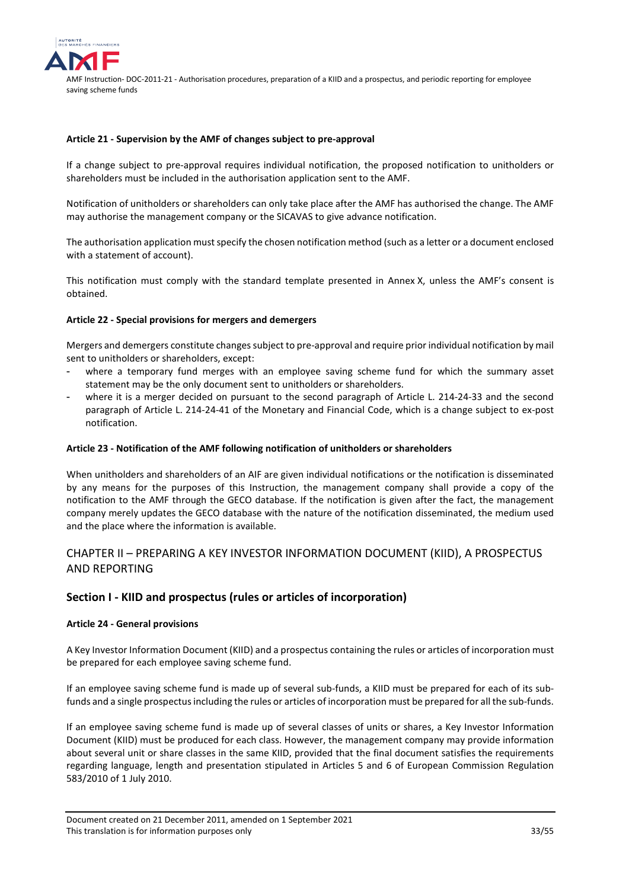

#### **Article 21 - Supervision by the AMF of changes subject to pre-approval**

If a change subject to pre-approval requires individual notification, the proposed notification to unitholders or shareholders must be included in the authorisation application sent to the AMF.

Notification of unitholders or shareholders can only take place after the AMF has authorised the change. The AMF may authorise the management company or the SICAVAS to give advance notification.

The authorisation application must specify the chosen notification method (such as a letter or a document enclosed with a statement of account).

This notification must comply with the standard template presented in Annex X, unless the AMF's consent is obtained.

#### **Article 22 - Special provisions for mergers and demergers**

Mergers and demergers constitute changes subject to pre-approval and require prior individual notification by mail sent to unitholders or shareholders, except:

- where a temporary fund merges with an employee saving scheme fund for which the summary asset statement may be the only document sent to unitholders or shareholders.
- where it is a merger decided on pursuant to the second paragraph of Article L. 214-24-33 and the second paragraph of Article L. 214-24-41 of the Monetary and Financial Code, which is a change subject to ex-post notification.

#### **Article 23 - Notification of the AMF following notification of unitholders or shareholders**

When unitholders and shareholders of an AIF are given individual notifications or the notification is disseminated by any means for the purposes of this Instruction, the management company shall provide a copy of the notification to the AMF through the GECO database. If the notification is given after the fact, the management company merely updates the GECO database with the nature of the notification disseminated, the medium used and the place where the information is available.

# <span id="page-32-0"></span>CHAPTER II – PREPARING A KEY INVESTOR INFORMATION DOCUMENT (KIID), A PROSPECTUS AND REPORTING

## <span id="page-32-1"></span>**Section I - KIID and prospectus (rules or articles of incorporation)**

## **Article 24 - General provisions**

A Key Investor Information Document (KIID) and a prospectus containing the rules or articles of incorporation must be prepared for each employee saving scheme fund.

If an employee saving scheme fund is made up of several sub-funds, a KIID must be prepared for each of its subfunds and a single prospectus including the rules or articles of incorporation must be prepared for all the sub-funds.

If an employee saving scheme fund is made up of several classes of units or shares, a Key Investor Information Document (KIID) must be produced for each class. However, the management company may provide information about several unit or share classes in the same KIID, provided that the final document satisfies the requirements regarding language, length and presentation stipulated in Articles 5 and 6 of European Commission Regulation 583/2010 of 1 July 2010.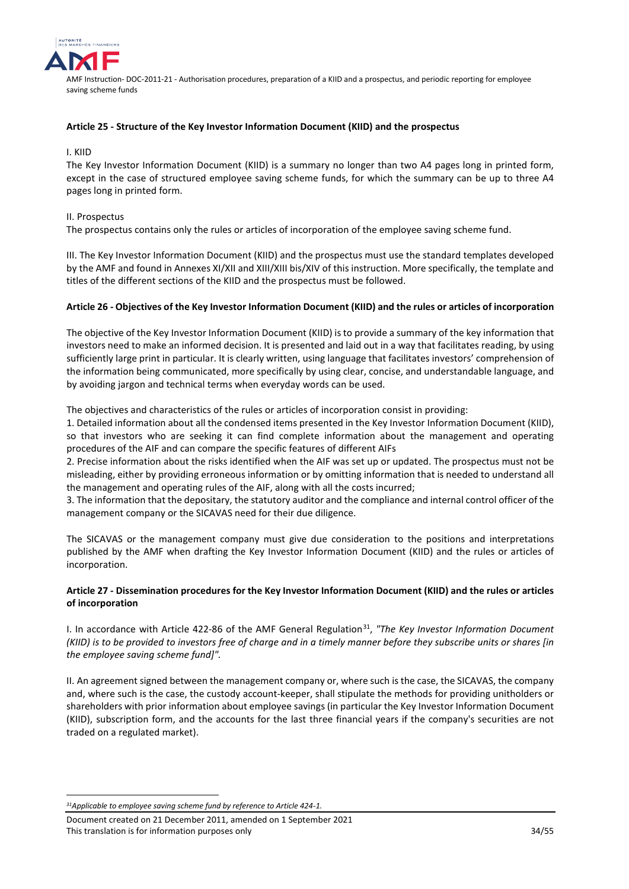

#### **Article 25 - Structure of the Key Investor Information Document (KIID) and the prospectus**

## I. KIID

The Key Investor Information Document (KIID) is a summary no longer than two A4 pages long in printed form, except in the case of structured employee saving scheme funds, for which the summary can be up to three A4 pages long in printed form.

#### II. Prospectus

The prospectus contains only the rules or articles of incorporation of the employee saving scheme fund.

III. The Key Investor Information Document (KIID) and the prospectus must use the standard templates developed by the AMF and found in Annexes XI/XII and XIII/XIII bis/XIV of this instruction. More specifically, the template and titles of the different sections of the KIID and the prospectus must be followed.

#### **Article 26 - Objectives of the Key Investor Information Document (KIID) and the rules or articles of incorporation**

The objective of the Key Investor Information Document (KIID) is to provide a summary of the key information that investors need to make an informed decision. It is presented and laid out in a way that facilitates reading, by using sufficiently large print in particular. It is clearly written, using language that facilitates investors' comprehension of the information being communicated, more specifically by using clear, concise, and understandable language, and by avoiding jargon and technical terms when everyday words can be used.

The objectives and characteristics of the rules or articles of incorporation consist in providing:

1. Detailed information about all the condensed items presented in the Key Investor Information Document (KIID), so that investors who are seeking it can find complete information about the management and operating procedures of the AIF and can compare the specific features of different AIFs

2. Precise information about the risks identified when the AIF was set up or updated. The prospectus must not be misleading, either by providing erroneous information or by omitting information that is needed to understand all the management and operating rules of the AIF, along with all the costs incurred;

3. The information that the depositary, the statutory auditor and the compliance and internal control officer of the management company or the SICAVAS need for their due diligence.

The SICAVAS or the management company must give due consideration to the positions and interpretations published by the AMF when drafting the Key Investor Information Document (KIID) and the rules or articles of incorporation.

## **Article 27 - Dissemination procedures for the Key Investor Information Document (KIID) and the rules or articles of incorporation**

I. In accordance with Article 422-86 of the AMF General Regulation<sup>[31](#page-33-0)</sup>, "The Key Investor Information Document *(KIID) is to be provided to investors free of charge and in a timely manner before they subscribe units or shares [in the employee saving scheme fund]".*

II. An agreement signed between the management company or, where such is the case, the SICAVAS, the company and, where such is the case, the custody account-keeper, shall stipulate the methods for providing unitholders or shareholders with prior information about employee savings (in particular the Key Investor Information Document (KIID), subscription form, and the accounts for the last three financial years if the company's securities are not traded on a regulated market).

<u>.</u>

<span id="page-33-0"></span>*<sup>31</sup>Applicable to employee saving scheme fund by reference to Article 424-1.*

Document created on 21 December 2011, amended on 1 September 2021 This translation is for information purposes only 34/55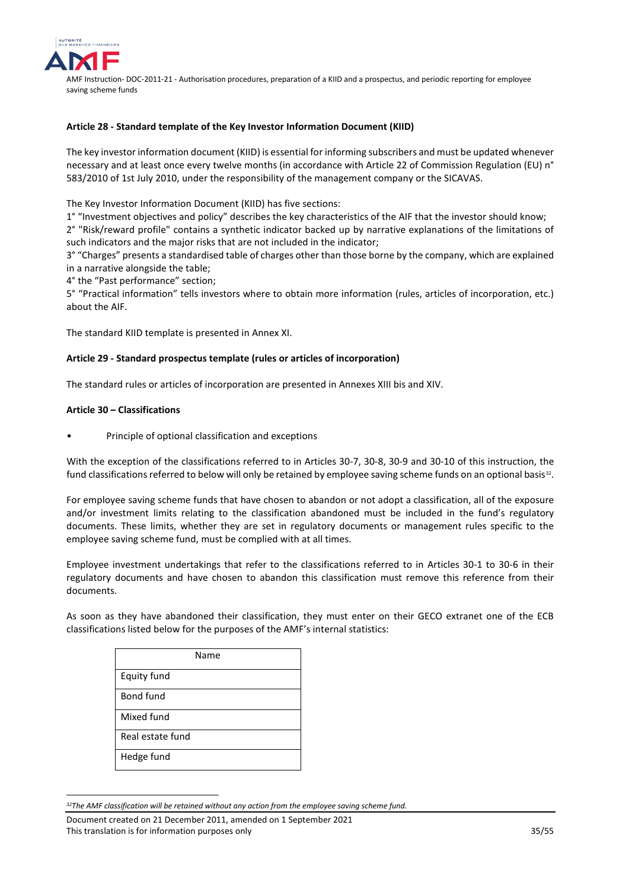

#### **Article 28 - Standard template of the Key Investor Information Document (KIID)**

The key investor information document (KIID) is essential for informing subscribers and must be updated whenever necessary and at least once every twelve months (in accordance with Article 22 of Commission Regulation (EU) n° 583/2010 of 1st July 2010, under the responsibility of the management company or the SICAVAS.

The Key Investor Information Document (KIID) has five sections:

1° "Investment objectives and policy" describes the key characteristics of the AIF that the investor should know; 2° "Risk/reward profile" contains a synthetic indicator backed up by narrative explanations of the limitations of such indicators and the major risks that are not included in the indicator;

3° "Charges" presents a standardised table of charges other than those borne by the company, which are explained in a narrative alongside the table;

4° the "Past performance" section;

5° "Practical information" tells investors where to obtain more information (rules, articles of incorporation, etc.) about the AIF.

The standard KIID template is presented in Annex XI.

#### **Article 29 - Standard prospectus template (rules or articles of incorporation)**

The standard rules or articles of incorporation are presented in Annexes XIII bis and XIV.

#### **Article 30 – Classifications**

<u>.</u>

• Principle of optional classification and exceptions

With the exception of the classifications referred to in Articles 30-7, 30-8, 30-9 and 30-10 of this instruction, the fund classifications referred to below will only be retained by employee saving scheme funds on an optional basis<sup>32</sup>.

For employee saving scheme funds that have chosen to abandon or not adopt a classification, all of the exposure and/or investment limits relating to the classification abandoned must be included in the fund's regulatory documents. These limits, whether they are set in regulatory documents or management rules specific to the employee saving scheme fund, must be complied with at all times.

Employee investment undertakings that refer to the classifications referred to in Articles 30-1 to 30-6 in their regulatory documents and have chosen to abandon this classification must remove this reference from their documents.

As soon as they have abandoned their classification, they must enter on their GECO extranet one of the ECB classifications listed below for the purposes of the AMF's internal statistics:

| Name             |
|------------------|
| Equity fund      |
| Bond fund        |
| Mixed fund       |
| Real estate fund |
| Hedge fund       |

<span id="page-34-0"></span>*<sup>32</sup>The AMF classification will be retained without any action from the employee saving scheme fund.*

Document created on 21 December 2011, amended on 1 September 2021 This translation is for information purposes only 35/55 and 36 and 35/55 and 35/55 and 35/55 and 35/55 and 35/55 and 35/55 and 35/55 and 35/55 and 35/55 and 35/55 and 35/55 and 35/55 and 35/55 and 35/55 and 35/55 and 35/55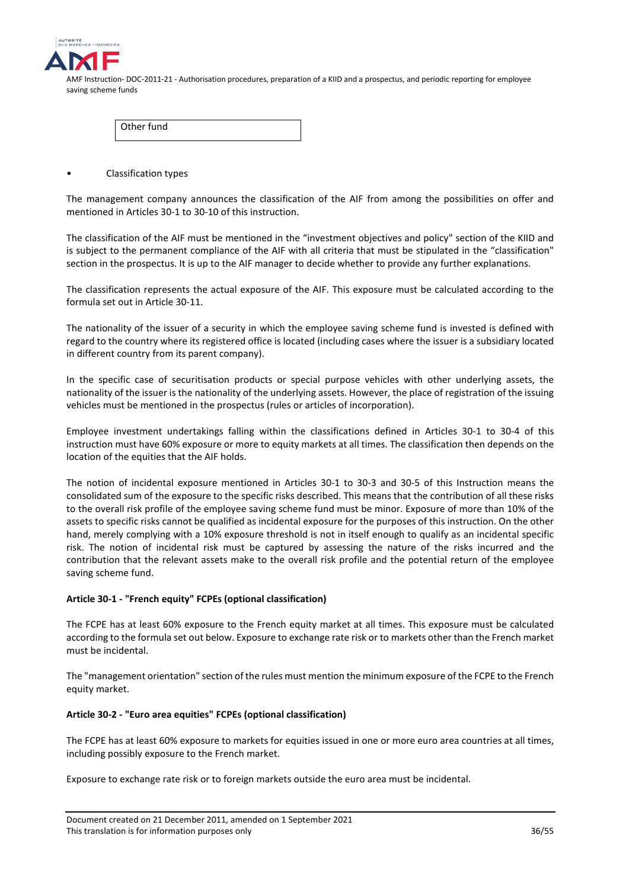

| l Other fund |  |
|--------------|--|
|--------------|--|

• Classification types

The management company announces the classification of the AIF from among the possibilities on offer and mentioned in Articles 30-1 to 30-10 of this instruction.

The classification of the AIF must be mentioned in the "investment objectives and policy" section of the KIID and is subject to the permanent compliance of the AIF with all criteria that must be stipulated in the "classification" section in the prospectus. It is up to the AIF manager to decide whether to provide any further explanations.

The classification represents the actual exposure of the AIF. This exposure must be calculated according to the formula set out in Article 30-11.

The nationality of the issuer of a security in which the employee saving scheme fund is invested is defined with regard to the country where its registered office is located (including cases where the issuer is a subsidiary located in different country from its parent company).

In the specific case of securitisation products or special purpose vehicles with other underlying assets, the nationality of the issuer is the nationality of the underlying assets. However, the place of registration of the issuing vehicles must be mentioned in the prospectus (rules or articles of incorporation).

Employee investment undertakings falling within the classifications defined in Articles 30-1 to 30-4 of this instruction must have 60% exposure or more to equity markets at all times. The classification then depends on the location of the equities that the AIF holds.

The notion of incidental exposure mentioned in Articles 30-1 to 30-3 and 30-5 of this Instruction means the consolidated sum of the exposure to the specific risks described. This means that the contribution of all these risks to the overall risk profile of the employee saving scheme fund must be minor. Exposure of more than 10% of the assets to specific risks cannot be qualified as incidental exposure for the purposes of this instruction. On the other hand, merely complying with a 10% exposure threshold is not in itself enough to qualify as an incidental specific risk. The notion of incidental risk must be captured by assessing the nature of the risks incurred and the contribution that the relevant assets make to the overall risk profile and the potential return of the employee saving scheme fund.

## **Article 30-1 - "French equity" FCPEs (optional classification)**

The FCPE has at least 60% exposure to the French equity market at all times. This exposure must be calculated according to the formula set out below. Exposure to exchange rate risk or to markets other than the French market must be incidental.

The "management orientation" section of the rules must mention the minimum exposure of the FCPE to the French equity market.

## **Article 30-2 - "Euro area equities" FCPEs (optional classification)**

The FCPE has at least 60% exposure to markets for equities issued in one or more euro area countries at all times, including possibly exposure to the French market.

Exposure to exchange rate risk or to foreign markets outside the euro area must be incidental.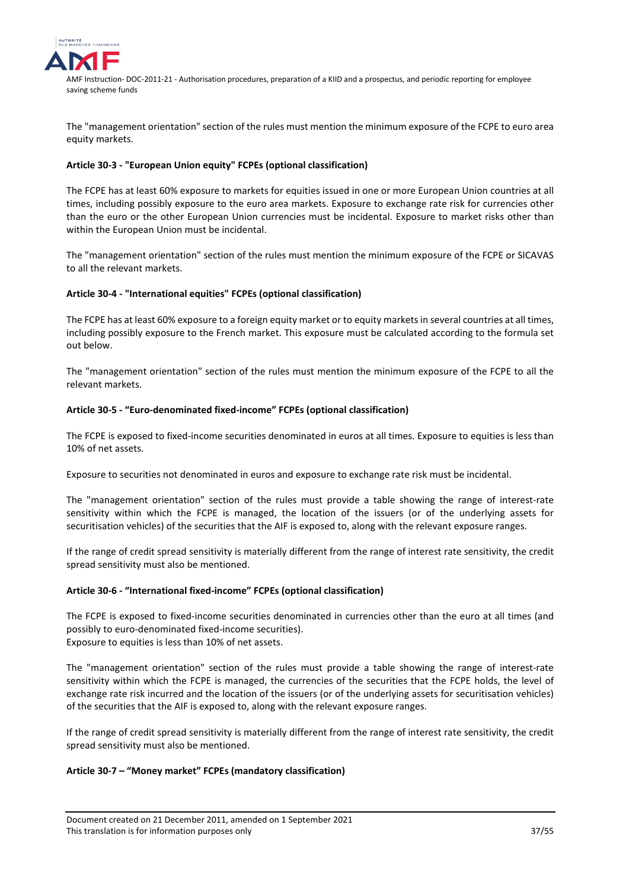

The "management orientation" section of the rules must mention the minimum exposure of the FCPE to euro area equity markets.

## **Article 30-3 - "European Union equity" FCPEs (optional classification)**

The FCPE has at least 60% exposure to markets for equities issued in one or more European Union countries at all times, including possibly exposure to the euro area markets. Exposure to exchange rate risk for currencies other than the euro or the other European Union currencies must be incidental. Exposure to market risks other than within the European Union must be incidental.

The "management orientation" section of the rules must mention the minimum exposure of the FCPE or SICAVAS to all the relevant markets.

## **Article 30-4 - "International equities" FCPEs (optional classification)**

The FCPE has at least 60% exposure to a foreign equity market or to equity markets in several countries at all times, including possibly exposure to the French market. This exposure must be calculated according to the formula set out below.

The "management orientation" section of the rules must mention the minimum exposure of the FCPE to all the relevant markets.

## **Article 30-5 - "Euro-denominated fixed-income" FCPEs (optional classification)**

The FCPE is exposed to fixed-income securities denominated in euros at all times. Exposure to equities is less than 10% of net assets.

Exposure to securities not denominated in euros and exposure to exchange rate risk must be incidental.

The "management orientation" section of the rules must provide a table showing the range of interest-rate sensitivity within which the FCPE is managed, the location of the issuers (or of the underlying assets for securitisation vehicles) of the securities that the AIF is exposed to, along with the relevant exposure ranges.

If the range of credit spread sensitivity is materially different from the range of interest rate sensitivity, the credit spread sensitivity must also be mentioned.

## **Article 30-6 - "International fixed-income" FCPEs (optional classification)**

The FCPE is exposed to fixed-income securities denominated in currencies other than the euro at all times (and possibly to euro-denominated fixed-income securities). Exposure to equities is less than 10% of net assets.

The "management orientation" section of the rules must provide a table showing the range of interest-rate sensitivity within which the FCPE is managed, the currencies of the securities that the FCPE holds, the level of exchange rate risk incurred and the location of the issuers (or of the underlying assets for securitisation vehicles) of the securities that the AIF is exposed to, along with the relevant exposure ranges.

If the range of credit spread sensitivity is materially different from the range of interest rate sensitivity, the credit spread sensitivity must also be mentioned.

## **Article 30-7 – "Money market" FCPEs (mandatory classification)**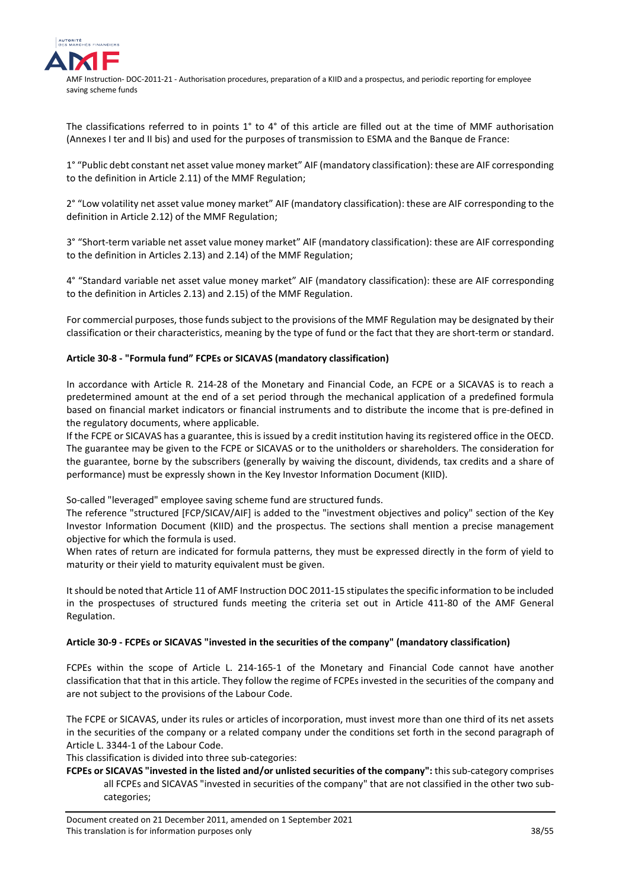

The classifications referred to in points 1° to 4° of this article are filled out at the time of MMF authorisation (Annexes I ter and II bis) and used for the purposes of transmission to ESMA and the Banque de France:

1° "Public debt constant net asset value money market" AIF (mandatory classification): these are AIF corresponding to the definition in Article 2.11) of the MMF Regulation;

2° "Low volatility net asset value money market" AIF (mandatory classification): these are AIF corresponding to the definition in Article 2.12) of the MMF Regulation;

3° "Short-term variable net asset value money market" AIF (mandatory classification): these are AIF corresponding to the definition in Articles 2.13) and 2.14) of the MMF Regulation;

4° "Standard variable net asset value money market" AIF (mandatory classification): these are AIF corresponding to the definition in Articles 2.13) and 2.15) of the MMF Regulation.

For commercial purposes, those funds subject to the provisions of the MMF Regulation may be designated by their classification or their characteristics, meaning by the type of fund or the fact that they are short-term or standard.

## **Article 30-8 - "Formula fund" FCPEs or SICAVAS (mandatory classification)**

In accordance with Article R. 214-28 of the Monetary and Financial Code, an FCPE or a SICAVAS is to reach a predetermined amount at the end of a set period through the mechanical application of a predefined formula based on financial market indicators or financial instruments and to distribute the income that is pre-defined in the regulatory documents, where applicable.

If the FCPE or SICAVAS has a guarantee, this is issued by a credit institution having its registered office in the OECD. The guarantee may be given to the FCPE or SICAVAS or to the unitholders or shareholders. The consideration for the guarantee, borne by the subscribers (generally by waiving the discount, dividends, tax credits and a share of performance) must be expressly shown in the Key Investor Information Document (KIID).

So-called "leveraged" employee saving scheme fund are structured funds.

The reference "structured [FCP/SICAV/AIF] is added to the "investment objectives and policy" section of the Key Investor Information Document (KIID) and the prospectus. The sections shall mention a precise management objective for which the formula is used.

When rates of return are indicated for formula patterns, they must be expressed directly in the form of yield to maturity or their yield to maturity equivalent must be given.

It should be noted that Article 11 of AMF Instruction DOC 2011-15 stipulates the specific information to be included in the prospectuses of structured funds meeting the criteria set out in Article 411-80 of the AMF General Regulation.

## **Article 30-9 - FCPEs or SICAVAS "invested in the securities of the company" (mandatory classification)**

FCPEs within the scope of Article L. 214-165-1 of the Monetary and Financial Code cannot have another classification that that in this article. They follow the regime of FCPEs invested in the securities of the company and are not subject to the provisions of the Labour Code.

The FCPE or SICAVAS, under its rules or articles of incorporation, must invest more than one third of its net assets in the securities of the company or a related company under the conditions set forth in the second paragraph of Article L. 3344-1 of the Labour Code.

This classification is divided into three sub-categories:

**FCPEs or SICAVAS "invested in the listed and/or unlisted securities of the company":** this sub-category comprises all FCPEs and SICAVAS "invested in securities of the company" that are not classified in the other two subcategories;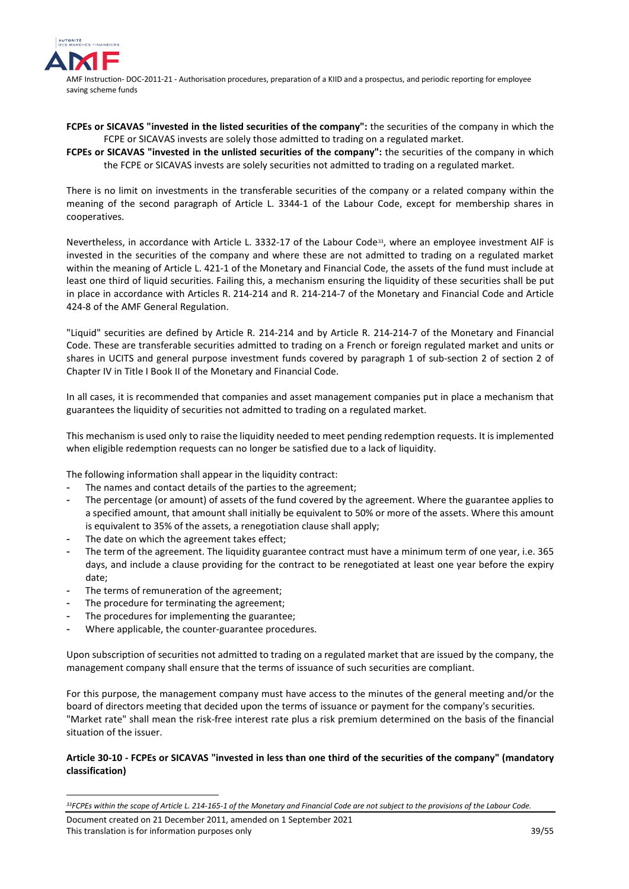

- **FCPEs or SICAVAS "invested in the listed securities of the company":** the securities of the company in which the FCPE or SICAVAS invests are solely those admitted to trading on a regulated market.
- **FCPEs or SICAVAS "invested in the unlisted securities of the company":** the securities of the company in which the FCPE or SICAVAS invests are solely securities not admitted to trading on a regulated market.

There is no limit on investments in the transferable securities of the company or a related company within the meaning of the second paragraph of Article L. 3344-1 of the Labour Code, except for membership shares in cooperatives.

Nevertheless, in accordance with Article L. [33](#page-38-0)32-17 of the Labour Code<sup>33</sup>, where an employee investment AIF is invested in the securities of the company and where these are not admitted to trading on a regulated market within the meaning of Article L. 421-1 of the Monetary and Financial Code, the assets of the fund must include at least one third of liquid securities. Failing this, a mechanism ensuring the liquidity of these securities shall be put in place in accordance with Articles R. 214-214 and R. 214-214-7 of the Monetary and Financial Code and Article 424-8 of the AMF General Regulation.

"Liquid" securities are defined by Article R. 214-214 and by Article R. 214-214-7 of the Monetary and Financial Code. These are transferable securities admitted to trading on a French or foreign regulated market and units or shares in UCITS and general purpose investment funds covered by paragraph 1 of sub-section 2 of section 2 of Chapter IV in Title I Book II of the Monetary and Financial Code.

In all cases, it is recommended that companies and asset management companies put in place a mechanism that guarantees the liquidity of securities not admitted to trading on a regulated market.

This mechanism is used only to raise the liquidity needed to meet pending redemption requests. It is implemented when eligible redemption requests can no longer be satisfied due to a lack of liquidity.

The following information shall appear in the liquidity contract:

- The names and contact details of the parties to the agreement;
- The percentage (or amount) of assets of the fund covered by the agreement. Where the guarantee applies to a specified amount, that amount shall initially be equivalent to 50% or more of the assets. Where this amount is equivalent to 35% of the assets, a renegotiation clause shall apply;
- The date on which the agreement takes effect;
- The term of the agreement. The liquidity guarantee contract must have a minimum term of one year, i.e. 365 days, and include a clause providing for the contract to be renegotiated at least one year before the expiry date;
- The terms of remuneration of the agreement;
- The procedure for terminating the agreement;

<u>.</u>

- The procedures for implementing the guarantee;
- Where applicable, the counter-guarantee procedures.

Upon subscription of securities not admitted to trading on a regulated market that are issued by the company, the management company shall ensure that the terms of issuance of such securities are compliant.

For this purpose, the management company must have access to the minutes of the general meeting and/or the board of directors meeting that decided upon the terms of issuance or payment for the company's securities. "Market rate" shall mean the risk-free interest rate plus a risk premium determined on the basis of the financial situation of the issuer.

## **Article 30-10 - FCPEs or SICAVAS "invested in less than one third of the securities of the company" (mandatory classification)**

<span id="page-38-0"></span>*<sup>33</sup>FCPEs within the scope of Article L. 214-165-1 of the Monetary and Financial Code are not subject to the provisions of the Labour Code.*

Document created on 21 December 2011, amended on 1 September 2021 This translation is for information purposes only 39/55 and 39/55 and 39/55 and 39/55 and 39/55 and 39/55 and 39/55 and 39/55 and 39/55 and 39/55 and 39/55 and 39/55 and 39/55 and 39/55 and 39/55 and 39/55 and 39/55 and 39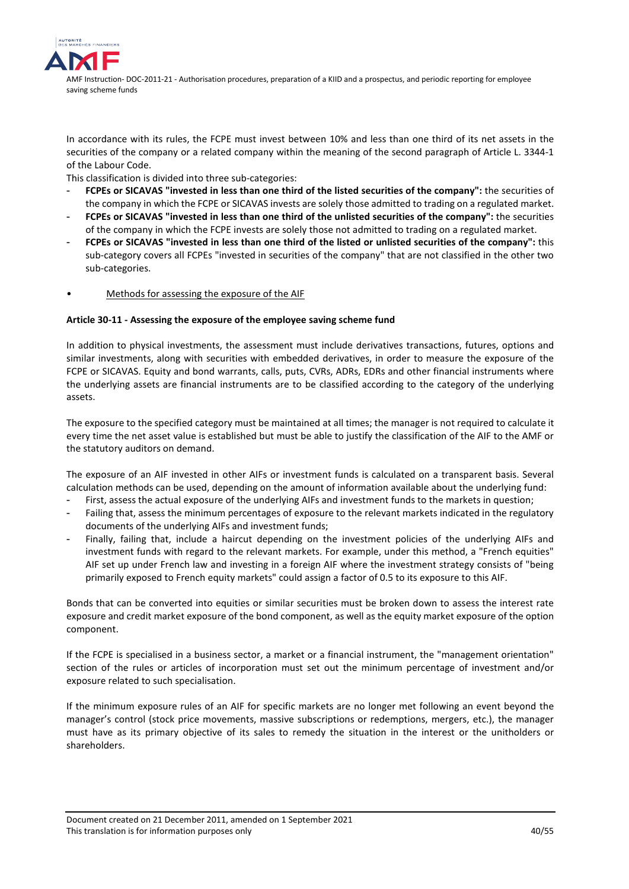

In accordance with its rules, the FCPE must invest between 10% and less than one third of its net assets in the securities of the company or a related company within the meaning of the second paragraph of Article L. 3344-1 of the Labour Code.

This classification is divided into three sub-categories:

- **FCPEs or SICAVAS "invested in less than one third of the listed securities of the company":** the securities of the company in which the FCPE or SICAVAS invests are solely those admitted to trading on a regulated market.
- **FCPEs or SICAVAS "invested in less than one third of the unlisted securities of the company":** the securities of the company in which the FCPE invests are solely those not admitted to trading on a regulated market.
- **FCPEs or SICAVAS "invested in less than one third of the listed or unlisted securities of the company":** this sub-category covers all FCPEs "invested in securities of the company" that are not classified in the other two sub-categories.
- Methods for assessing the exposure of the AIF

## **Article 30-11 - Assessing the exposure of the employee saving scheme fund**

In addition to physical investments, the assessment must include derivatives transactions, futures, options and similar investments, along with securities with embedded derivatives, in order to measure the exposure of the FCPE or SICAVAS. Equity and bond warrants, calls, puts, CVRs, ADRs, EDRs and other financial instruments where the underlying assets are financial instruments are to be classified according to the category of the underlying assets.

The exposure to the specified category must be maintained at all times; the manager is not required to calculate it every time the net asset value is established but must be able to justify the classification of the AIF to the AMF or the statutory auditors on demand.

The exposure of an AIF invested in other AIFs or investment funds is calculated on a transparent basis. Several calculation methods can be used, depending on the amount of information available about the underlying fund:

- First, assess the actual exposure of the underlying AIFs and investment funds to the markets in question;
- Failing that, assess the minimum percentages of exposure to the relevant markets indicated in the regulatory documents of the underlying AIFs and investment funds;
- Finally, failing that, include a haircut depending on the investment policies of the underlying AIFs and investment funds with regard to the relevant markets. For example, under this method, a "French equities" AIF set up under French law and investing in a foreign AIF where the investment strategy consists of "being primarily exposed to French equity markets" could assign a factor of 0.5 to its exposure to this AIF.

Bonds that can be converted into equities or similar securities must be broken down to assess the interest rate exposure and credit market exposure of the bond component, as well as the equity market exposure of the option component.

If the FCPE is specialised in a business sector, a market or a financial instrument, the "management orientation" section of the rules or articles of incorporation must set out the minimum percentage of investment and/or exposure related to such specialisation.

If the minimum exposure rules of an AIF for specific markets are no longer met following an event beyond the manager's control (stock price movements, massive subscriptions or redemptions, mergers, etc.), the manager must have as its primary objective of its sales to remedy the situation in the interest or the unitholders or shareholders.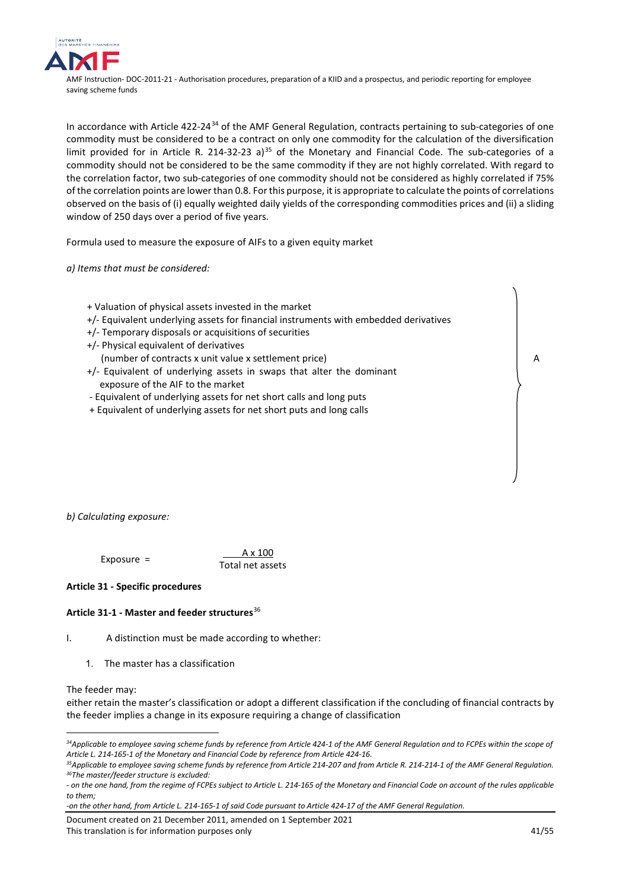

In accordance with Article 422-24<sup>[34](#page-40-0)</sup> of the AMF General Regulation, contracts pertaining to sub-categories of one commodity must be considered to be a contract on only one commodity for the calculation of the diversification limit provided for in Article R. 214-32-23 a)<sup>[35](#page-40-1)</sup> of the Monetary and Financial Code. The sub-categories of a commodity should not be considered to be the same commodity if they are not highly correlated. With regard to the correlation factor, two sub-categories of one commodity should not be considered as highly correlated if 75% of the correlation points are lower than 0.8. For this purpose, it is appropriate to calculate the points of correlations observed on the basis of (i) equally weighted daily yields of the corresponding commodities prices and (ii) a sliding window of 250 days over a period of five years.

Formula used to measure the exposure of AIFs to a given equity market

*a) Items that must be considered:*

- + Valuation of physical assets invested in the market
- +/- Equivalent underlying assets for financial instruments with embedded derivatives
- +/- Temporary disposals or acquisitions of securities
- +/- Physical equivalent of derivatives
- (number of contracts x unit value x settlement price)
- +/- Equivalent of underlying assets in swaps that alter the dominant exposure of the AIF to the market
- Equivalent of underlying assets for net short calls and long puts
- + Equivalent of underlying assets for net short puts and long calls

*b) Calculating exposure:*

#### Exposure =  $\frac{A \times 100}{A}$ Total net assets

**Article 31 - Specific procedures**

## **Article 31-1 - Master and feeder structures**[36](#page-40-2)

I. A distinction must be made according to whether:

1. The master has a classification

The feeder may:

<u>.</u>

either retain the master's classification or adopt a different classification if the concluding of financial contracts by the feeder implies a change in its exposure requiring a change of classification

Document created on 21 December 2011, amended on 1 September 2021 This translation is for information purposes only 41/55

A

<span id="page-40-0"></span>*<sup>34</sup>Applicable to employee saving scheme funds by reference from Article 424-1 of the AMF General Regulation and to FCPEs within the scope of Article L. 214-165-1 of the Monetary and Financial Code by reference from Article 424-16.*

<span id="page-40-2"></span><span id="page-40-1"></span>*<sup>35</sup>Applicable to employee saving scheme funds by reference from Article 214-207 and from Article R. 214-214-1 of the AMF General Regulation. 36The master/feeder structure is excluded:* 

<sup>-</sup> on the one hand, from the regime of FCPEs subject to Article L. 214-165 of the Monetary and Financial Code on account of the rules applicable *to them;* 

*<sup>-</sup>on the other hand, from Article L. 214-165-1 of said Code pursuant to Article 424-17 of the AMF General Regulation.*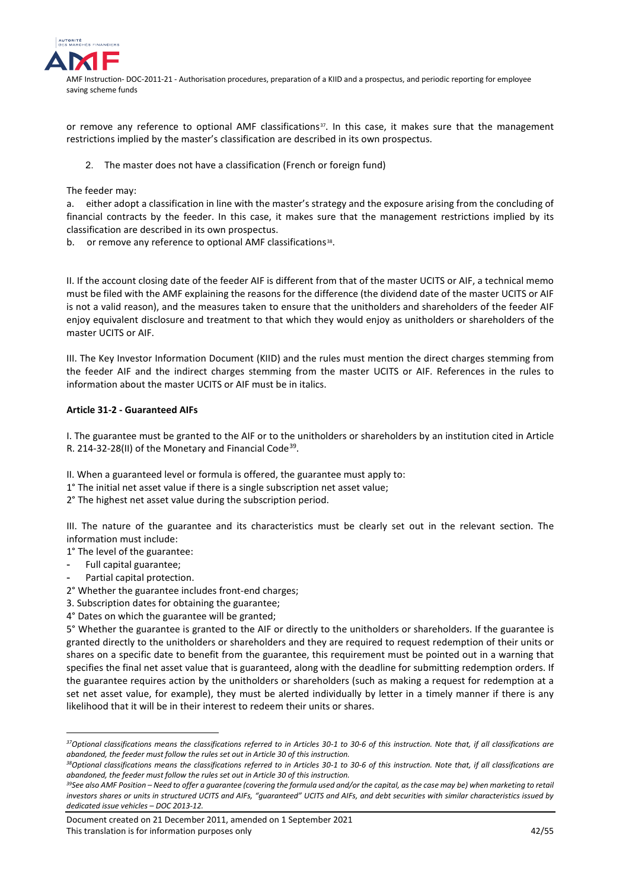

or remove any reference to optional AMF classifications<sup>[37](#page-41-0)</sup>. In this case, it makes sure that the management restrictions implied by the master's classification are described in its own prospectus.

2. The master does not have a classification (French or foreign fund)

The feeder may:

a. either adopt a classification in line with the master's strategy and the exposure arising from the concluding of financial contracts by the feeder. In this case, it makes sure that the management restrictions implied by its classification are described in its own prospectus.

b. or remove any reference to optional AMF classifications<sup>38</sup>.

II. If the account closing date of the feeder AIF is different from that of the master UCITS or AIF, a technical memo must be filed with the AMF explaining the reasons for the difference (the dividend date of the master UCITS or AIF is not a valid reason), and the measures taken to ensure that the unitholders and shareholders of the feeder AIF enjoy equivalent disclosure and treatment to that which they would enjoy as unitholders or shareholders of the master UCITS or AIF.

III. The Key Investor Information Document (KIID) and the rules must mention the direct charges stemming from the feeder AIF and the indirect charges stemming from the master UCITS or AIF. References in the rules to information about the master UCITS or AIF must be in italics.

## **Article 31-2 - Guaranteed AIFs**

I. The guarantee must be granted to the AIF or to the unitholders or shareholders by an institution cited in Article R. 214-32-28(II) of the Monetary and Financial Code<sup>39</sup>.

II. When a guaranteed level or formula is offered, the guarantee must apply to:

- 1° The initial net asset value if there is a single subscription net asset value;
- 2° The highest net asset value during the subscription period.

III. The nature of the guarantee and its characteristics must be clearly set out in the relevant section. The information must include:

- 1° The level of the guarantee:
- Full capital guarantee;

<u>.</u>

- Partial capital protection.
- 2° Whether the guarantee includes front-end charges;
- 3. Subscription dates for obtaining the guarantee;
- 4° Dates on which the guarantee will be granted;

5° Whether the guarantee is granted to the AIF or directly to the unitholders or shareholders. If the guarantee is granted directly to the unitholders or shareholders and they are required to request redemption of their units or shares on a specific date to benefit from the guarantee, this requirement must be pointed out in a warning that specifies the final net asset value that is guaranteed, along with the deadline for submitting redemption orders. If the guarantee requires action by the unitholders or shareholders (such as making a request for redemption at a set net asset value, for example), they must be alerted individually by letter in a timely manner if there is any likelihood that it will be in their interest to redeem their units or shares.

<span id="page-41-0"></span>*<sup>37</sup>Optional classifications means the classifications referred to in Articles 30-1 to 30-6 of this instruction. Note that, if all classifications are abandoned, the feeder must follow the rules set out in Article 30 of this instruction.*

<span id="page-41-1"></span>*<sup>38</sup>Optional classifications means the classifications referred to in Articles 30-1 to 30-6 of this instruction. Note that, if all classifications are abandoned, the feeder must follow the rules set out in Article 30 of this instruction.*

<span id="page-41-2"></span>*<sup>39</sup>See also AMF Position – Need to offer a guarantee (covering the formula used and/or the capital, as the case may be) when marketing to retail investors shares or units in structured UCITS and AIFs, "guaranteed" UCITS and AIFs, and debt securities with similar characteristics issued by dedicated issue vehicles – DOC 2013-12.*

Document created on 21 December 2011, amended on 1 September 2021 This translation is for information purposes only and the set of the set of the set of the 42/55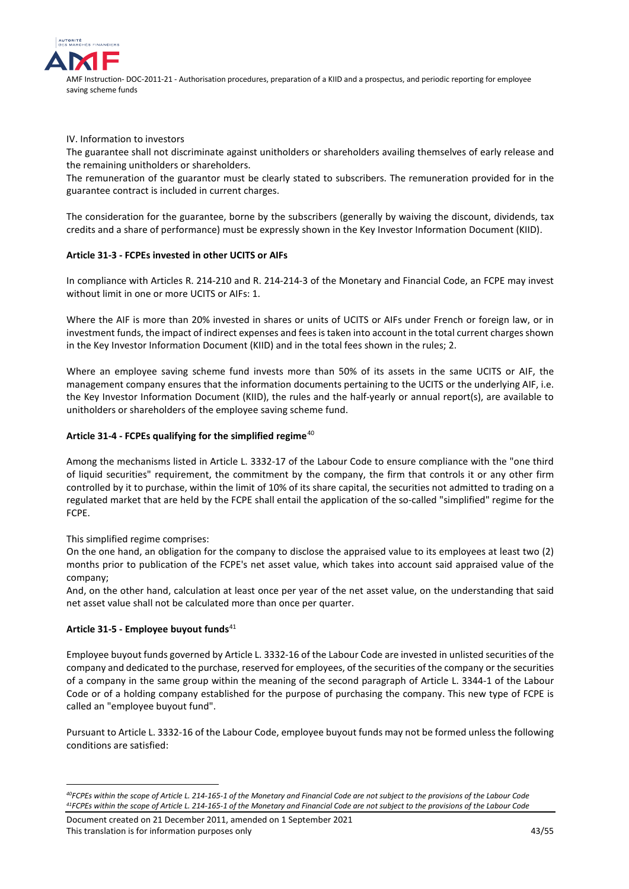

IV. Information to investors

The guarantee shall not discriminate against unitholders or shareholders availing themselves of early release and the remaining unitholders or shareholders.

The remuneration of the guarantor must be clearly stated to subscribers. The remuneration provided for in the guarantee contract is included in current charges.

The consideration for the guarantee, borne by the subscribers (generally by waiving the discount, dividends, tax credits and a share of performance) must be expressly shown in the Key Investor Information Document (KIID).

## **Article 31-3 - FCPEs invested in other UCITS or AIFs**

In compliance with Articles R. 214-210 and R. 214-214-3 of the Monetary and Financial Code, an FCPE may invest without limit in one or more UCITS or AIFs: 1.

Where the AIF is more than 20% invested in shares or units of UCITS or AIFs under French or foreign law, or in investment funds, the impact of indirect expenses and fees is taken into account in the total current charges shown in the Key Investor Information Document (KIID) and in the total fees shown in the rules; 2.

Where an employee saving scheme fund invests more than 50% of its assets in the same UCITS or AIF, the management company ensures that the information documents pertaining to the UCITS or the underlying AIF, i.e. the Key Investor Information Document (KIID), the rules and the half-yearly or annual report(s), are available to unitholders or shareholders of the employee saving scheme fund.

## **Article 31-4 - FCPEs qualifying for the simplified regime**[40](#page-42-0)

Among the mechanisms listed in Article L. 3332-17 of the Labour Code to ensure compliance with the "one third of liquid securities" requirement, the commitment by the company, the firm that controls it or any other firm controlled by it to purchase, within the limit of 10% of its share capital, the securities not admitted to trading on a regulated market that are held by the FCPE shall entail the application of the so-called "simplified" regime for the FCPE.

This simplified regime comprises:

On the one hand, an obligation for the company to disclose the appraised value to its employees at least two (2) months prior to publication of the FCPE's net asset value, which takes into account said appraised value of the company;

And, on the other hand, calculation at least once per year of the net asset value, on the understanding that said net asset value shall not be calculated more than once per quarter.

## **Article 31-5 - Employee buyout funds**[41](#page-42-1)

<u>.</u>

Employee buyout funds governed by Article L. 3332-16 of the Labour Code are invested in unlisted securities of the company and dedicated to the purchase, reserved for employees, of the securities of the company or the securities of a company in the same group within the meaning of the second paragraph of Article L. 3344-1 of the Labour Code or of a holding company established for the purpose of purchasing the company. This new type of FCPE is called an "employee buyout fund".

Pursuant to Article L. 3332-16 of the Labour Code, employee buyout funds may not be formed unless the following conditions are satisfied:

<span id="page-42-0"></span>*<sup>40</sup>FCPEs within the scope of Article L. 214-165-1 of the Monetary and Financial Code are not subject to the provisions of the Labour Code 41FCPEs within the scope of Article L. 214-165-1 of the Monetary and Financial Code are not subject to the provisions of the Labour Code*

<span id="page-42-1"></span>Document created on 21 December 2011, amended on 1 September 2021 This translation is for information purposes only **ACCO 100 ACCO 100 ACCO 100 ACCO 100 ACCO 100 ACCO 100 ACCO 100 ACCO 100 ACCO 100 ACCO 100 ACCO 100 ACCO 100 ACCO 100 ACCO 100 ACCO 100 ACCO 100 ACCO 100 ACCO 100 ACCO 100**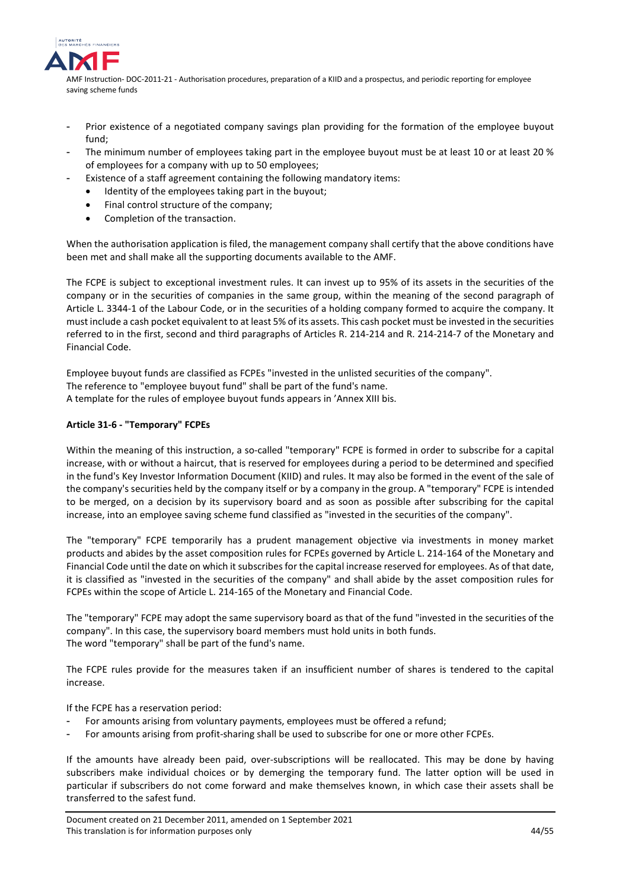

- Prior existence of a negotiated company savings plan providing for the formation of the employee buyout fund;
- The minimum number of employees taking part in the employee buyout must be at least 10 or at least 20 % of employees for a company with up to 50 employees;
- Existence of a staff agreement containing the following mandatory items:
	- Identity of the employees taking part in the buyout;
	- Final control structure of the company;
	- Completion of the transaction.

When the authorisation application is filed, the management company shall certify that the above conditions have been met and shall make all the supporting documents available to the AMF.

The FCPE is subject to exceptional investment rules. It can invest up to 95% of its assets in the securities of the company or in the securities of companies in the same group, within the meaning of the second paragraph of Article L. 3344-1 of the Labour Code, or in the securities of a holding company formed to acquire the company. It must include a cash pocket equivalent to at least 5% of its assets. This cash pocket must be invested in the securities referred to in the first, second and third paragraphs of Articles R. 214-214 and R. 214-214-7 of the Monetary and Financial Code.

Employee buyout funds are classified as FCPEs "invested in the unlisted securities of the company". The reference to "employee buyout fund" shall be part of the fund's name. A template for the rules of employee buyout funds appears in 'Annex XIII bis.

## **Article 31-6 - "Temporary" FCPEs**

Within the meaning of this instruction, a so-called "temporary" FCPE is formed in order to subscribe for a capital increase, with or without a haircut, that is reserved for employees during a period to be determined and specified in the fund's Key Investor Information Document (KIID) and rules. It may also be formed in the event of the sale of the company's securities held by the company itself or by a company in the group. A "temporary" FCPE is intended to be merged, on a decision by its supervisory board and as soon as possible after subscribing for the capital increase, into an employee saving scheme fund classified as "invested in the securities of the company".

The "temporary" FCPE temporarily has a prudent management objective via investments in money market products and abides by the asset composition rules for FCPEs governed by Article L. 214-164 of the Monetary and Financial Code until the date on which it subscribes for the capital increase reserved for employees. As of that date, it is classified as "invested in the securities of the company" and shall abide by the asset composition rules for FCPEs within the scope of Article L. 214-165 of the Monetary and Financial Code.

The "temporary" FCPE may adopt the same supervisory board as that of the fund "invested in the securities of the company". In this case, the supervisory board members must hold units in both funds. The word "temporary" shall be part of the fund's name.

The FCPE rules provide for the measures taken if an insufficient number of shares is tendered to the capital increase.

If the FCPE has a reservation period:

- For amounts arising from voluntary payments, employees must be offered a refund;
- For amounts arising from profit-sharing shall be used to subscribe for one or more other FCPEs.

If the amounts have already been paid, over-subscriptions will be reallocated. This may be done by having subscribers make individual choices or by demerging the temporary fund. The latter option will be used in particular if subscribers do not come forward and make themselves known, in which case their assets shall be transferred to the safest fund.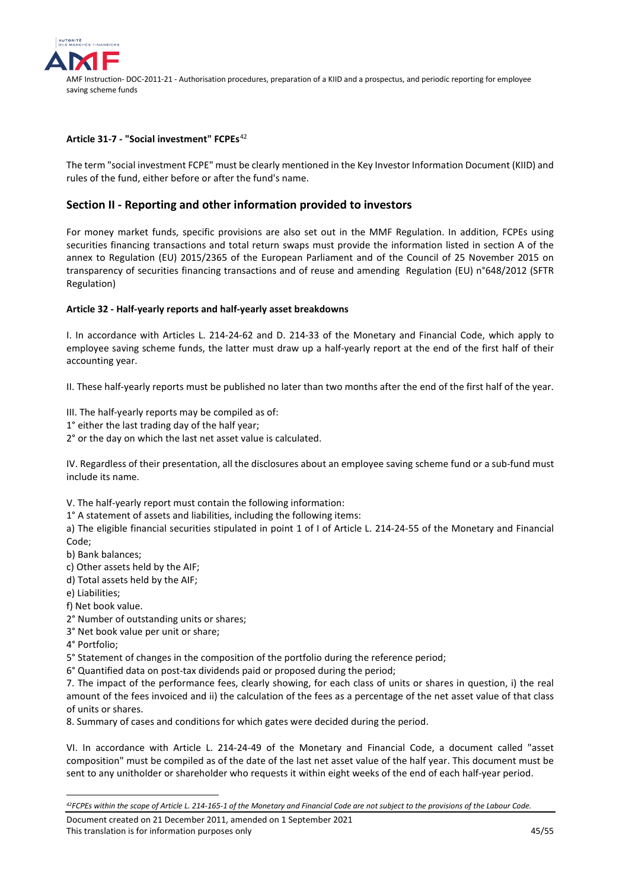

#### **Article 31-7 - "Social investment" FCPEs**[42](#page-44-1)

The term "social investment FCPE" must be clearly mentioned in the Key Investor Information Document (KIID) and rules of the fund, either before or after the fund's name.

## <span id="page-44-0"></span>**Section II - Reporting and other information provided to investors**

For money market funds, specific provisions are also set out in the MMF Regulation. In addition, FCPEs using securities financing transactions and total return swaps must provide the information listed in section A of the annex to Regulation (EU) 2015/2365 of the European Parliament and of the Council of 25 November 2015 on transparency of securities financing transactions and of reuse and amending Regulation (EU) n°648/2012 (SFTR Regulation)

#### **Article 32 - Half-yearly reports and half-yearly asset breakdowns**

I. In accordance with Articles L. 214-24-62 and D. 214-33 of the Monetary and Financial Code, which apply to employee saving scheme funds, the latter must draw up a half-yearly report at the end of the first half of their accounting year.

II. These half-yearly reports must be published no later than two months after the end of the first half of the year.

III. The half-yearly reports may be compiled as of:

- 1° either the last trading day of the half year;
- 2° or the day on which the last net asset value is calculated.

IV. Regardless of their presentation, all the disclosures about an employee saving scheme fund or a sub-fund must include its name.

V. The half-yearly report must contain the following information:

1° A statement of assets and liabilities, including the following items:

a) The eligible financial securities stipulated in point 1 of I of Article L. 214-24-55 of the Monetary and Financial Code;

- b) Bank balances;
- c) Other assets held by the AIF;
- d) Total assets held by the AIF;
- e) Liabilities;
- f) Net book value.
- 2° Number of outstanding units or shares;
- 3° Net book value per unit or share;
- 4° Portfolio;

<u>.</u>

5° Statement of changes in the composition of the portfolio during the reference period;

6° Quantified data on post-tax dividends paid or proposed during the period;

7. The impact of the performance fees, clearly showing, for each class of units or shares in question, i) the real amount of the fees invoiced and ii) the calculation of the fees as a percentage of the net asset value of that class of units or shares.

8. Summary of cases and conditions for which gates were decided during the period.

VI. In accordance with Article L. 214-24-49 of the Monetary and Financial Code, a document called "asset composition" must be compiled as of the date of the last net asset value of the half year. This document must be sent to any unitholder or shareholder who requests it within eight weeks of the end of each half-year period.

Document created on 21 December 2011, amended on 1 September 2021 This translation is for information purposes only 45/55 and the state of the state of the 45/55 and 45/55 and 45/55 and 45/55 and 45/55 and 45/55 and 45/55 and 45/55 and 45/55 and 45/55 and 45/55 and 45/55 and 45/55 and 45

<span id="page-44-1"></span>*<sup>42</sup>FCPEs within the scope of Article L. 214-165-1 of the Monetary and Financial Code are not subject to the provisions of the Labour Code.*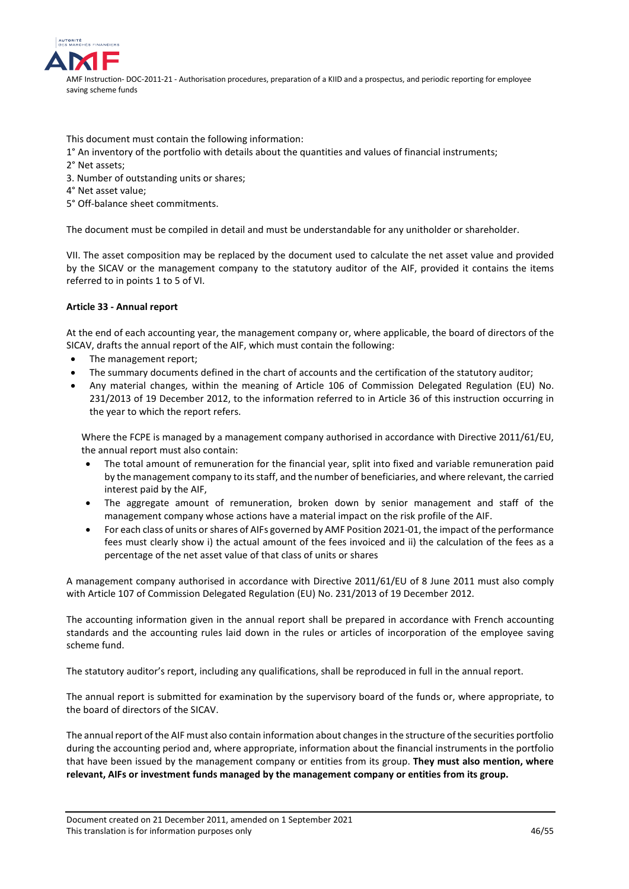

This document must contain the following information:

- 1° An inventory of the portfolio with details about the quantities and values of financial instruments;
- 2° Net assets;
- 3. Number of outstanding units or shares;
- 4° Net asset value;
- 5° Off-balance sheet commitments.

The document must be compiled in detail and must be understandable for any unitholder or shareholder.

VII. The asset composition may be replaced by the document used to calculate the net asset value and provided by the SICAV or the management company to the statutory auditor of the AIF, provided it contains the items referred to in points 1 to 5 of VI.

## **Article 33 - Annual report**

At the end of each accounting year, the management company or, where applicable, the board of directors of the SICAV, drafts the annual report of the AIF, which must contain the following:

- The management report;
- The summary documents defined in the chart of accounts and the certification of the statutory auditor;
- Any material changes, within the meaning of Article 106 of Commission Delegated Regulation (EU) No. 231/2013 of 19 December 2012, to the information referred to in Article 36 of this instruction occurring in the year to which the report refers.

Where the FCPE is managed by a management company authorised in accordance with Directive 2011/61/EU, the annual report must also contain:

- The total amount of remuneration for the financial year, split into fixed and variable remuneration paid by the management company to its staff, and the number of beneficiaries, and where relevant, the carried interest paid by the AIF,
- The aggregate amount of remuneration, broken down by senior management and staff of the management company whose actions have a material impact on the risk profile of the AIF.
- For each class of units or shares of AIFs governed by AMF Position 2021-01, the impact of the performance fees must clearly show i) the actual amount of the fees invoiced and ii) the calculation of the fees as a percentage of the net asset value of that class of units or shares

A management company authorised in accordance with Directive 2011/61/EU of 8 June 2011 must also comply with Article 107 of Commission Delegated Regulation (EU) No. 231/2013 of 19 December 2012.

The accounting information given in the annual report shall be prepared in accordance with French accounting standards and the accounting rules laid down in the rules or articles of incorporation of the employee saving scheme fund.

The statutory auditor's report, including any qualifications, shall be reproduced in full in the annual report.

The annual report is submitted for examination by the supervisory board of the funds or, where appropriate, to the board of directors of the SICAV.

The annual report of the AIF must also contain information about changes in the structure of the securities portfolio during the accounting period and, where appropriate, information about the financial instruments in the portfolio that have been issued by the management company or entities from its group. **They must also mention, where relevant, AIFs or investment funds managed by the management company or entities from its group.**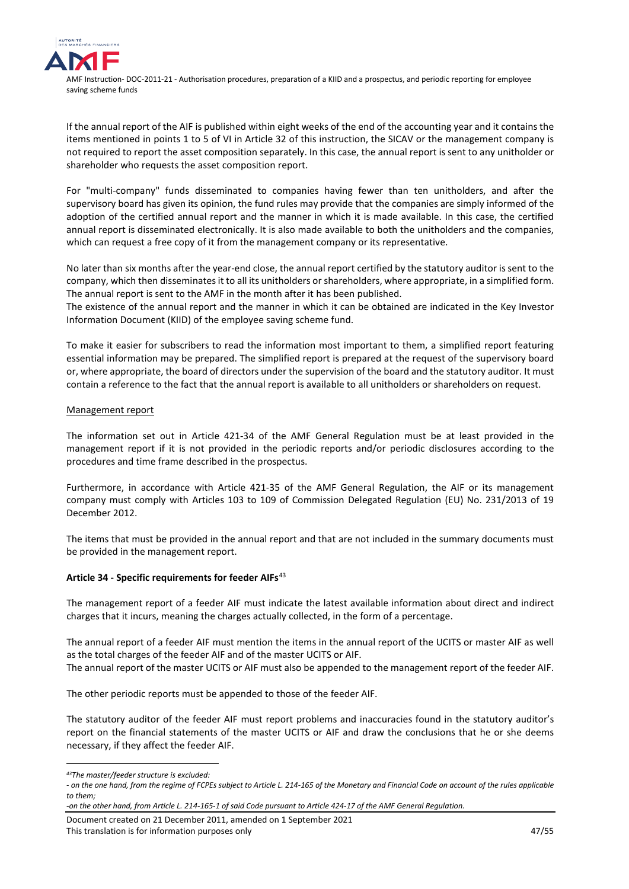

If the annual report of the AIF is published within eight weeks of the end of the accounting year and it contains the items mentioned in points 1 to 5 of VI in Article 32 of this instruction, the SICAV or the management company is not required to report the asset composition separately. In this case, the annual report is sent to any unitholder or shareholder who requests the asset composition report.

For "multi-company" funds disseminated to companies having fewer than ten unitholders, and after the supervisory board has given its opinion, the fund rules may provide that the companies are simply informed of the adoption of the certified annual report and the manner in which it is made available. In this case, the certified annual report is disseminated electronically. It is also made available to both the unitholders and the companies, which can request a free copy of it from the management company or its representative.

No later than six months after the year-end close, the annual report certified by the statutory auditor is sent to the company, which then disseminates it to all its unitholders or shareholders, where appropriate, in a simplified form. The annual report is sent to the AMF in the month after it has been published.

The existence of the annual report and the manner in which it can be obtained are indicated in the Key Investor Information Document (KIID) of the employee saving scheme fund.

To make it easier for subscribers to read the information most important to them, a simplified report featuring essential information may be prepared. The simplified report is prepared at the request of the supervisory board or, where appropriate, the board of directors under the supervision of the board and the statutory auditor. It must contain a reference to the fact that the annual report is available to all unitholders or shareholders on request.

## Management report

The information set out in Article 421-34 of the AMF General Regulation must be at least provided in the management report if it is not provided in the periodic reports and/or periodic disclosures according to the procedures and time frame described in the prospectus.

Furthermore, in accordance with Article 421-35 of the AMF General Regulation, the AIF or its management company must comply with Articles 103 to 109 of Commission Delegated Regulation (EU) No. 231/2013 of 19 December 2012.

The items that must be provided in the annual report and that are not included in the summary documents must be provided in the management report.

## **Article 34 - Specific requirements for feeder AIFs**[43](#page-46-0)

The management report of a feeder AIF must indicate the latest available information about direct and indirect charges that it incurs, meaning the charges actually collected, in the form of a percentage.

The annual report of a feeder AIF must mention the items in the annual report of the UCITS or master AIF as well as the total charges of the feeder AIF and of the master UCITS or AIF. The annual report of the master UCITS or AIF must also be appended to the management report of the feeder AIF.

The other periodic reports must be appended to those of the feeder AIF.

The statutory auditor of the feeder AIF must report problems and inaccuracies found in the statutory auditor's report on the financial statements of the master UCITS or AIF and draw the conclusions that he or she deems necessary, if they affect the feeder AIF.

<sup>&</sup>lt;u>.</u> *43The master/feeder structure is excluded:* 

<span id="page-46-0"></span><sup>-</sup> on the one hand, from the regime of FCPEs subject to Article L. 214-165 of the Monetary and Financial Code on account of the rules applicable *to them;* 

*<sup>-</sup>on the other hand, from Article L. 214-165-1 of said Code pursuant to Article 424-17 of the AMF General Regulation.*

Document created on 21 December 2011, amended on 1 September 2021 This translation is for information purposes only 1990 and 1990 and 1990 and 1990 and 1990 and 1990 and 1990 and 1990 and 1990 and 1990 and 1990 and 1990 and 1990 and 1990 and 1990 and 1990 and 1990 and 1990 and 1990 and 1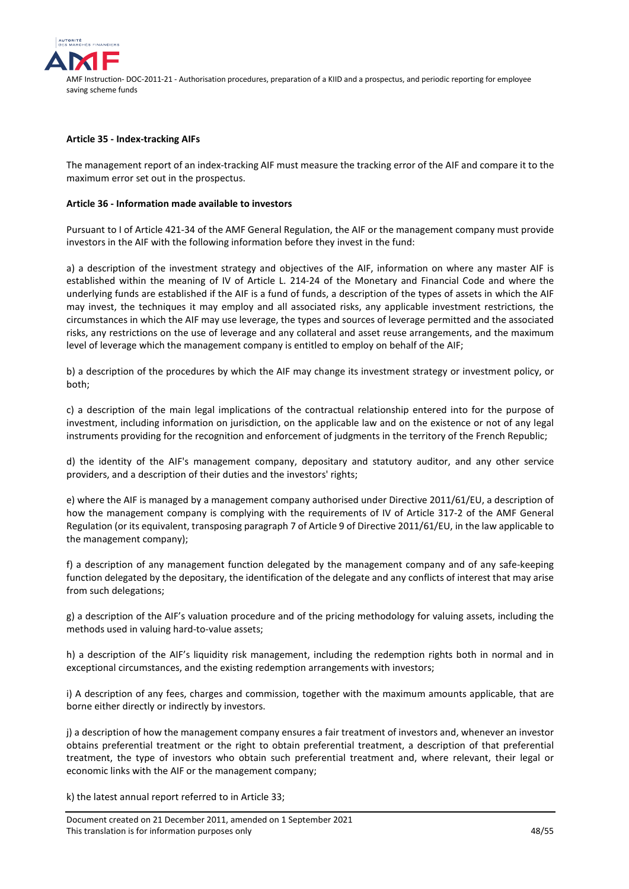

#### **Article 35 - Index-tracking AIFs**

The management report of an index-tracking AIF must measure the tracking error of the AIF and compare it to the maximum error set out in the prospectus.

#### **Article 36 - Information made available to investors**

Pursuant to I of Article 421-34 of the AMF General Regulation, the AIF or the management company must provide investors in the AIF with the following information before they invest in the fund:

a) a description of the investment strategy and objectives of the AIF, information on where any master AIF is established within the meaning of IV of Article L. 214-24 of the Monetary and Financial Code and where the underlying funds are established if the AIF is a fund of funds, a description of the types of assets in which the AIF may invest, the techniques it may employ and all associated risks, any applicable investment restrictions, the circumstances in which the AIF may use leverage, the types and sources of leverage permitted and the associated risks, any restrictions on the use of leverage and any collateral and asset reuse arrangements, and the maximum level of leverage which the management company is entitled to employ on behalf of the AIF;

b) a description of the procedures by which the AIF may change its investment strategy or investment policy, or both;

c) a description of the main legal implications of the contractual relationship entered into for the purpose of investment, including information on jurisdiction, on the applicable law and on the existence or not of any legal instruments providing for the recognition and enforcement of judgments in the territory of the French Republic;

d) the identity of the AIF's management company, depositary and statutory auditor, and any other service providers, and a description of their duties and the investors' rights;

e) where the AIF is managed by a management company authorised under Directive 2011/61/EU, a description of how the management company is complying with the requirements of IV of Article 317-2 of the AMF General Regulation (or its equivalent, transposing paragraph 7 of Article 9 of Directive 2011/61/EU, in the law applicable to the management company);

f) a description of any management function delegated by the management company and of any safe-keeping function delegated by the depositary, the identification of the delegate and any conflicts of interest that may arise from such delegations;

g) a description of the AIF's valuation procedure and of the pricing methodology for valuing assets, including the methods used in valuing hard-to-value assets;

h) a description of the AIF's liquidity risk management, including the redemption rights both in normal and in exceptional circumstances, and the existing redemption arrangements with investors;

i) A description of any fees, charges and commission, together with the maximum amounts applicable, that are borne either directly or indirectly by investors.

j) a description of how the management company ensures a fair treatment of investors and, whenever an investor obtains preferential treatment or the right to obtain preferential treatment, a description of that preferential treatment, the type of investors who obtain such preferential treatment and, where relevant, their legal or economic links with the AIF or the management company;

k) the latest annual report referred to in Article 33;

Document created on 21 December 2011, amended on 1 September 2021 This translation is for information purposes only **AS** and the set of the set of the set of the set of the set of the set of the set of the set of the set of the set of the set of the set of the set of the set of the set o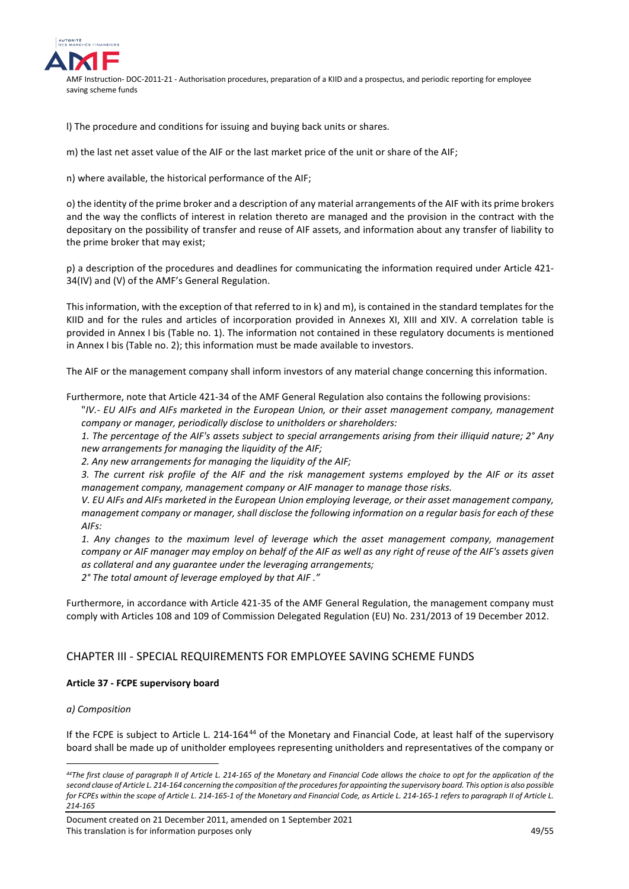

l) The procedure and conditions for issuing and buying back units or shares.

m) the last net asset value of the AIF or the last market price of the unit or share of the AIF;

n) where available, the historical performance of the AIF;

o) the identity of the prime broker and a description of any material arrangements of the AIF with its prime brokers and the way the conflicts of interest in relation thereto are managed and the provision in the contract with the depositary on the possibility of transfer and reuse of AIF assets, and information about any transfer of liability to the prime broker that may exist;

p) a description of the procedures and deadlines for communicating the information required under Article 421- 34(IV) and (V) of the AMF's General Regulation.

This information, with the exception of that referred to in k) and m), is contained in the standard templates for the KIID and for the rules and articles of incorporation provided in Annexes XI, XIII and XIV. A correlation table is provided in Annex I bis (Table no. 1). The information not contained in these regulatory documents is mentioned in Annex I bis (Table no. 2); this information must be made available to investors.

The AIF or the management company shall inform investors of any material change concerning this information.

Furthermore, note that Article 421-34 of the AMF General Regulation also contains the following provisions:

"*IV.- EU AIFs and AIFs marketed in the European Union, or their asset management company, management company or manager, periodically disclose to unitholders or shareholders:* 

*1. The percentage of the AIF's assets subject to special arrangements arising from their illiquid nature; 2° Any new arrangements for managing the liquidity of the AIF;* 

*2. Any new arrangements for managing the liquidity of the AIF;* 

*3. The current risk profile of the AIF and the risk management systems employed by the AIF or its asset management company, management company or AIF manager to manage those risks.* 

*V. EU AIFs and AIFs marketed in the European Union employing leverage, or their asset management company, management company or manager, shall disclose the following information on a regular basis for each of these AIFs:* 

*1. Any changes to the maximum level of leverage which the asset management company, management company or AIF manager may employ on behalf of the AIF as well as any right of reuse of the AIF's assets given as collateral and any guarantee under the leveraging arrangements;* 

*2° The total amount of leverage employed by that AIF ."*

Furthermore, in accordance with Article 421-35 of the AMF General Regulation, the management company must comply with Articles 108 and 109 of Commission Delegated Regulation (EU) No. 231/2013 of 19 December 2012.

## <span id="page-48-0"></span>CHAPTER III - SPECIAL REQUIREMENTS FOR EMPLOYEE SAVING SCHEME FUNDS

## **Article 37 - FCPE supervisory board**

## *a) Composition*

<u>.</u>

If the FCPE is subject to Article L. 214-164<sup>[44](#page-48-1)</sup> of the Monetary and Financial Code, at least half of the supervisory board shall be made up of unitholder employees representing unitholders and representatives of the company or

<span id="page-48-1"></span>*<sup>44</sup>The first clause of paragraph II of Article L. 214-165 of the Monetary and Financial Code allows the choice to opt for the application of the second clause of Article L. 214-164 concerning the composition of the procedures for appointing the supervisory board. This option is also possible*  for FCPEs within the scope of Article L. 214-165-1 of the Monetary and Financial Code, as Article L. 214-165-1 refers to paragraph II of Article L. *214-165*

Document created on 21 December 2011, amended on 1 September 2021 This translation is for information purposes only 49/55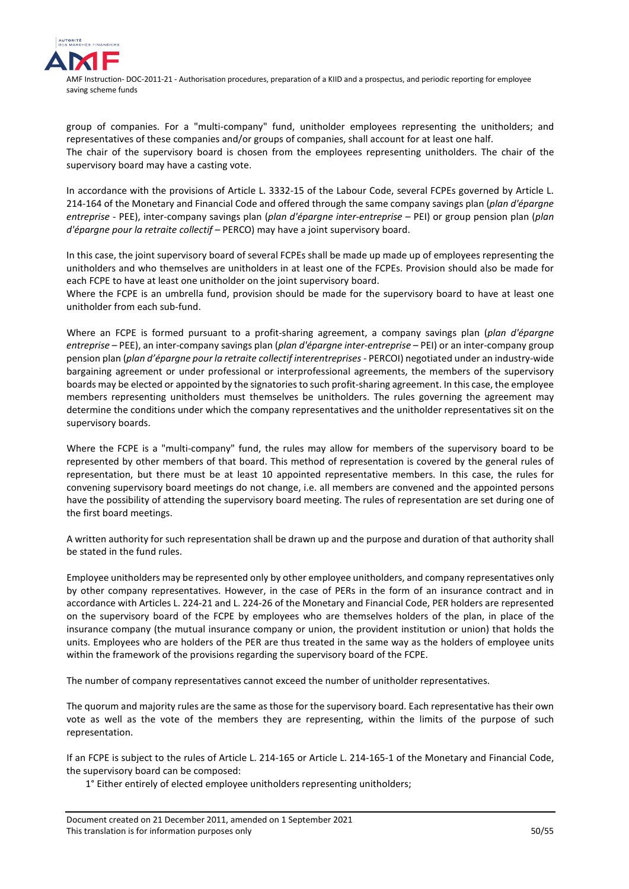

group of companies. For a "multi-company" fund, unitholder employees representing the unitholders; and representatives of these companies and/or groups of companies, shall account for at least one half. The chair of the supervisory board is chosen from the employees representing unitholders. The chair of the supervisory board may have a casting vote.

In accordance with the provisions of Article L. 3332-15 of the Labour Code, several FCPEs governed by Article L. 214-164 of the Monetary and Financial Code and offered through the same company savings plan (*plan d'épargne entreprise* - PEE), inter-company savings plan (*plan d'épargne inter-entreprise* – PEI) or group pension plan (*plan d'épargne pour la retraite collectif* – PERCO) may have a joint supervisory board.

In this case, the joint supervisory board of several FCPEs shall be made up made up of employees representing the unitholders and who themselves are unitholders in at least one of the FCPEs. Provision should also be made for each FCPE to have at least one unitholder on the joint supervisory board.

Where the FCPE is an umbrella fund, provision should be made for the supervisory board to have at least one unitholder from each sub-fund.

Where an FCPE is formed pursuant to a profit-sharing agreement, a company savings plan (*plan d'épargne entreprise* – PEE), an inter-company savings plan (*plan d'épargne inter-entreprise* – PEI) or an inter-company group pension plan (*plan d'épargne pour la retraite collectif interentreprises* - PERCOI) negotiated under an industry-wide bargaining agreement or under professional or interprofessional agreements, the members of the supervisory boards may be elected or appointed by the signatories to such profit-sharing agreement. In this case, the employee members representing unitholders must themselves be unitholders. The rules governing the agreement may determine the conditions under which the company representatives and the unitholder representatives sit on the supervisory boards.

Where the FCPE is a "multi-company" fund, the rules may allow for members of the supervisory board to be represented by other members of that board. This method of representation is covered by the general rules of representation, but there must be at least 10 appointed representative members. In this case, the rules for convening supervisory board meetings do not change, i.e. all members are convened and the appointed persons have the possibility of attending the supervisory board meeting. The rules of representation are set during one of the first board meetings.

A written authority for such representation shall be drawn up and the purpose and duration of that authority shall be stated in the fund rules.

Employee unitholders may be represented only by other employee unitholders, and company representatives only by other company representatives. However, in the case of PERs in the form of an insurance contract and in accordance with Articles L. 224-21 and L. 224-26 of the Monetary and Financial Code, PER holders are represented on the supervisory board of the FCPE by employees who are themselves holders of the plan, in place of the insurance company (the mutual insurance company or union, the provident institution or union) that holds the units. Employees who are holders of the PER are thus treated in the same way as the holders of employee units within the framework of the provisions regarding the supervisory board of the FCPE.

The number of company representatives cannot exceed the number of unitholder representatives.

The quorum and majority rules are the same as those for the supervisory board. Each representative has their own vote as well as the vote of the members they are representing, within the limits of the purpose of such representation.

If an FCPE is subject to the rules of Article L. 214-165 or Article L. 214-165-1 of the Monetary and Financial Code, the supervisory board can be composed:

1° Either entirely of elected employee unitholders representing unitholders;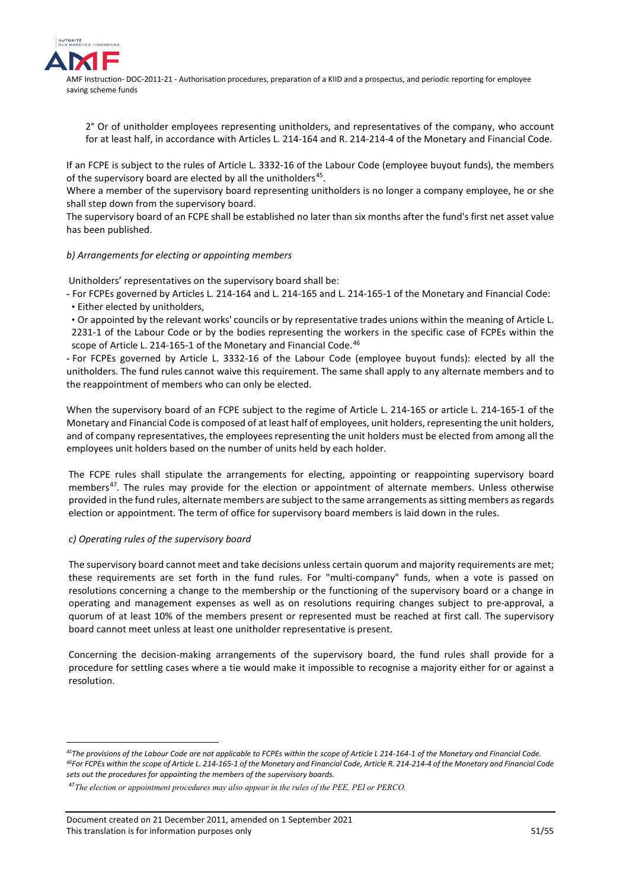

2° Or of unitholder employees representing unitholders, and representatives of the company, who account for at least half, in accordance with Articles L. 214-164 and R. 214-214-4 of the Monetary and Financial Code.

If an FCPE is subject to the rules of Article L. 3332-16 of the Labour Code (employee buyout funds), the members of the supervisory board are elected by all the unitholders<sup>45</sup>.

Where a member of the supervisory board representing unitholders is no longer a company employee, he or she shall step down from the supervisory board.

The supervisory board of an FCPE shall be established no later than six months after the fund's first net asset value has been published.

## *b) Arrangements for electing or appointing members*

Unitholders' representatives on the supervisory board shall be:

- For FCPEs governed by Articles L. 214-164 and L. 214-165 and L. 214-165-1 of the Monetary and Financial Code: • Either elected by unitholders,

• Or appointed by the relevant works' councils or by representative trades unions within the meaning of Article L. 2231-1 of the Labour Code or by the bodies representing the workers in the specific case of FCPEs within the scope of Article L. 214-165-1 of the Monetary and Financial Code.<sup>[46](#page-50-1)</sup>

- For FCPEs governed by Article L. 3332-16 of the Labour Code (employee buyout funds): elected by all the unitholders. The fund rules cannot waive this requirement. The same shall apply to any alternate members and to the reappointment of members who can only be elected.

When the supervisory board of an FCPE subject to the regime of Article L. 214-165 or article L. 214-165-1 of the Monetary and Financial Code is composed of at least half of employees, unit holders, representing the unit holders, and of company representatives, the employees representing the unit holders must be elected from among all the employees unit holders based on the number of units held by each holder.

The FCPE rules shall stipulate the arrangements for electing, appointing or reappointing supervisory board members<sup>47</sup>. The rules may provide for the election or appointment of alternate members. Unless otherwise provided in the fund rules, alternate members are subject to the same arrangements as sitting members as regards election or appointment. The term of office for supervisory board members is laid down in the rules.

## *c) Operating rules of the supervisory board*

<u>.</u>

The supervisory board cannot meet and take decisions unless certain quorum and majority requirements are met; these requirements are set forth in the fund rules. For "multi-company" funds, when a vote is passed on resolutions concerning a change to the membership or the functioning of the supervisory board or a change in operating and management expenses as well as on resolutions requiring changes subject to pre-approval, a quorum of at least 10% of the members present or represented must be reached at first call. The supervisory board cannot meet unless at least one unitholder representative is present.

Concerning the decision-making arrangements of the supervisory board, the fund rules shall provide for a procedure for settling cases where a tie would make it impossible to recognise a majority either for or against a resolution.

Document created on 21 December 2011, amended on 1 September 2021 This translation is for information purposes only 51/55

<span id="page-50-1"></span><span id="page-50-0"></span>*<sup>45</sup>The provisions of the Labour Code are not applicable to FCPEs within the scope of Article L 214-164-1 of the Monetary and Financial Code. 46For FCPEs within the scope of Article L. 214-165-1 of the Monetary and Financial Code, Article R. 214-214-4 of the Monetary and Financial Code sets out the procedures for appointing the members of the supervisory boards.*

<span id="page-50-2"></span><sup>47</sup>*The election or appointment procedures may also appear in the rules of the PEE, PEI or PERCO.*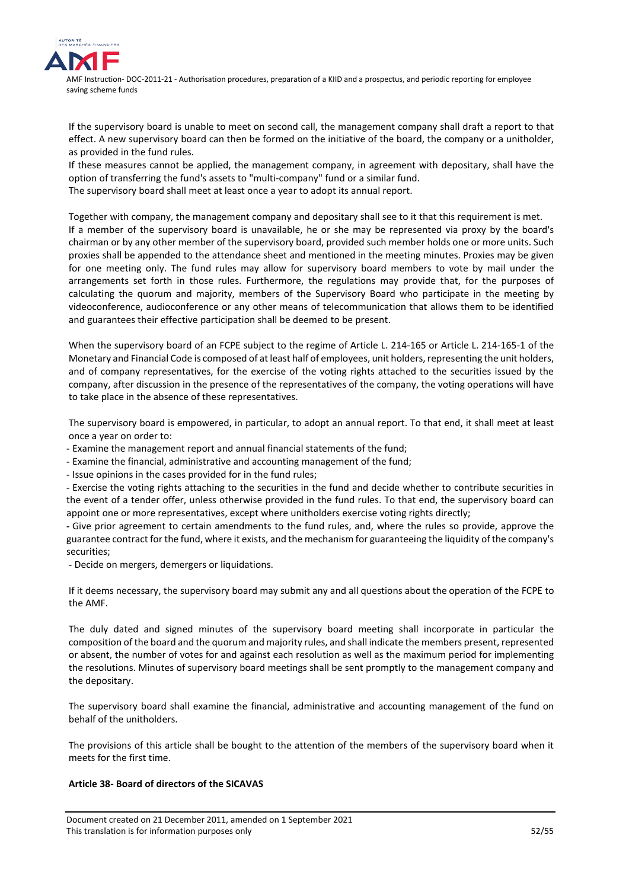

If the supervisory board is unable to meet on second call, the management company shall draft a report to that effect. A new supervisory board can then be formed on the initiative of the board, the company or a unitholder, as provided in the fund rules.

If these measures cannot be applied, the management company, in agreement with depositary, shall have the option of transferring the fund's assets to "multi-company" fund or a similar fund.

The supervisory board shall meet at least once a year to adopt its annual report.

Together with company, the management company and depositary shall see to it that this requirement is met. If a member of the supervisory board is unavailable, he or she may be represented via proxy by the board's chairman or by any other member of the supervisory board, provided such member holds one or more units. Such proxies shall be appended to the attendance sheet and mentioned in the meeting minutes. Proxies may be given for one meeting only. The fund rules may allow for supervisory board members to vote by mail under the arrangements set forth in those rules. Furthermore, the regulations may provide that, for the purposes of calculating the quorum and majority, members of the Supervisory Board who participate in the meeting by videoconference, audioconference or any other means of telecommunication that allows them to be identified and guarantees their effective participation shall be deemed to be present.

When the supervisory board of an FCPE subject to the regime of Article L. 214-165 or Article L. 214-165-1 of the Monetary and Financial Code is composed of at least half of employees, unit holders, representing the unit holders, and of company representatives, for the exercise of the voting rights attached to the securities issued by the company, after discussion in the presence of the representatives of the company, the voting operations will have to take place in the absence of these representatives.

The supervisory board is empowered, in particular, to adopt an annual report. To that end, it shall meet at least once a year on order to:

- Examine the management report and annual financial statements of the fund;

- Examine the financial, administrative and accounting management of the fund;

- Issue opinions in the cases provided for in the fund rules;

- Exercise the voting rights attaching to the securities in the fund and decide whether to contribute securities in the event of a tender offer, unless otherwise provided in the fund rules. To that end, the supervisory board can appoint one or more representatives, except where unitholders exercise voting rights directly;

- Give prior agreement to certain amendments to the fund rules, and, where the rules so provide, approve the guarantee contract for the fund, where it exists, and the mechanism for guaranteeing the liquidity of the company's securities;

- Decide on mergers, demergers or liquidations.

If it deems necessary, the supervisory board may submit any and all questions about the operation of the FCPE to the AMF.

The duly dated and signed minutes of the supervisory board meeting shall incorporate in particular the composition of the board and the quorum and majority rules, and shall indicate the members present, represented or absent, the number of votes for and against each resolution as well as the maximum period for implementing the resolutions. Minutes of supervisory board meetings shall be sent promptly to the management company and the depositary.

The supervisory board shall examine the financial, administrative and accounting management of the fund on behalf of the unitholders.

The provisions of this article shall be bought to the attention of the members of the supervisory board when it meets for the first time.

## **Article 38- Board of directors of the SICAVAS**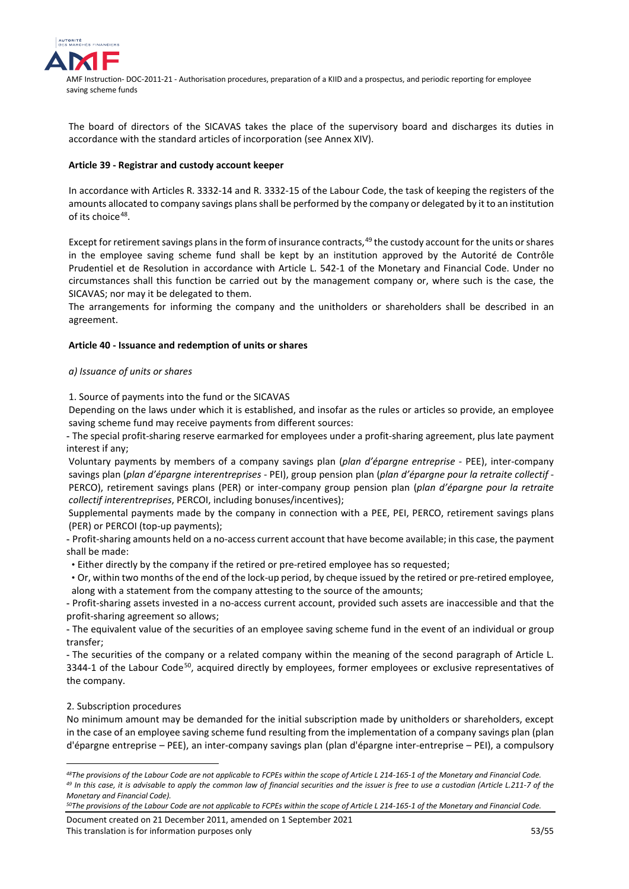

The board of directors of the SICAVAS takes the place of the supervisory board and discharges its duties in accordance with the standard articles of incorporation (see Annex XIV).

## **Article 39 - Registrar and custody account keeper**

In accordance with Articles R. 3332-14 and R. 3332-15 of the Labour Code, the task of keeping the registers of the amounts allocated to company savings plans shall be performed by the company or delegated by it to an institution of its choice<sup>48</sup>.

Except for retirement savings plans in the form of insurance contracts,<sup>[49](#page-52-1)</sup> the custody account for the units or shares in the employee saving scheme fund shall be kept by an institution approved by the Autorité de Contrôle Prudentiel et de Resolution in accordance with Article L. 542-1 of the Monetary and Financial Code. Under no circumstances shall this function be carried out by the management company or, where such is the case, the SICAVAS; nor may it be delegated to them.

The arrangements for informing the company and the unitholders or shareholders shall be described in an agreement.

## **Article 40 - Issuance and redemption of units or shares**

## *a) Issuance of units or shares*

1. Source of payments into the fund or the SICAVAS

Depending on the laws under which it is established, and insofar as the rules or articles so provide, an employee saving scheme fund may receive payments from different sources:

- The special profit-sharing reserve earmarked for employees under a profit-sharing agreement, plus late payment interest if any;

Voluntary payments by members of a company savings plan (*plan d'épargne entreprise* - PEE), inter-company savings plan (*plan d'épargne interentreprises* - PEI), group pension plan (*plan d'épargne pour la retraite collectif* - PERCO), retirement savings plans (PER) or inter-company group pension plan (*plan d'épargne pour la retraite collectif interentreprises*, PERCOI, including bonuses/incentives);

Supplemental payments made by the company in connection with a PEE, PEI, PERCO, retirement savings plans (PER) or PERCOI (top-up payments);

- Profit-sharing amounts held on a no-access current account that have become available; in this case, the payment shall be made:

• Either directly by the company if the retired or pre-retired employee has so requested;

• Or, within two months of the end of the lock-up period, by cheque issued by the retired or pre-retired employee, along with a statement from the company attesting to the source of the amounts;

- Profit-sharing assets invested in a no-access current account, provided such assets are inaccessible and that the profit-sharing agreement so allows;

- The equivalent value of the securities of an employee saving scheme fund in the event of an individual or group transfer;

- The securities of the company or a related company within the meaning of the second paragraph of Article L. 3344-1 of the Labour Code<sup>50</sup>, acquired directly by employees, former employees or exclusive representatives of the company.

## 2. Subscription procedures

<u>.</u>

No minimum amount may be demanded for the initial subscription made by unitholders or shareholders, except in the case of an employee saving scheme fund resulting from the implementation of a company savings plan (plan d'épargne entreprise – PEE), an inter-company savings plan (plan d'épargne inter-entreprise – PEI), a compulsory

<span id="page-52-1"></span><span id="page-52-0"></span>*<sup>48</sup>The provisions of the Labour Code are not applicable to FCPEs within the scope of Article L 214-165-1 of the Monetary and Financial Code. <sup>49</sup> In this case, it is advisable to apply the common law of financial securities and the issuer is free to use a custodian (Article L.211-7 of the Monetary and Financial Code).*

<span id="page-52-2"></span>*<sup>50</sup>The provisions of the Labour Code are not applicable to FCPEs within the scope of Article L 214-165-1 of the Monetary and Financial Code.*

Document created on 21 December 2011, amended on 1 September 2021 This translation is for information purposes only 53/55 SMS and the set of the set of the set of the set of the set of the set of the set of the set of the set of the set of the set of the set of the set of the set of the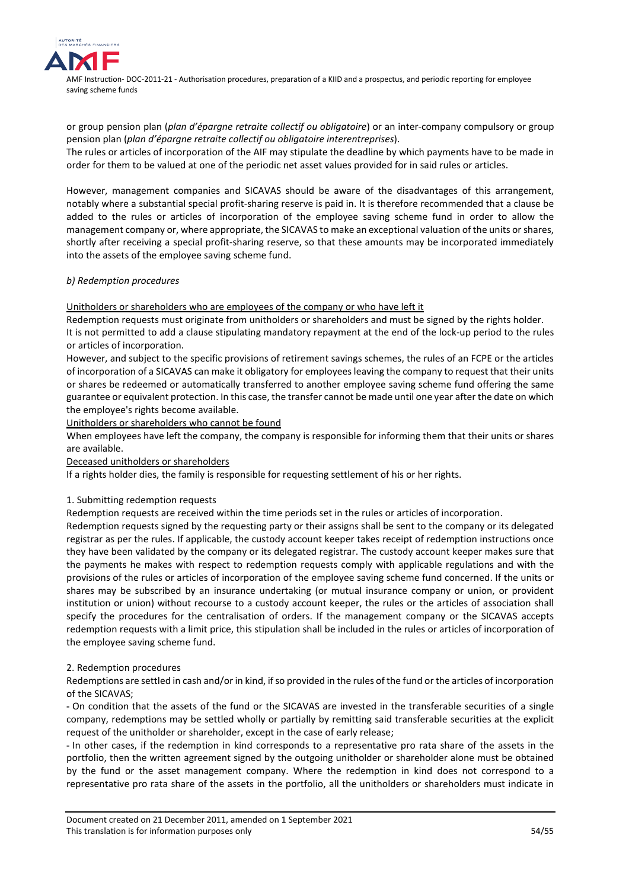

or group pension plan (*plan d'épargne retraite collectif ou obligatoire*) or an inter-company compulsory or group pension plan (*plan d'épargne retraite collectif ou obligatoire interentreprises*).

The rules or articles of incorporation of the AIF may stipulate the deadline by which payments have to be made in order for them to be valued at one of the periodic net asset values provided for in said rules or articles.

However, management companies and SICAVAS should be aware of the disadvantages of this arrangement, notably where a substantial special profit-sharing reserve is paid in. It is therefore recommended that a clause be added to the rules or articles of incorporation of the employee saving scheme fund in order to allow the management company or, where appropriate, the SICAVAS to make an exceptional valuation of the units or shares, shortly after receiving a special profit-sharing reserve, so that these amounts may be incorporated immediately into the assets of the employee saving scheme fund.

## *b) Redemption procedures*

## Unitholders or shareholders who are employees of the company or who have left it

Redemption requests must originate from unitholders or shareholders and must be signed by the rights holder. It is not permitted to add a clause stipulating mandatory repayment at the end of the lock-up period to the rules or articles of incorporation.

However, and subject to the specific provisions of retirement savings schemes, the rules of an FCPE or the articles of incorporation of a SICAVAS can make it obligatory for employees leaving the company to request that their units or shares be redeemed or automatically transferred to another employee saving scheme fund offering the same guarantee or equivalent protection. In this case, the transfer cannot be made until one year after the date on which the employee's rights become available.

Unitholders or shareholders who cannot be found

When employees have left the company, the company is responsible for informing them that their units or shares are available.

Deceased unitholders or shareholders

If a rights holder dies, the family is responsible for requesting settlement of his or her rights.

## 1. Submitting redemption requests

Redemption requests are received within the time periods set in the rules or articles of incorporation.

Redemption requests signed by the requesting party or their assigns shall be sent to the company or its delegated registrar as per the rules. If applicable, the custody account keeper takes receipt of redemption instructions once they have been validated by the company or its delegated registrar. The custody account keeper makes sure that the payments he makes with respect to redemption requests comply with applicable regulations and with the provisions of the rules or articles of incorporation of the employee saving scheme fund concerned. If the units or shares may be subscribed by an insurance undertaking (or mutual insurance company or union, or provident institution or union) without recourse to a custody account keeper, the rules or the articles of association shall specify the procedures for the centralisation of orders. If the management company or the SICAVAS accepts redemption requests with a limit price, this stipulation shall be included in the rules or articles of incorporation of the employee saving scheme fund.

## 2. Redemption procedures

Redemptions are settled in cash and/or in kind, if so provided in the rules of the fund or the articles of incorporation of the SICAVAS;

- On condition that the assets of the fund or the SICAVAS are invested in the transferable securities of a single company, redemptions may be settled wholly or partially by remitting said transferable securities at the explicit request of the unitholder or shareholder, except in the case of early release;

- In other cases, if the redemption in kind corresponds to a representative pro rata share of the assets in the portfolio, then the written agreement signed by the outgoing unitholder or shareholder alone must be obtained by the fund or the asset management company. Where the redemption in kind does not correspond to a representative pro rata share of the assets in the portfolio, all the unitholders or shareholders must indicate in